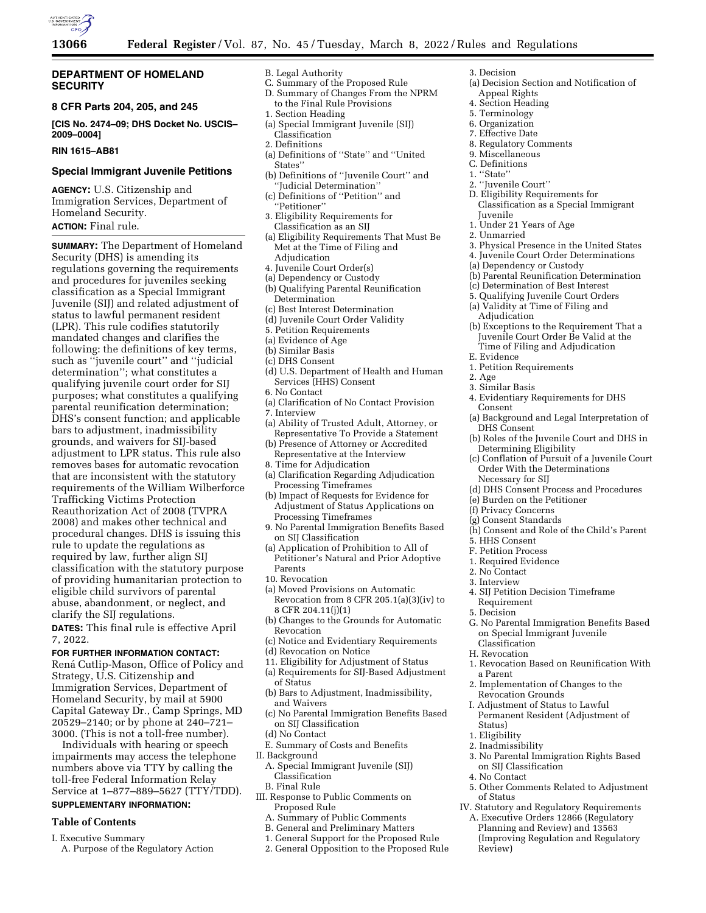

# **DEPARTMENT OF HOMELAND SECURITY**

# **8 CFR Parts 204, 205, and 245**

**[CIS No. 2474–09; DHS Docket No. USCIS– 2009–0004]** 

# **RIN 1615–AB81**

# **Special Immigrant Juvenile Petitions**

**AGENCY:** U.S. Citizenship and Immigration Services, Department of Homeland Security. **ACTION:** Final rule.

**SUMMARY:** The Department of Homeland Security (DHS) is amending its regulations governing the requirements and procedures for juveniles seeking classification as a Special Immigrant Juvenile (SIJ) and related adjustment of status to lawful permanent resident (LPR). This rule codifies statutorily mandated changes and clarifies the following: the definitions of key terms, such as ''juvenile court'' and ''judicial determination''; what constitutes a qualifying juvenile court order for SIJ purposes; what constitutes a qualifying parental reunification determination; DHS's consent function; and applicable bars to adjustment, inadmissibility grounds, and waivers for SIJ-based adjustment to LPR status. This rule also removes bases for automatic revocation that are inconsistent with the statutory requirements of the William Wilberforce Trafficking Victims Protection Reauthorization Act of 2008 (TVPRA 2008) and makes other technical and procedural changes. DHS is issuing this rule to update the regulations as required by law, further align SIJ classification with the statutory purpose of providing humanitarian protection to eligible child survivors of parental abuse, abandonment, or neglect, and clarify the SIJ regulations.

**DATES:** This final rule is effective April 7, 2022.

## **FOR FURTHER INFORMATION CONTACT:**

Rená Cutlip-Mason, Office of Policy and Strategy, U.S. Citizenship and Immigration Services, Department of Homeland Security, by mail at 5900 Capital Gateway Dr., Camp Springs, MD 20529–2140; or by phone at 240–721– 3000. (This is not a toll-free number).

Individuals with hearing or speech impairments may access the telephone numbers above via TTY by calling the toll-free Federal Information Relay Service at 1–877–889–5627 (TTY/TDD).

# **SUPPLEMENTARY INFORMATION:**

# **Table of Contents**

- I. Executive Summary
- A. Purpose of the Regulatory Action
- B. Legal Authority
- C. Summary of the Proposed Rule D. Summary of Changes From the NPRM to the Final Rule Provisions
- 1. Section Heading
- (a) Special Immigrant Juvenile (SIJ) Classification
- 2. Definitions
- (a) Definitions of ''State'' and ''United States''
- (b) Definitions of ''Juvenile Court'' and ''Judicial Determination''
- (c) Definitions of ''Petition'' and ''Petitioner''
- 3. Eligibility Requirements for Classification as an SIJ
- (a) Eligibility Requirements That Must Be Met at the Time of Filing and Adjudication
- 4. Juvenile Court Order(s)
- (a) Dependency or Custody
- (b) Qualifying Parental Reunification Determination
- (c) Best Interest Determination
- (d) Juvenile Court Order Validity
- 5. Petition Requirements
- (a) Evidence of Age
- (b) Similar Basis
- (c) DHS Consent
- (d) U.S. Department of Health and Human Services (HHS) Consent
- 6. No Contact
- (a) Clarification of No Contact Provision
- 7. Interview
- (a) Ability of Trusted Adult, Attorney, or Representative To Provide a Statement (b) Presence of Attorney or Accredited
- Representative at the Interview
- 8. Time for Adjudication
- (a) Clarification Regarding Adjudication Processing Timeframes
- (b) Impact of Requests for Evidence for Adjustment of Status Applications on Processing Timeframes
- 9. No Parental Immigration Benefits Based on SIJ Classification
- (a) Application of Prohibition to All of Petitioner's Natural and Prior Adoptive Parents
- 10. Revocation
- (a) Moved Provisions on Automatic Revocation from 8 CFR 205.1(a)(3)(iv) to 8 CFR 204.11(j)(1)
- (b) Changes to the Grounds for Automatic Revocation
- (c) Notice and Evidentiary Requirements (d) Revocation on Notice
- 
- 11. Eligibility for Adjustment of Status (a) Requirements for SIJ-Based Adjustment
- of Status
- (b) Bars to Adjustment, Inadmissibility, and Waivers
- (c) No Parental Immigration Benefits Based on SIJ Classification
- (d) No Contact
- E. Summary of Costs and Benefits
- II. Background
	- A. Special Immigrant Juvenile (SIJ) Classification
- B. Final Rule
- III. Response to Public Comments on Proposed Rule
	- A. Summary of Public Comments
	- B. General and Preliminary Matters
	- 1. General Support for the Proposed Rule
	-
	- 2. General Opposition to the Proposed Rule
- 3. Decision
- (a) Decision Section and Notification of Appeal Rights
- 4. Section Heading
- 5. Terminology
- 6. Organization
- 7. Effective Date
- 8. Regulatory Comments
- 9. Miscellaneous
- C. Definitions
- 1. ''State''
- 2. ''Juvenile Court''
- D. Eligibility Requirements for Classification as a Special Immigrant Juvenile
- 1. Under 21 Years of Age
- 2. Unmarried
- 3. Physical Presence in the United States
- 4. Juvenile Court Order Determinations
- (a) Dependency or Custody
- (b) Parental Reunification Determination
- (c) Determination of Best Interest
- 5. Qualifying Juvenile Court Orders
- (a) Validity at Time of Filing and Adjudication
- (b) Exceptions to the Requirement That a Juvenile Court Order Be Valid at the Time of Filing and Adjudication
- E. Evidence
- 1. Petition Requirements
- 2. Age
- 3. Similar Basis
- 4. Evidentiary Requirements for DHS Consent
- (a) Background and Legal Interpretation of DHS Consent
- (b) Roles of the Juvenile Court and DHS in Determining Eligibility
- (c) Conflation of Pursuit of a Juvenile Court Order With the Determinations Necessary for SIJ
- (d) DHS Consent Process and Procedures

(h) Consent and Role of the Child's Parent

G. No Parental Immigration Benefits Based on Special Immigrant Juvenile

1. Revocation Based on Reunification With

2. Implementation of Changes to the

3. No Parental Immigration Rights Based

5. Other Comments Related to Adjustment

IV. Statutory and Regulatory Requirements A. Executive Orders 12866 (Regulatory Planning and Review) and 13563 (Improving Regulation and Regulatory

(e) Burden on the Petitioner

4. SIJ Petition Decision Timeframe

(f) Privacy Concerns (g) Consent Standards

5. HHS Consent F. Petition Process 1. Required Evidence 2. No Contact 3. Interview

Requirement 5. Decision

Classification H. Revocation

Revocation Grounds I. Adjustment of Status to Lawful Permanent Resident (Adjustment of

on SIJ Classification

a Parent

Status) 1. Eligibility 2. Inadmissibility

4. No Contact

of Status

Review)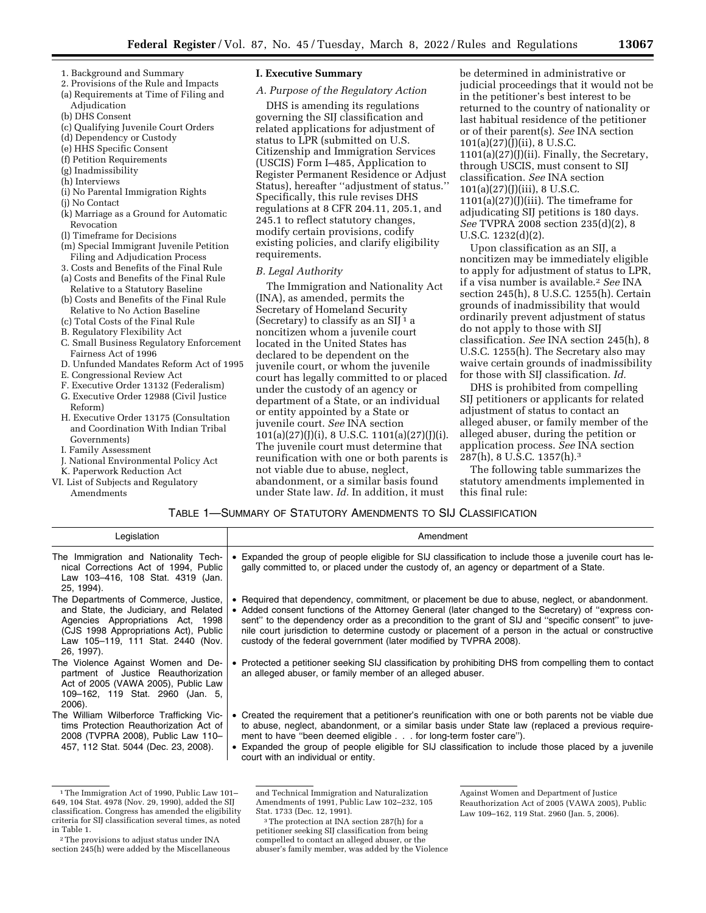- 1. Background and Summary
- 2. Provisions of the Rule and Impacts (a) Requirements at Time of Filing and
- Adjudication
- (b) DHS Consent
- (c) Qualifying Juvenile Court Orders
- (d) Dependency or Custody
- (e) HHS Specific Consent
- (f) Petition Requirements
- (g) Inadmissibility
- (h) Interviews
- (i) No Parental Immigration Rights
- (j) No Contact
- (k) Marriage as a Ground for Automatic Revocation
- (l) Timeframe for Decisions
- (m) Special Immigrant Juvenile Petition Filing and Adjudication Process
- 3. Costs and Benefits of the Final Rule
- (a) Costs and Benefits of the Final Rule Relative to a Statutory Baseline
- (b) Costs and Benefits of the Final Rule Relative to No Action Baseline
- (c) Total Costs of the Final Rule
- B. Regulatory Flexibility Act
- C. Small Business Regulatory Enforcement Fairness Act of 1996
- D. Unfunded Mandates Reform Act of 1995
- E. Congressional Review Act
- F. Executive Order 13132 (Federalism)
- G. Executive Order 12988 (Civil Justice Reform)
- H. Executive Order 13175 (Consultation and Coordination With Indian Tribal Governments)
- I. Family Assessment
- J. National Environmental Policy Act
- K. Paperwork Reduction Act
- VI. List of Subjects and Regulatory
	- Amendments

## **I. Executive Summary**

# *A. Purpose of the Regulatory Action*

DHS is amending its regulations governing the SIJ classification and related applications for adjustment of status to LPR (submitted on U.S. Citizenship and Immigration Services (USCIS) Form I–485, Application to Register Permanent Residence or Adjust Status), hereafter ''adjustment of status.'' Specifically, this rule revises DHS regulations at 8 CFR 204.11, 205.1, and 245.1 to reflect statutory changes, modify certain provisions, codify existing policies, and clarify eligibility requirements.

## *B. Legal Authority*

The Immigration and Nationality Act (INA), as amended, permits the Secretary of Homeland Security (Secretary) to classify as an SIJ<sup>1</sup> a noncitizen whom a juvenile court located in the United States has declared to be dependent on the juvenile court, or whom the juvenile court has legally committed to or placed under the custody of an agency or department of a State, or an individual or entity appointed by a State or juvenile court. *See* INA section  $101(a)(27)(J)(i)$ , 8 U.S.C.  $1101(a)(27)(J)(i)$ . The juvenile court must determine that reunification with one or both parents is not viable due to abuse, neglect, abandonment, or a similar basis found under State law. *Id.* In addition, it must

be determined in administrative or judicial proceedings that it would not be in the petitioner's best interest to be returned to the country of nationality or last habitual residence of the petitioner or of their parent(s). *See* INA section 101(a)(27)(J)(ii), 8 U.S.C.  $1101(a)(27)(J)(ii)$ . Finally, the Secretary, through USCIS, must consent to SIJ classification. *See* INA section 101(a)(27)(J)(iii), 8 U.S.C.  $1101(a)(27)(J)(iii)$ . The timeframe for adjudicating SIJ petitions is 180 days. *See* TVPRA 2008 section 235(d)(2), 8 U.S.C. 1232(d)(2).

Upon classification as an SIJ, a noncitizen may be immediately eligible to apply for adjustment of status to LPR, if a visa number is available.2 *See* INA section 245(h), 8 U.S.C. 1255(h). Certain grounds of inadmissibility that would ordinarily prevent adjustment of status do not apply to those with SIJ classification. *See* INA section 245(h), 8 U.S.C. 1255(h). The Secretary also may waive certain grounds of inadmissibility for those with SIJ classification. *Id.* 

DHS is prohibited from compelling SIJ petitioners or applicants for related adjustment of status to contact an alleged abuser, or family member of the alleged abuser, during the petition or application process. *See* INA section 287(h), 8 U.S.C. 1357(h).3

The following table summarizes the statutory amendments implemented in this final rule:

# TABLE 1—SUMMARY OF STATUTORY AMENDMENTS TO SIJ CLASSIFICATION

| Legislation                                                                                                                                                                                                     | Amendment                                                                                                                                                                                                                                                                                                                                                                                                                                                                                |
|-----------------------------------------------------------------------------------------------------------------------------------------------------------------------------------------------------------------|------------------------------------------------------------------------------------------------------------------------------------------------------------------------------------------------------------------------------------------------------------------------------------------------------------------------------------------------------------------------------------------------------------------------------------------------------------------------------------------|
| The Immigration and Nationality Tech-<br>nical Corrections Act of 1994, Public<br>Law 103-416, 108 Stat. 4319 (Jan.<br>25, 1994).                                                                               | • Expanded the group of people eligible for SIJ classification to include those a juvenile court has le-<br>gally committed to, or placed under the custody of, an agency or department of a State.                                                                                                                                                                                                                                                                                      |
| The Departments of Commerce, Justice,<br>and State, the Judiciary, and Related<br>Agencies Appropriations Act, 1998<br>(CJS 1998 Appropriations Act), Public<br>Law 105-119, 111 Stat. 2440 (Nov.<br>26, 1997). | • Required that dependency, commitment, or placement be due to abuse, neglect, or abandonment.<br>• Added consent functions of the Attorney General (later changed to the Secretary) of "express con-<br>sent" to the dependency order as a precondition to the grant of SIJ and "specific consent" to juve-<br>nile court jurisdiction to determine custody or placement of a person in the actual or constructive<br>custody of the federal government (later modified by TVPRA 2008). |
| The Violence Against Women and De-<br>partment of Justice Reauthorization<br>Act of 2005 (VAWA 2005), Public Law<br>109–162, 119 Stat. 2960 (Jan. 5,<br>2006).                                                  | • Protected a petitioner seeking SIJ classification by prohibiting DHS from compelling them to contact<br>an alleged abuser, or family member of an alleged abuser.                                                                                                                                                                                                                                                                                                                      |
| The William Wilberforce Trafficking Vic-<br>tims Protection Reauthorization Act of<br>2008 (TVPRA 2008), Public Law 110-<br>457, 112 Stat. 5044 (Dec. 23, 2008).                                                | • Created the requirement that a petitioner's reunification with one or both parents not be viable due<br>to abuse, neglect, abandonment, or a similar basis under State law (replaced a previous require-<br>ment to have "been deemed eligible for long-term foster care").<br>• Expanded the group of people eligible for SIJ classification to include those placed by a juvenile<br>court with an individual or entity.                                                             |

<sup>1</sup>The Immigration Act of 1990, Public Law 101– 649, 104 Stat. 4978 (Nov. 29, 1990), added the SIJ classification. Congress has amended the eligibility criteria for SIJ classification several times, as noted in Table 1.

and Technical Immigration and Naturalization

compelled to contact an alleged abuser, or the abuser's family member, was added by the Violence

Against Women and Department of Justice Reauthorization Act of 2005 (VAWA 2005), Public Law 109-162, 119 Stat. 2960 (Jan. 5, 2006).

<sup>2</sup>The provisions to adjust status under INA section 245(h) were added by the Miscellaneous

Amendments of 1991, Public Law 102–232, 105 Stat. 1733 (Dec. 12, 1991). 3The protection at INA section 287(h) for a petitioner seeking SIJ classification from being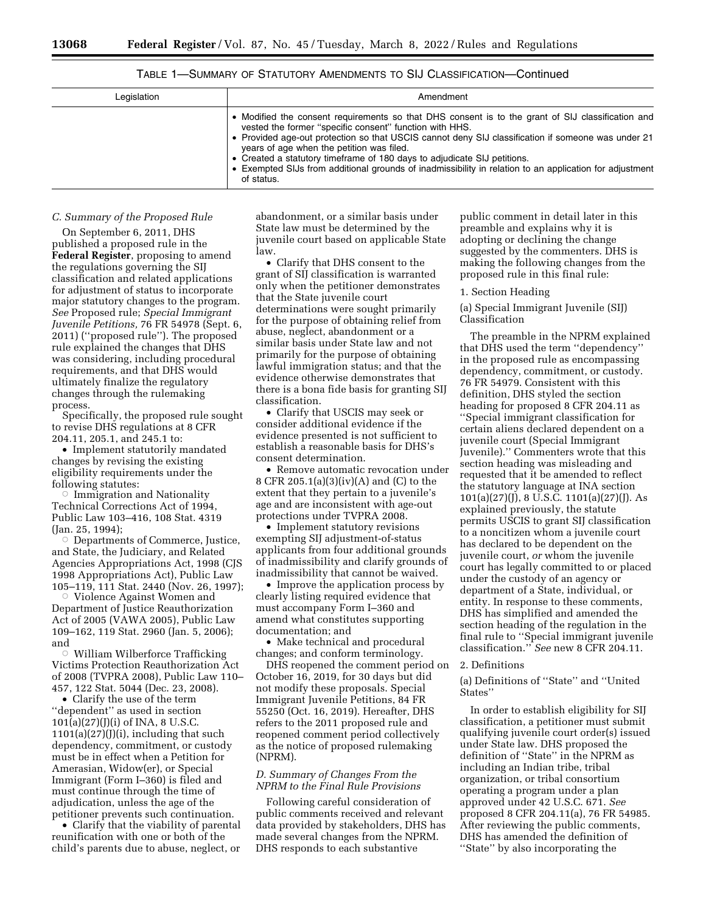# TABLE 1—SUMMARY OF STATUTORY AMENDMENTS TO SIJ CLASSIFICATION—Continued

| Legislation | Amendment                                                                                                                                                                                                                                                                                                                                                                                                                                                                                                            |
|-------------|----------------------------------------------------------------------------------------------------------------------------------------------------------------------------------------------------------------------------------------------------------------------------------------------------------------------------------------------------------------------------------------------------------------------------------------------------------------------------------------------------------------------|
|             | • Modified the consent requirements so that DHS consent is to the grant of SIJ classification and<br>vested the former "specific consent" function with HHS.<br>• Provided age-out protection so that USCIS cannot deny SIJ classification if someone was under 21<br>years of age when the petition was filed.<br>• Created a statutory timeframe of 180 days to adjudicate SIJ petitions.<br>• Exempted SIJs from additional grounds of inadmissibility in relation to an application for adjustment<br>of status. |

### *C. Summary of the Proposed Rule*

On September 6, 2011, DHS published a proposed rule in the **Federal Register**, proposing to amend the regulations governing the SIJ classification and related applications for adjustment of status to incorporate major statutory changes to the program. *See* Proposed rule; *Special Immigrant Juvenile Petitions,* 76 FR 54978 (Sept. 6, 2011) (''proposed rule''). The proposed rule explained the changes that DHS was considering, including procedural requirements, and that DHS would ultimately finalize the regulatory changes through the rulemaking process.

Specifically, the proposed rule sought to revise DHS regulations at 8 CFR 204.11, 205.1, and 245.1 to:

• Implement statutorily mandated changes by revising the existing eligibility requirements under the following statutes:

 $\circ$  Immigration and Nationality Technical Corrections Act of 1994, Public Law 103–416, 108 Stat. 4319 (Jan. 25, 1994);

**Departments of Commerce, Justice,** and State, the Judiciary, and Related Agencies Appropriations Act, 1998 (CJS 1998 Appropriations Act), Public Law 105–119, 111 Stat. 2440 (Nov. 26, 1997);

Æ Violence Against Women and Department of Justice Reauthorization Act of 2005 (VAWA 2005), Public Law 109–162, 119 Stat. 2960 (Jan. 5, 2006); and

Æ William Wilberforce Trafficking Victims Protection Reauthorization Act of 2008 (TVPRA 2008), Public Law 110– 457, 122 Stat. 5044 (Dec. 23, 2008).

• Clarify the use of the term "dependent" as used in section 101(a)(27)(J)(i) of INA, 8 U.S.C.  $1101(a)(27)(J)(i)$ , including that such dependency, commitment, or custody must be in effect when a Petition for Amerasian, Widow(er), or Special Immigrant (Form I–360) is filed and must continue through the time of adjudication, unless the age of the petitioner prevents such continuation.

• Clarify that the viability of parental reunification with one or both of the child's parents due to abuse, neglect, or

abandonment, or a similar basis under State law must be determined by the juvenile court based on applicable State law.

• Clarify that DHS consent to the grant of SIJ classification is warranted only when the petitioner demonstrates that the State juvenile court determinations were sought primarily for the purpose of obtaining relief from abuse, neglect, abandonment or a similar basis under State law and not primarily for the purpose of obtaining lawful immigration status; and that the evidence otherwise demonstrates that there is a bona fide basis for granting SIJ classification.

• Clarify that USCIS may seek or consider additional evidence if the evidence presented is not sufficient to establish a reasonable basis for DHS's consent determination.

• Remove automatic revocation under 8 CFR 205.1(a)(3)(iv)(A) and (C) to the extent that they pertain to a juvenile's age and are inconsistent with age-out protections under TVPRA 2008.

• Implement statutory revisions exempting SIJ adjustment-of-status applicants from four additional grounds of inadmissibility and clarify grounds of inadmissibility that cannot be waived.

• Improve the application process by clearly listing required evidence that must accompany Form I–360 and amend what constitutes supporting documentation; and

• Make technical and procedural changes; and conform terminology.

DHS reopened the comment period on October 16, 2019, for 30 days but did not modify these proposals. Special Immigrant Juvenile Petitions, 84 FR 55250 (Oct. 16, 2019). Hereafter, DHS refers to the 2011 proposed rule and reopened comment period collectively as the notice of proposed rulemaking (NPRM).

## *D. Summary of Changes From the NPRM to the Final Rule Provisions*

Following careful consideration of public comments received and relevant data provided by stakeholders, DHS has made several changes from the NPRM. DHS responds to each substantive

public comment in detail later in this preamble and explains why it is adopting or declining the change suggested by the commenters. DHS is making the following changes from the proposed rule in this final rule:

#### 1. Section Heading

(a) Special Immigrant Juvenile (SIJ) Classification

The preamble in the NPRM explained that DHS used the term ''dependency'' in the proposed rule as encompassing dependency, commitment, or custody. 76 FR 54979. Consistent with this definition, DHS styled the section heading for proposed 8 CFR 204.11 as ''Special immigrant classification for certain aliens declared dependent on a juvenile court (Special Immigrant Juvenile).'' Commenters wrote that this section heading was misleading and requested that it be amended to reflect the statutory language at INA section 101(a)(27)(J), 8 U.S.C. 1101(a)(27)(J). As explained previously, the statute permits USCIS to grant SIJ classification to a noncitizen whom a juvenile court has declared to be dependent on the juvenile court, *or* whom the juvenile court has legally committed to or placed under the custody of an agency or department of a State, individual, or entity. In response to these comments, DHS has simplified and amended the section heading of the regulation in the final rule to ''Special immigrant juvenile classification.'' *See* new 8 CFR 204.11.

#### 2. Definitions

(a) Definitions of ''State'' and ''United States''

In order to establish eligibility for SIJ classification, a petitioner must submit qualifying juvenile court order(s) issued under State law. DHS proposed the definition of ''State'' in the NPRM as including an Indian tribe, tribal organization, or tribal consortium operating a program under a plan approved under 42 U.S.C. 671. *See*  proposed 8 CFR 204.11(a), 76 FR 54985. After reviewing the public comments, DHS has amended the definition of ''State'' by also incorporating the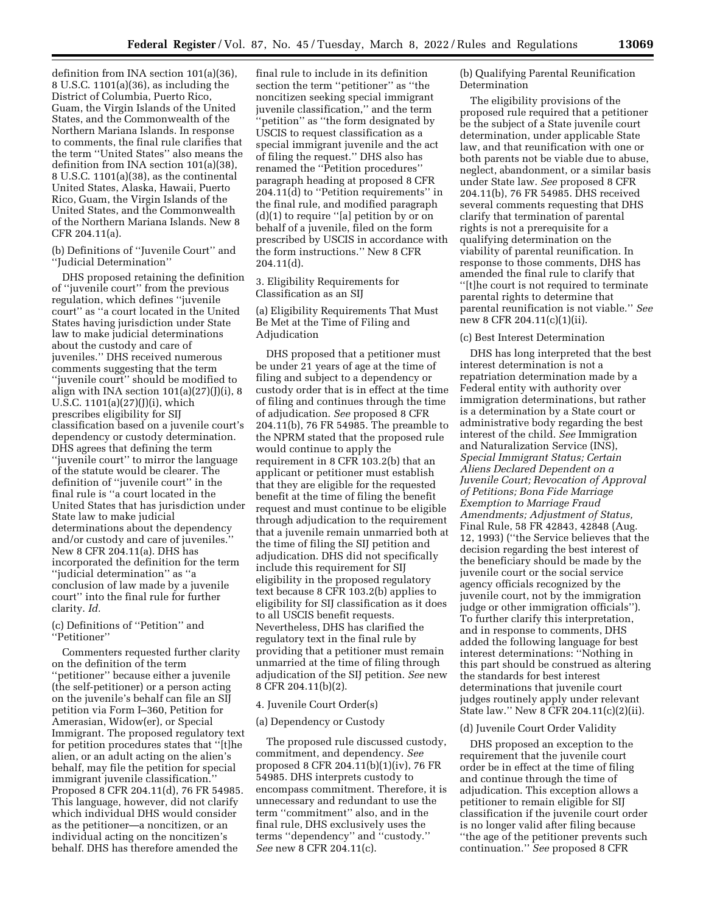definition from INA section 101(a)(36), 8 U.S.C. 1101(a)(36), as including the District of Columbia, Puerto Rico, Guam, the Virgin Islands of the United States, and the Commonwealth of the Northern Mariana Islands. In response to comments, the final rule clarifies that the term ''United States'' also means the definition from INA section 101(a)(38), 8 U.S.C. 1101(a)(38), as the continental United States, Alaska, Hawaii, Puerto Rico, Guam, the Virgin Islands of the United States, and the Commonwealth of the Northern Mariana Islands. New 8 CFR 204.11(a).

(b) Definitions of ''Juvenile Court'' and ''Judicial Determination''

DHS proposed retaining the definition of ''juvenile court'' from the previous regulation, which defines ''juvenile court'' as ''a court located in the United States having jurisdiction under State law to make judicial determinations about the custody and care of juveniles.'' DHS received numerous comments suggesting that the term ''juvenile court'' should be modified to align with INA section  $101(a)(27)(J)(i)$ , 8 U.S.C. 1101(a)(27)(J)(i), which prescribes eligibility for SIJ classification based on a juvenile court's dependency or custody determination. DHS agrees that defining the term ''juvenile court'' to mirror the language of the statute would be clearer. The definition of ''juvenile court'' in the final rule is ''a court located in the United States that has jurisdiction under State law to make judicial determinations about the dependency and/or custody and care of juveniles.'' New 8 CFR 204.11(a). DHS has incorporated the definition for the term ''judicial determination'' as ''a conclusion of law made by a juvenile court'' into the final rule for further clarity. *Id.* 

# (c) Definitions of ''Petition'' and ''Petitioner''

Commenters requested further clarity on the definition of the term ''petitioner'' because either a juvenile (the self-petitioner) or a person acting on the juvenile's behalf can file an SIJ petition via Form I–360, Petition for Amerasian, Widow(er), or Special Immigrant. The proposed regulatory text for petition procedures states that ''[t]he alien, or an adult acting on the alien's behalf, may file the petition for special immigrant juvenile classification.'' Proposed 8 CFR 204.11(d), 76 FR 54985. This language, however, did not clarify which individual DHS would consider as the petitioner—a noncitizen, or an individual acting on the noncitizen's behalf. DHS has therefore amended the

final rule to include in its definition section the term ''petitioner'' as ''the noncitizen seeking special immigrant juvenile classification,'' and the term 'petition'' as "the form designated by USCIS to request classification as a special immigrant juvenile and the act of filing the request.'' DHS also has renamed the ''Petition procedures'' paragraph heading at proposed 8 CFR 204.11(d) to ''Petition requirements'' in the final rule, and modified paragraph (d)(1) to require ''[a] petition by or on behalf of a juvenile, filed on the form prescribed by USCIS in accordance with the form instructions.'' New 8 CFR 204.11(d).

3. Eligibility Requirements for Classification as an SIJ

(a) Eligibility Requirements That Must Be Met at the Time of Filing and Adjudication

DHS proposed that a petitioner must be under 21 years of age at the time of filing and subject to a dependency or custody order that is in effect at the time of filing and continues through the time of adjudication. *See* proposed 8 CFR 204.11(b), 76 FR 54985. The preamble to the NPRM stated that the proposed rule would continue to apply the requirement in 8 CFR 103.2(b) that an applicant or petitioner must establish that they are eligible for the requested benefit at the time of filing the benefit request and must continue to be eligible through adjudication to the requirement that a juvenile remain unmarried both at the time of filing the SIJ petition and adjudication. DHS did not specifically include this requirement for SIJ eligibility in the proposed regulatory text because 8 CFR 103.2(b) applies to eligibility for SIJ classification as it does to all USCIS benefit requests. Nevertheless, DHS has clarified the regulatory text in the final rule by providing that a petitioner must remain unmarried at the time of filing through adjudication of the SIJ petition. *See* new 8 CFR 204.11(b)(2).

## 4. Juvenile Court Order(s)

# (a) Dependency or Custody

The proposed rule discussed custody, commitment, and dependency. *See*  proposed 8 CFR 204.11(b)(1)(iv), 76 FR 54985. DHS interprets custody to encompass commitment. Therefore, it is unnecessary and redundant to use the term ''commitment'' also, and in the final rule, DHS exclusively uses the terms ''dependency'' and ''custody.'' *See* new 8 CFR 204.11(c).

(b) Qualifying Parental Reunification Determination

The eligibility provisions of the proposed rule required that a petitioner be the subject of a State juvenile court determination, under applicable State law, and that reunification with one or both parents not be viable due to abuse, neglect, abandonment, or a similar basis under State law. *See* proposed 8 CFR 204.11(b), 76 FR 54985. DHS received several comments requesting that DHS clarify that termination of parental rights is not a prerequisite for a qualifying determination on the viability of parental reunification. In response to those comments, DHS has amended the final rule to clarify that ''[t]he court is not required to terminate parental rights to determine that parental reunification is not viable.'' *See*  new 8 CFR 204.11(c)(1)(ii).

#### (c) Best Interest Determination

DHS has long interpreted that the best interest determination is not a repatriation determination made by a Federal entity with authority over immigration determinations, but rather is a determination by a State court or administrative body regarding the best interest of the child. *See* Immigration and Naturalization Service (INS), *Special Immigrant Status; Certain Aliens Declared Dependent on a Juvenile Court; Revocation of Approval of Petitions; Bona Fide Marriage Exemption to Marriage Fraud Amendments; Adjustment of Status,*  Final Rule, 58 FR 42843, 42848 (Aug. 12, 1993) (''the Service believes that the decision regarding the best interest of the beneficiary should be made by the juvenile court or the social service agency officials recognized by the juvenile court, not by the immigration judge or other immigration officials''). To further clarify this interpretation, and in response to comments, DHS added the following language for best interest determinations: ''Nothing in this part should be construed as altering the standards for best interest determinations that juvenile court judges routinely apply under relevant State law.'' New 8 CFR 204.11(c)(2)(ii).

### (d) Juvenile Court Order Validity

DHS proposed an exception to the requirement that the juvenile court order be in effect at the time of filing and continue through the time of adjudication. This exception allows a petitioner to remain eligible for SIJ classification if the juvenile court order is no longer valid after filing because ''the age of the petitioner prevents such continuation.'' *See* proposed 8 CFR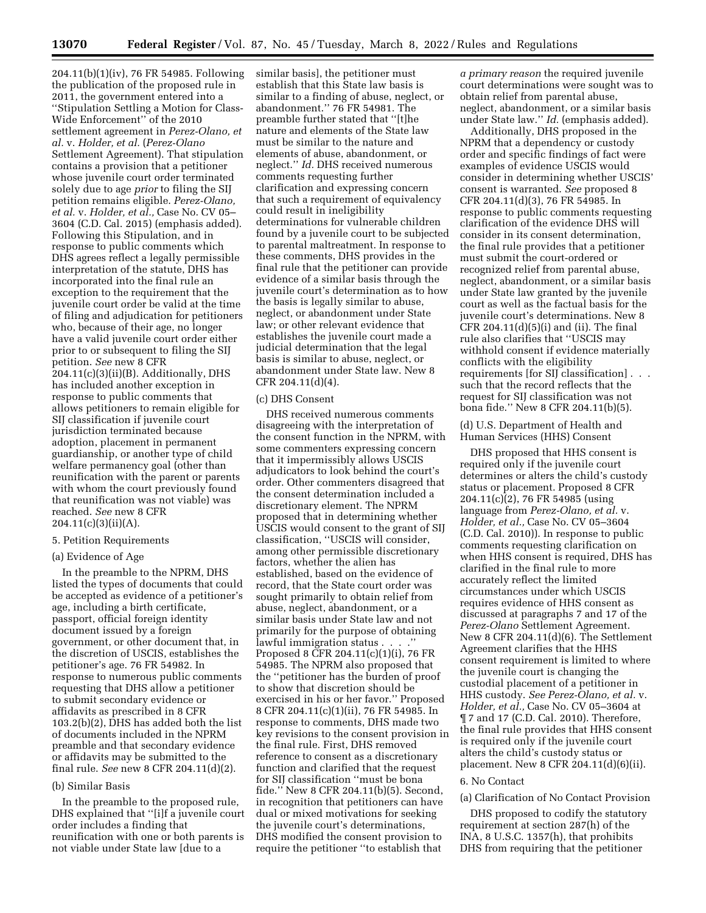204.11(b)(1)(iv), 76 FR 54985. Following the publication of the proposed rule in 2011, the government entered into a ''Stipulation Settling a Motion for Class-Wide Enforcement'' of the 2010 settlement agreement in *Perez-Olano, et al.* v. *Holder, et al.* (*Perez-Olano*  Settlement Agreement). That stipulation contains a provision that a petitioner whose juvenile court order terminated solely due to age *prior* to filing the SIJ petition remains eligible. *Perez-Olano, et al.* v. *Holder, et al.,* Case No. CV 05– 3604 (C.D. Cal. 2015) (emphasis added). Following this Stipulation, and in response to public comments which DHS agrees reflect a legally permissible interpretation of the statute, DHS has incorporated into the final rule an exception to the requirement that the juvenile court order be valid at the time of filing and adjudication for petitioners who, because of their age, no longer have a valid juvenile court order either prior to or subsequent to filing the SIJ petition. *See* new 8 CFR 204.11(c)(3)(ii)(B). Additionally, DHS has included another exception in response to public comments that allows petitioners to remain eligible for SIJ classification if juvenile court jurisdiction terminated because adoption, placement in permanent guardianship, or another type of child welfare permanency goal (other than reunification with the parent or parents with whom the court previously found that reunification was not viable) was reached. *See* new 8 CFR  $204.11(c)(3)(ii)(A).$ 

#### 5. Petition Requirements

## (a) Evidence of Age

In the preamble to the NPRM, DHS listed the types of documents that could be accepted as evidence of a petitioner's age, including a birth certificate, passport, official foreign identity document issued by a foreign government, or other document that, in the discretion of USCIS, establishes the petitioner's age. 76 FR 54982. In response to numerous public comments requesting that DHS allow a petitioner to submit secondary evidence or affidavits as prescribed in 8 CFR 103.2(b)(2), DHS has added both the list of documents included in the NPRM preamble and that secondary evidence or affidavits may be submitted to the final rule. *See* new 8 CFR 204.11(d)(2).

# (b) Similar Basis

In the preamble to the proposed rule, DHS explained that ''[i]f a juvenile court order includes a finding that reunification with one or both parents is not viable under State law [due to a

similar basis], the petitioner must establish that this State law basis is similar to a finding of abuse, neglect, or abandonment.'' 76 FR 54981. The preamble further stated that ''[t]he nature and elements of the State law must be similar to the nature and elements of abuse, abandonment, or neglect.'' *Id.* DHS received numerous comments requesting further clarification and expressing concern that such a requirement of equivalency could result in ineligibility determinations for vulnerable children found by a juvenile court to be subjected to parental maltreatment. In response to these comments, DHS provides in the final rule that the petitioner can provide evidence of a similar basis through the juvenile court's determination as to how the basis is legally similar to abuse, neglect, or abandonment under State law; or other relevant evidence that establishes the juvenile court made a judicial determination that the legal basis is similar to abuse, neglect, or abandonment under State law. New 8 CFR 204.11(d)(4).

#### (c) DHS Consent

DHS received numerous comments disagreeing with the interpretation of the consent function in the NPRM, with some commenters expressing concern that it impermissibly allows USCIS adjudicators to look behind the court's order. Other commenters disagreed that the consent determination included a discretionary element. The NPRM proposed that in determining whether USCIS would consent to the grant of SIJ classification, ''USCIS will consider, among other permissible discretionary factors, whether the alien has established, based on the evidence of record, that the State court order was sought primarily to obtain relief from abuse, neglect, abandonment, or a similar basis under State law and not primarily for the purpose of obtaining lawful immigration status . . . .'' Proposed 8 CFR 204.11(c)(1)(i), 76 FR 54985. The NPRM also proposed that the ''petitioner has the burden of proof to show that discretion should be exercised in his or her favor.'' Proposed 8 CFR 204.11(c)(1)(ii), 76 FR 54985. In response to comments, DHS made two key revisions to the consent provision in the final rule. First, DHS removed reference to consent as a discretionary function and clarified that the request for SIJ classification ''must be bona fide.'' New 8 CFR 204.11(b)(5). Second, in recognition that petitioners can have dual or mixed motivations for seeking the juvenile court's determinations, DHS modified the consent provision to require the petitioner ''to establish that

*a primary reason* the required juvenile court determinations were sought was to obtain relief from parental abuse, neglect, abandonment, or a similar basis under State law.'' *Id.* (emphasis added).

Additionally, DHS proposed in the NPRM that a dependency or custody order and specific findings of fact were examples of evidence USCIS would consider in determining whether USCIS' consent is warranted. *See* proposed 8 CFR 204.11(d)(3), 76 FR 54985. In response to public comments requesting clarification of the evidence DHS will consider in its consent determination, the final rule provides that a petitioner must submit the court-ordered or recognized relief from parental abuse, neglect, abandonment, or a similar basis under State law granted by the juvenile court as well as the factual basis for the juvenile court's determinations. New 8 CFR 204.11 $(d)(5)(i)$  and  $(ii)$ . The final rule also clarifies that ''USCIS may withhold consent if evidence materially conflicts with the eligibility requirements [for SIJ classification] . . . such that the record reflects that the request for SIJ classification was not bona fide.'' New 8 CFR 204.11(b)(5).

(d) U.S. Department of Health and Human Services (HHS) Consent

DHS proposed that HHS consent is required only if the juvenile court determines or alters the child's custody status or placement. Proposed 8 CFR 204.11(c)(2), 76 FR 54985 (using language from *Perez-Olano, et al.* v. *Holder, et al.,* Case No. CV 05–3604 (C.D. Cal. 2010)). In response to public comments requesting clarification on when HHS consent is required, DHS has clarified in the final rule to more accurately reflect the limited circumstances under which USCIS requires evidence of HHS consent as discussed at paragraphs 7 and 17 of the *Perez-Olano* Settlement Agreement. New 8 CFR 204.11(d)(6). The Settlement Agreement clarifies that the HHS consent requirement is limited to where the juvenile court is changing the custodial placement of a petitioner in HHS custody. *See Perez-Olano, et al.* v. *Holder, et al.,* Case No. CV 05–3604 at ¶ 7 and 17 (C.D. Cal. 2010). Therefore, the final rule provides that HHS consent is required only if the juvenile court alters the child's custody status or placement. New 8 CFR 204.11(d)(6)(ii).

## 6. No Contact

# (a) Clarification of No Contact Provision

DHS proposed to codify the statutory requirement at section 287(h) of the INA, 8 U.S.C. 1357(h), that prohibits DHS from requiring that the petitioner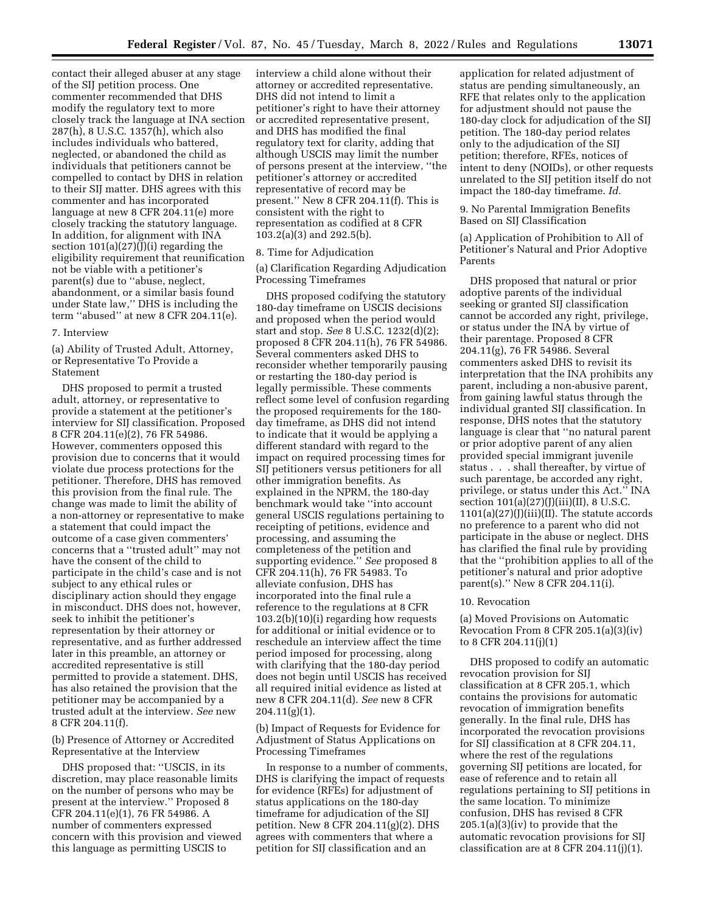contact their alleged abuser at any stage of the SIJ petition process. One commenter recommended that DHS modify the regulatory text to more closely track the language at INA section 287(h), 8 U.S.C. 1357(h), which also includes individuals who battered, neglected, or abandoned the child as individuals that petitioners cannot be compelled to contact by DHS in relation to their SIJ matter. DHS agrees with this commenter and has incorporated language at new 8 CFR 204.11(e) more closely tracking the statutory language. In addition, for alignment with INA section  $101(a)(27)(J)(i)$  regarding the eligibility requirement that reunification not be viable with a petitioner's parent(s) due to ''abuse, neglect, abandonment, or a similar basis found under State law,'' DHS is including the term ''abused'' at new 8 CFR 204.11(e).

#### 7. Interview

(a) Ability of Trusted Adult, Attorney, or Representative To Provide a Statement

DHS proposed to permit a trusted adult, attorney, or representative to provide a statement at the petitioner's interview for SIJ classification. Proposed 8 CFR 204.11(e)(2), 76 FR 54986. However, commenters opposed this provision due to concerns that it would violate due process protections for the petitioner. Therefore, DHS has removed this provision from the final rule. The change was made to limit the ability of a non-attorney or representative to make a statement that could impact the outcome of a case given commenters' concerns that a ''trusted adult'' may not have the consent of the child to participate in the child's case and is not subject to any ethical rules or disciplinary action should they engage in misconduct. DHS does not, however, seek to inhibit the petitioner's representation by their attorney or representative, and as further addressed later in this preamble, an attorney or accredited representative is still permitted to provide a statement. DHS, has also retained the provision that the petitioner may be accompanied by a trusted adult at the interview. *See* new 8 CFR 204.11(f).

(b) Presence of Attorney or Accredited Representative at the Interview

DHS proposed that: ''USCIS, in its discretion, may place reasonable limits on the number of persons who may be present at the interview.'' Proposed 8 CFR 204.11(e)(1), 76 FR 54986. A number of commenters expressed concern with this provision and viewed this language as permitting USCIS to

interview a child alone without their attorney or accredited representative. DHS did not intend to limit a petitioner's right to have their attorney or accredited representative present, and DHS has modified the final regulatory text for clarity, adding that although USCIS may limit the number of persons present at the interview, ''the petitioner's attorney or accredited representative of record may be present.'' New 8 CFR 204.11(f). This is consistent with the right to representation as codified at 8 CFR 103.2(a)(3) and 292.5(b).

## 8. Time for Adjudication

(a) Clarification Regarding Adjudication Processing Timeframes

DHS proposed codifying the statutory 180-day timeframe on USCIS decisions and proposed when the period would start and stop. *See* 8 U.S.C. 1232(d)(2); proposed 8 CFR 204.11(h), 76 FR 54986. Several commenters asked DHS to reconsider whether temporarily pausing or restarting the 180-day period is legally permissible. These comments reflect some level of confusion regarding the proposed requirements for the 180 day timeframe, as DHS did not intend to indicate that it would be applying a different standard with regard to the impact on required processing times for SIJ petitioners versus petitioners for all other immigration benefits. As explained in the NPRM, the 180-day benchmark would take ''into account general USCIS regulations pertaining to receipting of petitions, evidence and processing, and assuming the completeness of the petition and supporting evidence.'' *See* proposed 8 CFR 204.11(h), 76 FR 54983. To alleviate confusion, DHS has incorporated into the final rule a reference to the regulations at 8 CFR 103.2(b)(10)(i) regarding how requests for additional or initial evidence or to reschedule an interview affect the time period imposed for processing, along with clarifying that the 180-day period does not begin until USCIS has received all required initial evidence as listed at new 8 CFR 204.11(d). *See* new 8 CFR  $204.11(g)(1)$ .

(b) Impact of Requests for Evidence for Adjustment of Status Applications on Processing Timeframes

In response to a number of comments, DHS is clarifying the impact of requests for evidence (RFEs) for adjustment of status applications on the 180-day timeframe for adjudication of the SIJ petition. New 8 CFR 204.11(g)(2). DHS agrees with commenters that where a petition for SIJ classification and an

application for related adjustment of status are pending simultaneously, an RFE that relates only to the application for adjustment should not pause the 180-day clock for adjudication of the SIJ petition. The 180-day period relates only to the adjudication of the SIJ petition; therefore, RFEs, notices of intent to deny (NOIDs), or other requests unrelated to the SIJ petition itself do not impact the 180-day timeframe. *Id.* 

9. No Parental Immigration Benefits Based on SIJ Classification

(a) Application of Prohibition to All of Petitioner's Natural and Prior Adoptive Parents

DHS proposed that natural or prior adoptive parents of the individual seeking or granted SIJ classification cannot be accorded any right, privilege, or status under the INA by virtue of their parentage. Proposed 8 CFR 204.11(g), 76 FR 54986. Several commenters asked DHS to revisit its interpretation that the INA prohibits any parent, including a non-abusive parent, from gaining lawful status through the individual granted SIJ classification. In response, DHS notes that the statutory language is clear that ''no natural parent or prior adoptive parent of any alien provided special immigrant juvenile status . . . shall thereafter, by virtue of such parentage, be accorded any right, privilege, or status under this Act.'' INA section  $101(a)(27)(J)(iii)(II)$ , 8 U.S.C.  $1101(a)(27)(J)(iii)(II)$ . The statute accords no preference to a parent who did not participate in the abuse or neglect. DHS has clarified the final rule by providing that the ''prohibition applies to all of the petitioner's natural and prior adoptive parent(s).'' New 8 CFR 204.11(i).

### 10. Revocation

(a) Moved Provisions on Automatic Revocation From 8 CFR 205.1(a)(3)(iv) to 8 CFR 204.11(j)(1)

DHS proposed to codify an automatic revocation provision for SIJ classification at 8 CFR 205.1, which contains the provisions for automatic revocation of immigration benefits generally. In the final rule, DHS has incorporated the revocation provisions for SIJ classification at 8 CFR 204.11, where the rest of the regulations governing SIJ petitions are located, for ease of reference and to retain all regulations pertaining to SIJ petitions in the same location. To minimize confusion, DHS has revised 8 CFR 205.1(a)(3)(iv) to provide that the automatic revocation provisions for SIJ classification are at 8 CFR 204.11 $(j)(1)$ .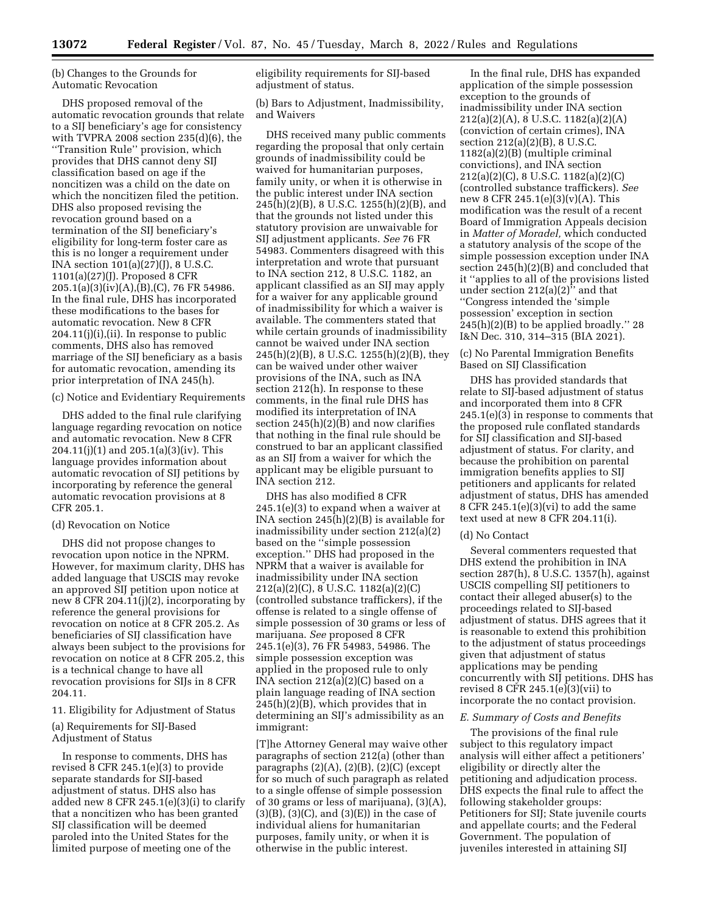(b) Changes to the Grounds for Automatic Revocation

DHS proposed removal of the automatic revocation grounds that relate to a SIJ beneficiary's age for consistency with TVPRA 2008 section 235(d)(6), the ''Transition Rule'' provision, which provides that DHS cannot deny SIJ classification based on age if the noncitizen was a child on the date on which the noncitizen filed the petition. DHS also proposed revising the revocation ground based on a termination of the SIJ beneficiary's eligibility for long-term foster care as this is no longer a requirement under INA section  $101(a)(27)(1)$ , 8 U.S.C. 1101(a)(27)(J). Proposed 8 CFR 205.1(a)(3)(iv)(A),(B),(C), 76 FR 54986. In the final rule, DHS has incorporated these modifications to the bases for automatic revocation. New 8 CFR 204.11(j)(i),(ii). In response to public comments, DHS also has removed marriage of the SIJ beneficiary as a basis for automatic revocation, amending its prior interpretation of INA 245(h).

(c) Notice and Evidentiary Requirements

DHS added to the final rule clarifying language regarding revocation on notice and automatic revocation. New 8 CFR 204.11(j)(1) and 205.1(a)(3)(iv). This language provides information about automatic revocation of SIJ petitions by incorporating by reference the general automatic revocation provisions at 8 CFR 205.1.

#### (d) Revocation on Notice

DHS did not propose changes to revocation upon notice in the NPRM. However, for maximum clarity, DHS has added language that USCIS may revoke an approved SIJ petition upon notice at new 8 CFR 204.11(j)(2), incorporating by reference the general provisions for revocation on notice at 8 CFR 205.2. As beneficiaries of SIJ classification have always been subject to the provisions for revocation on notice at 8 CFR 205.2, this is a technical change to have all revocation provisions for SIJs in 8 CFR 204.11.

11. Eligibility for Adjustment of Status (a) Requirements for SIJ-Based Adjustment of Status

In response to comments, DHS has revised 8 CFR 245.1(e)(3) to provide separate standards for SIJ-based adjustment of status. DHS also has added new 8 CFR 245.1(e)(3)(i) to clarify that a noncitizen who has been granted SIJ classification will be deemed paroled into the United States for the limited purpose of meeting one of the

eligibility requirements for SIJ-based adjustment of status.

(b) Bars to Adjustment, Inadmissibility, and Waivers

DHS received many public comments regarding the proposal that only certain grounds of inadmissibility could be waived for humanitarian purposes, family unity, or when it is otherwise in the public interest under INA section 245(h)(2)(B), 8 U.S.C. 1255(h)(2)(B), and that the grounds not listed under this statutory provision are unwaivable for SIJ adjustment applicants. *See* 76 FR 54983. Commenters disagreed with this interpretation and wrote that pursuant to INA section 212, 8 U.S.C. 1182, an applicant classified as an SIJ may apply for a waiver for any applicable ground of inadmissibility for which a waiver is available. The commenters stated that while certain grounds of inadmissibility cannot be waived under INA section 245(h)(2)(B), 8 U.S.C. 1255(h)(2)(B), they can be waived under other waiver provisions of the INA, such as INA section 212(h). In response to these comments, in the final rule DHS has modified its interpretation of INA section  $245(h)(2)(B)$  and now clarifies that nothing in the final rule should be construed to bar an applicant classified as an SIJ from a waiver for which the applicant may be eligible pursuant to INA section 212.

DHS has also modified 8 CFR 245.1(e)(3) to expand when a waiver at INA section 245(h)(2)(B) is available for inadmissibility under section 212(a)(2) based on the ''simple possession exception.'' DHS had proposed in the NPRM that a waiver is available for inadmissibility under INA section 212(a)(2)(C), 8 U.S.C. 1182(a)(2)(C) (controlled substance traffickers), if the offense is related to a single offense of simple possession of 30 grams or less of marijuana. *See* proposed 8 CFR 245.1(e)(3), 76 FR 54983, 54986. The simple possession exception was applied in the proposed rule to only INA section 212(a)(2)(C) based on a plain language reading of INA section 245(h)(2)(B), which provides that in determining an SIJ's admissibility as an immigrant:

[T]he Attorney General may waive other paragraphs of section 212(a) (other than paragraphs  $(2)(A)$ ,  $(2)(B)$ ,  $(2)(C)$  (except for so much of such paragraph as related to a single offense of simple possession of 30 grams or less of marijuana), (3)(A),  $(3)(B)$ ,  $(3)(C)$ , and  $(3)(E)$  in the case of individual aliens for humanitarian purposes, family unity, or when it is otherwise in the public interest.

In the final rule, DHS has expanded application of the simple possession exception to the grounds of inadmissibility under INA section 212(a)(2)(A), 8 U.S.C. 1182(a)(2)(A) (conviction of certain crimes), INA section 212(a)(2)(B), 8 U.S.C. 1182(a)(2)(B) (multiple criminal convictions), and INA section 212(a)(2)(C), 8 U.S.C. 1182(a)(2)(C) (controlled substance traffickers). *See*  new 8 CFR 245.1(e)(3)(v)(A). This modification was the result of a recent Board of Immigration Appeals decision in *Matter of Moradel,* which conducted a statutory analysis of the scope of the simple possession exception under INA section 245(h)(2)(B) and concluded that it ''applies to all of the provisions listed under section  $212(a)(2)^{7}$  and that ''Congress intended the 'simple possession' exception in section  $245(h)(2)(B)$  to be applied broadly." 28 I&N Dec. 310, 314–315 (BIA 2021).

(c) No Parental Immigration Benefits Based on SIJ Classification

DHS has provided standards that relate to SIJ-based adjustment of status and incorporated them into 8 CFR 245.1(e)(3) in response to comments that the proposed rule conflated standards for SIJ classification and SIJ-based adjustment of status. For clarity, and because the prohibition on parental immigration benefits applies to SIJ petitioners and applicants for related adjustment of status, DHS has amended 8 CFR 245.1(e)(3)(vi) to add the same text used at new 8 CFR 204.11(i).

#### (d) No Contact

Several commenters requested that DHS extend the prohibition in INA section 287(h), 8 U.S.C. 1357(h), against USCIS compelling SIJ petitioners to contact their alleged abuser(s) to the proceedings related to SIJ-based adjustment of status. DHS agrees that it is reasonable to extend this prohibition to the adjustment of status proceedings given that adjustment of status applications may be pending concurrently with SIJ petitions. DHS has revised 8 CFR 245.1(e)(3)(vii) to incorporate the no contact provision.

#### *E. Summary of Costs and Benefits*

The provisions of the final rule subject to this regulatory impact analysis will either affect a petitioners' eligibility or directly alter the petitioning and adjudication process. DHS expects the final rule to affect the following stakeholder groups: Petitioners for SIJ; State juvenile courts and appellate courts; and the Federal Government. The population of juveniles interested in attaining SIJ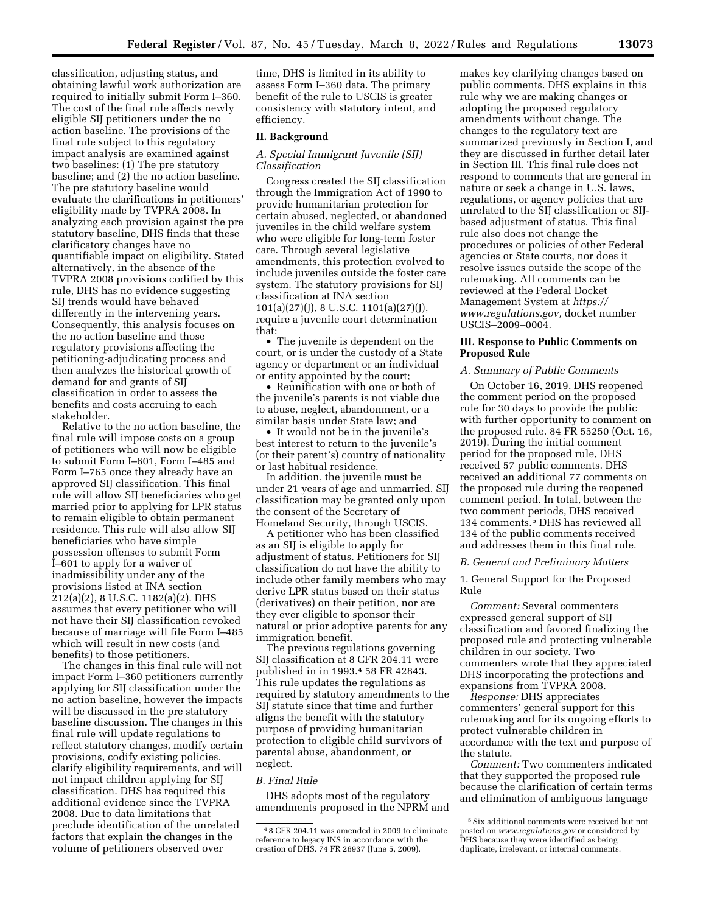classification, adjusting status, and obtaining lawful work authorization are required to initially submit Form I–360. The cost of the final rule affects newly eligible SIJ petitioners under the no action baseline. The provisions of the final rule subject to this regulatory impact analysis are examined against two baselines: (1) The pre statutory baseline; and (2) the no action baseline. The pre statutory baseline would evaluate the clarifications in petitioners' eligibility made by TVPRA 2008. In analyzing each provision against the pre statutory baseline, DHS finds that these clarificatory changes have no quantifiable impact on eligibility. Stated alternatively, in the absence of the TVPRA 2008 provisions codified by this rule, DHS has no evidence suggesting SIJ trends would have behaved differently in the intervening years. Consequently, this analysis focuses on the no action baseline and those regulatory provisions affecting the petitioning-adjudicating process and then analyzes the historical growth of demand for and grants of SIJ classification in order to assess the benefits and costs accruing to each stakeholder.

Relative to the no action baseline, the final rule will impose costs on a group of petitioners who will now be eligible to submit Form I–601, Form I–485 and Form I–765 once they already have an approved SIJ classification. This final rule will allow SIJ beneficiaries who get married prior to applying for LPR status to remain eligible to obtain permanent residence. This rule will also allow SIJ beneficiaries who have simple possession offenses to submit Form I–601 to apply for a waiver of inadmissibility under any of the provisions listed at INA section 212(a)(2), 8 U.S.C. 1182(a)(2). DHS assumes that every petitioner who will not have their SIJ classification revoked because of marriage will file Form I–485 which will result in new costs (and benefits) to those petitioners.

The changes in this final rule will not impact Form I–360 petitioners currently applying for SIJ classification under the no action baseline, however the impacts will be discussed in the pre statutory baseline discussion. The changes in this final rule will update regulations to reflect statutory changes, modify certain provisions, codify existing policies, clarify eligibility requirements, and will not impact children applying for SIJ classification. DHS has required this additional evidence since the TVPRA 2008. Due to data limitations that preclude identification of the unrelated factors that explain the changes in the volume of petitioners observed over

time, DHS is limited in its ability to assess Form I–360 data. The primary benefit of the rule to USCIS is greater consistency with statutory intent, and efficiency.

## **II. Background**

# *A. Special Immigrant Juvenile (SIJ) Classification*

Congress created the SIJ classification through the Immigration Act of 1990 to provide humanitarian protection for certain abused, neglected, or abandoned juveniles in the child welfare system who were eligible for long-term foster care. Through several legislative amendments, this protection evolved to include juveniles outside the foster care system. The statutory provisions for SIJ classification at INA section 101(a)(27)(J), 8 U.S.C. 1101(a)(27)(J), require a juvenile court determination that:

• The juvenile is dependent on the court, or is under the custody of a State agency or department or an individual or entity appointed by the court;

• Reunification with one or both of the juvenile's parents is not viable due to abuse, neglect, abandonment, or a similar basis under State law; and

• It would not be in the juvenile's best interest to return to the juvenile's (or their parent's) country of nationality or last habitual residence.

In addition, the juvenile must be under 21 years of age and unmarried. SIJ classification may be granted only upon the consent of the Secretary of Homeland Security, through USCIS.

A petitioner who has been classified as an SIJ is eligible to apply for adjustment of status. Petitioners for SIJ classification do not have the ability to include other family members who may derive LPR status based on their status (derivatives) on their petition, nor are they ever eligible to sponsor their natural or prior adoptive parents for any immigration benefit.

The previous regulations governing SIJ classification at 8 CFR 204.11 were published in in 1993.4 58 FR 42843. This rule updates the regulations as required by statutory amendments to the SIJ statute since that time and further aligns the benefit with the statutory purpose of providing humanitarian protection to eligible child survivors of parental abuse, abandonment, or neglect.

## *B. Final Rule*

DHS adopts most of the regulatory amendments proposed in the NPRM and makes key clarifying changes based on public comments. DHS explains in this rule why we are making changes or adopting the proposed regulatory amendments without change. The changes to the regulatory text are summarized previously in Section I, and they are discussed in further detail later in Section III. This final rule does not respond to comments that are general in nature or seek a change in U.S. laws, regulations, or agency policies that are unrelated to the SIJ classification or SIJbased adjustment of status. This final rule also does not change the procedures or policies of other Federal agencies or State courts, nor does it resolve issues outside the scope of the rulemaking. All comments can be reviewed at the Federal Docket Management System at *[https://](https://www.regulations.gov) [www.regulations.gov,](https://www.regulations.gov)* docket number USCIS–2009–0004.

## **III. Response to Public Comments on Proposed Rule**

#### *A. Summary of Public Comments*

On October 16, 2019, DHS reopened the comment period on the proposed rule for 30 days to provide the public with further opportunity to comment on the proposed rule. 84 FR 55250 (Oct. 16, 2019). During the initial comment period for the proposed rule, DHS received 57 public comments. DHS received an additional 77 comments on the proposed rule during the reopened comment period. In total, between the two comment periods, DHS received 134 comments.5 DHS has reviewed all 134 of the public comments received and addresses them in this final rule.

#### *B. General and Preliminary Matters*

# 1. General Support for the Proposed Rule

*Comment:* Several commenters expressed general support of SIJ classification and favored finalizing the proposed rule and protecting vulnerable children in our society. Two commenters wrote that they appreciated DHS incorporating the protections and expansions from TVPRA 2008.

*Response:* DHS appreciates commenters' general support for this rulemaking and for its ongoing efforts to protect vulnerable children in accordance with the text and purpose of the statute.

*Comment:* Two commenters indicated that they supported the proposed rule because the clarification of certain terms and elimination of ambiguous language

<sup>4</sup> 8 CFR 204.11 was amended in 2009 to eliminate reference to legacy INS in accordance with the creation of DHS. 74 FR 26937 (June 5, 2009).

<sup>5</sup>Six additional comments were received but not posted on *[www.regulations.gov](http://www.regulations.gov)* or considered by DHS because they were identified as being duplicate, irrelevant, or internal comments.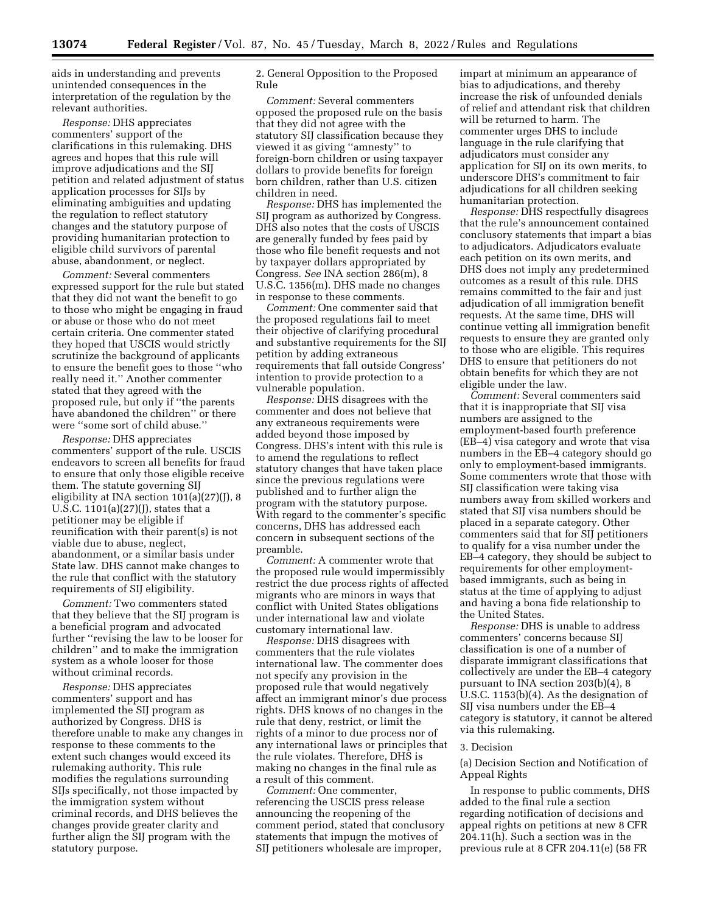aids in understanding and prevents unintended consequences in the interpretation of the regulation by the relevant authorities.

*Response:* DHS appreciates commenters' support of the clarifications in this rulemaking. DHS agrees and hopes that this rule will improve adjudications and the SIJ petition and related adjustment of status application processes for SIJs by eliminating ambiguities and updating the regulation to reflect statutory changes and the statutory purpose of providing humanitarian protection to eligible child survivors of parental abuse, abandonment, or neglect.

*Comment:* Several commenters expressed support for the rule but stated that they did not want the benefit to go to those who might be engaging in fraud or abuse or those who do not meet certain criteria. One commenter stated they hoped that USCIS would strictly scrutinize the background of applicants to ensure the benefit goes to those ''who really need it.'' Another commenter stated that they agreed with the proposed rule, but only if ''the parents have abandoned the children'' or there were ''some sort of child abuse.''

*Response:* DHS appreciates commenters' support of the rule. USCIS endeavors to screen all benefits for fraud to ensure that only those eligible receive them. The statute governing SIJ eligibility at INA section 101(a)(27)(J), 8 U.S.C. 1101(a)(27)(J), states that a petitioner may be eligible if reunification with their parent(s) is not viable due to abuse, neglect, abandonment, or a similar basis under State law. DHS cannot make changes to the rule that conflict with the statutory requirements of SIJ eligibility.

*Comment:* Two commenters stated that they believe that the SIJ program is a beneficial program and advocated further ''revising the law to be looser for children'' and to make the immigration system as a whole looser for those without criminal records.

*Response:* DHS appreciates commenters' support and has implemented the SIJ program as authorized by Congress. DHS is therefore unable to make any changes in response to these comments to the extent such changes would exceed its rulemaking authority. This rule modifies the regulations surrounding SIJs specifically, not those impacted by the immigration system without criminal records, and DHS believes the changes provide greater clarity and further align the SIJ program with the statutory purpose.

2. General Opposition to the Proposed Rule

*Comment:* Several commenters opposed the proposed rule on the basis that they did not agree with the statutory SIJ classification because they viewed it as giving ''amnesty'' to foreign-born children or using taxpayer dollars to provide benefits for foreign born children, rather than U.S. citizen children in need.

*Response:* DHS has implemented the SIJ program as authorized by Congress. DHS also notes that the costs of USCIS are generally funded by fees paid by those who file benefit requests and not by taxpayer dollars appropriated by Congress. *See* INA section 286(m), 8 U.S.C. 1356(m). DHS made no changes in response to these comments.

*Comment:* One commenter said that the proposed regulations fail to meet their objective of clarifying procedural and substantive requirements for the SIJ petition by adding extraneous requirements that fall outside Congress' intention to provide protection to a vulnerable population.

*Response:* DHS disagrees with the commenter and does not believe that any extraneous requirements were added beyond those imposed by Congress. DHS's intent with this rule is to amend the regulations to reflect statutory changes that have taken place since the previous regulations were published and to further align the program with the statutory purpose. With regard to the commenter's specific concerns, DHS has addressed each concern in subsequent sections of the preamble.

*Comment:* A commenter wrote that the proposed rule would impermissibly restrict the due process rights of affected migrants who are minors in ways that conflict with United States obligations under international law and violate customary international law.

*Response:* DHS disagrees with commenters that the rule violates international law. The commenter does not specify any provision in the proposed rule that would negatively affect an immigrant minor's due process rights. DHS knows of no changes in the rule that deny, restrict, or limit the rights of a minor to due process nor of any international laws or principles that the rule violates. Therefore, DHS is making no changes in the final rule as a result of this comment.

*Comment:* One commenter, referencing the USCIS press release announcing the reopening of the comment period, stated that conclusory statements that impugn the motives of SIJ petitioners wholesale are improper,

impart at minimum an appearance of bias to adjudications, and thereby increase the risk of unfounded denials of relief and attendant risk that children will be returned to harm. The commenter urges DHS to include language in the rule clarifying that adjudicators must consider any application for SIJ on its own merits, to underscore DHS's commitment to fair adjudications for all children seeking humanitarian protection.

*Response:* DHS respectfully disagrees that the rule's announcement contained conclusory statements that impart a bias to adjudicators. Adjudicators evaluate each petition on its own merits, and DHS does not imply any predetermined outcomes as a result of this rule. DHS remains committed to the fair and just adjudication of all immigration benefit requests. At the same time, DHS will continue vetting all immigration benefit requests to ensure they are granted only to those who are eligible. This requires DHS to ensure that petitioners do not obtain benefits for which they are not eligible under the law.

*Comment:* Several commenters said that it is inappropriate that SIJ visa numbers are assigned to the employment-based fourth preference (EB–4) visa category and wrote that visa numbers in the EB–4 category should go only to employment-based immigrants. Some commenters wrote that those with SIJ classification were taking visa numbers away from skilled workers and stated that SIJ visa numbers should be placed in a separate category. Other commenters said that for SIJ petitioners to qualify for a visa number under the EB–4 category, they should be subject to requirements for other employmentbased immigrants, such as being in status at the time of applying to adjust and having a bona fide relationship to the United States.

*Response:* DHS is unable to address commenters' concerns because SIJ classification is one of a number of disparate immigrant classifications that collectively are under the EB–4 category pursuant to INA section 203(b)(4), 8 U.S.C. 1153(b)(4). As the designation of SIJ visa numbers under the EB–4 category is statutory, it cannot be altered via this rulemaking.

#### 3. Decision

(a) Decision Section and Notification of Appeal Rights

In response to public comments, DHS added to the final rule a section regarding notification of decisions and appeal rights on petitions at new 8 CFR 204.11(h). Such a section was in the previous rule at 8 CFR 204.11(e) (58 FR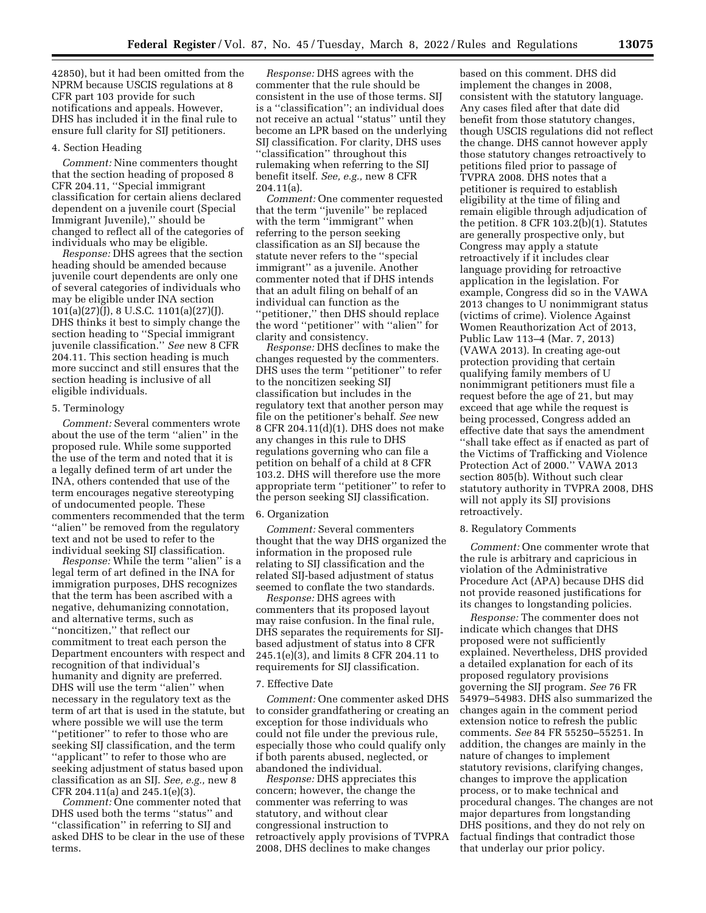42850), but it had been omitted from the NPRM because USCIS regulations at 8 CFR part 103 provide for such notifications and appeals. However, DHS has included it in the final rule to ensure full clarity for SIJ petitioners.

#### 4. Section Heading

*Comment:* Nine commenters thought that the section heading of proposed 8 CFR 204.11, ''Special immigrant classification for certain aliens declared dependent on a juvenile court (Special Immigrant Juvenile),'' should be changed to reflect all of the categories of individuals who may be eligible.

*Response:* DHS agrees that the section heading should be amended because juvenile court dependents are only one of several categories of individuals who may be eligible under INA section 101(a)(27)(J), 8 U.S.C. 1101(a)(27)(J). DHS thinks it best to simply change the section heading to ''Special immigrant juvenile classification.'' *See* new 8 CFR 204.11. This section heading is much more succinct and still ensures that the section heading is inclusive of all eligible individuals.

#### 5. Terminology

*Comment:* Several commenters wrote about the use of the term ''alien'' in the proposed rule. While some supported the use of the term and noted that it is a legally defined term of art under the INA, others contended that use of the term encourages negative stereotyping of undocumented people. These commenters recommended that the term ''alien'' be removed from the regulatory text and not be used to refer to the individual seeking SIJ classification.

*Response:* While the term ''alien'' is a legal term of art defined in the INA for immigration purposes, DHS recognizes that the term has been ascribed with a negative, dehumanizing connotation, and alternative terms, such as ''noncitizen,'' that reflect our commitment to treat each person the Department encounters with respect and recognition of that individual's humanity and dignity are preferred. DHS will use the term ''alien'' when necessary in the regulatory text as the term of art that is used in the statute, but where possible we will use the term ''petitioner'' to refer to those who are seeking SIJ classification, and the term ''applicant'' to refer to those who are seeking adjustment of status based upon classification as an SIJ. *See, e.g.,* new 8 CFR 204.11(a) and 245.1(e)(3).

*Comment:* One commenter noted that DHS used both the terms ''status'' and ''classification'' in referring to SIJ and asked DHS to be clear in the use of these terms.

*Response:* DHS agrees with the commenter that the rule should be consistent in the use of those terms. SIJ is a ''classification''; an individual does not receive an actual ''status'' until they become an LPR based on the underlying SIJ classification. For clarity, DHS uses ''classification'' throughout this rulemaking when referring to the SIJ benefit itself. *See, e.g.,* new 8 CFR 204.11(a).

*Comment:* One commenter requested that the term ''juvenile'' be replaced with the term "immigrant" when referring to the person seeking classification as an SIJ because the statute never refers to the ''special immigrant'' as a juvenile. Another commenter noted that if DHS intends that an adult filing on behalf of an individual can function as the ''petitioner,'' then DHS should replace the word ''petitioner'' with ''alien'' for clarity and consistency.

*Response:* DHS declines to make the changes requested by the commenters. DHS uses the term ''petitioner'' to refer to the noncitizen seeking SIJ classification but includes in the regulatory text that another person may file on the petitioner's behalf. *See* new 8 CFR 204.11(d)(1). DHS does not make any changes in this rule to DHS regulations governing who can file a petition on behalf of a child at 8 CFR 103.2. DHS will therefore use the more appropriate term ''petitioner'' to refer to the person seeking SIJ classification.

### 6. Organization

*Comment:* Several commenters thought that the way DHS organized the information in the proposed rule relating to SIJ classification and the related SIJ-based adjustment of status seemed to conflate the two standards.

*Response:* DHS agrees with commenters that its proposed layout may raise confusion. In the final rule, DHS separates the requirements for SIJbased adjustment of status into 8 CFR 245.1(e)(3), and limits 8 CFR 204.11 to requirements for SIJ classification.

#### 7. Effective Date

*Comment:* One commenter asked DHS to consider grandfathering or creating an exception for those individuals who could not file under the previous rule, especially those who could qualify only if both parents abused, neglected, or abandoned the individual.

*Response:* DHS appreciates this concern; however, the change the commenter was referring to was statutory, and without clear congressional instruction to retroactively apply provisions of TVPRA 2008, DHS declines to make changes

based on this comment. DHS did implement the changes in 2008, consistent with the statutory language. Any cases filed after that date did benefit from those statutory changes, though USCIS regulations did not reflect the change. DHS cannot however apply those statutory changes retroactively to petitions filed prior to passage of TVPRA 2008. DHS notes that a petitioner is required to establish eligibility at the time of filing and remain eligible through adjudication of the petition. 8 CFR 103.2(b)(1). Statutes are generally prospective only, but Congress may apply a statute retroactively if it includes clear language providing for retroactive application in the legislation. For example, Congress did so in the VAWA 2013 changes to U nonimmigrant status (victims of crime). Violence Against Women Reauthorization Act of 2013, Public Law 113–4 (Mar. 7, 2013) (VAWA 2013). In creating age-out protection providing that certain qualifying family members of U nonimmigrant petitioners must file a request before the age of 21, but may exceed that age while the request is being processed, Congress added an effective date that says the amendment ''shall take effect as if enacted as part of the Victims of Trafficking and Violence Protection Act of 2000.'' VAWA 2013 section 805(b). Without such clear statutory authority in TVPRA 2008, DHS will not apply its SIJ provisions retroactively.

### 8. Regulatory Comments

*Comment:* One commenter wrote that the rule is arbitrary and capricious in violation of the Administrative Procedure Act (APA) because DHS did not provide reasoned justifications for its changes to longstanding policies.

*Response:* The commenter does not indicate which changes that DHS proposed were not sufficiently explained. Nevertheless, DHS provided a detailed explanation for each of its proposed regulatory provisions governing the SIJ program. *See* 76 FR 54979–54983. DHS also summarized the changes again in the comment period extension notice to refresh the public comments. *See* 84 FR 55250–55251. In addition, the changes are mainly in the nature of changes to implement statutory revisions, clarifying changes, changes to improve the application process, or to make technical and procedural changes. The changes are not major departures from longstanding DHS positions, and they do not rely on factual findings that contradict those that underlay our prior policy.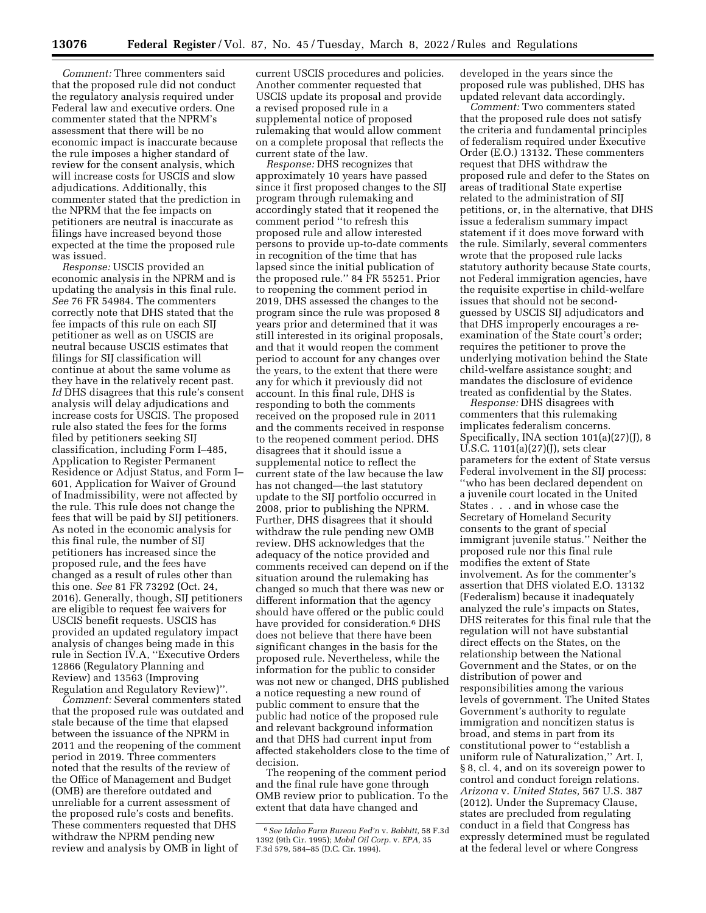*Comment:* Three commenters said that the proposed rule did not conduct the regulatory analysis required under Federal law and executive orders. One commenter stated that the NPRM's assessment that there will be no economic impact is inaccurate because the rule imposes a higher standard of review for the consent analysis, which will increase costs for USCIS and slow adjudications. Additionally, this commenter stated that the prediction in the NPRM that the fee impacts on petitioners are neutral is inaccurate as filings have increased beyond those expected at the time the proposed rule was issued.

*Response:* USCIS provided an economic analysis in the NPRM and is updating the analysis in this final rule. *See* 76 FR 54984. The commenters correctly note that DHS stated that the fee impacts of this rule on each SIJ petitioner as well as on USCIS are neutral because USCIS estimates that filings for SIJ classification will continue at about the same volume as they have in the relatively recent past. *Id* DHS disagrees that this rule's consent analysis will delay adjudications and increase costs for USCIS. The proposed rule also stated the fees for the forms filed by petitioners seeking SIJ classification, including Form I–485, Application to Register Permanent Residence or Adjust Status, and Form I– 601, Application for Waiver of Ground of Inadmissibility, were not affected by the rule. This rule does not change the fees that will be paid by SIJ petitioners. As noted in the economic analysis for this final rule, the number of SIJ petitioners has increased since the proposed rule, and the fees have changed as a result of rules other than this one. *See* 81 FR 73292 (Oct. 24, 2016). Generally, though, SIJ petitioners are eligible to request fee waivers for USCIS benefit requests. USCIS has provided an updated regulatory impact analysis of changes being made in this rule in Section IV.A, ''Executive Orders 12866 (Regulatory Planning and Review) and 13563 (Improving Regulation and Regulatory Review)''.

*Comment:* Several commenters stated that the proposed rule was outdated and stale because of the time that elapsed between the issuance of the NPRM in 2011 and the reopening of the comment period in 2019. Three commenters noted that the results of the review of the Office of Management and Budget (OMB) are therefore outdated and unreliable for a current assessment of the proposed rule's costs and benefits. These commenters requested that DHS withdraw the NPRM pending new review and analysis by OMB in light of

current USCIS procedures and policies. Another commenter requested that USCIS update its proposal and provide a revised proposed rule in a supplemental notice of proposed rulemaking that would allow comment on a complete proposal that reflects the current state of the law.

*Response:* DHS recognizes that approximately 10 years have passed since it first proposed changes to the SIJ program through rulemaking and accordingly stated that it reopened the comment period ''to refresh this proposed rule and allow interested persons to provide up-to-date comments in recognition of the time that has lapsed since the initial publication of the proposed rule.'' 84 FR 55251. Prior to reopening the comment period in 2019, DHS assessed the changes to the program since the rule was proposed 8 years prior and determined that it was still interested in its original proposals, and that it would reopen the comment period to account for any changes over the years, to the extent that there were any for which it previously did not account. In this final rule, DHS is responding to both the comments received on the proposed rule in 2011 and the comments received in response to the reopened comment period. DHS disagrees that it should issue a supplemental notice to reflect the current state of the law because the law has not changed—the last statutory update to the SIJ portfolio occurred in 2008, prior to publishing the NPRM. Further, DHS disagrees that it should withdraw the rule pending new OMB review. DHS acknowledges that the adequacy of the notice provided and comments received can depend on if the situation around the rulemaking has changed so much that there was new or different information that the agency should have offered or the public could have provided for consideration.<sup>6</sup> DHS does not believe that there have been significant changes in the basis for the proposed rule. Nevertheless, while the information for the public to consider was not new or changed, DHS published a notice requesting a new round of public comment to ensure that the public had notice of the proposed rule and relevant background information and that DHS had current input from affected stakeholders close to the time of decision.

The reopening of the comment period and the final rule have gone through OMB review prior to publication. To the extent that data have changed and

developed in the years since the proposed rule was published, DHS has updated relevant data accordingly.

*Comment:* Two commenters stated that the proposed rule does not satisfy the criteria and fundamental principles of federalism required under Executive Order (E.O.) 13132. These commenters request that DHS withdraw the proposed rule and defer to the States on areas of traditional State expertise related to the administration of SIJ petitions, or, in the alternative, that DHS issue a federalism summary impact statement if it does move forward with the rule. Similarly, several commenters wrote that the proposed rule lacks statutory authority because State courts, not Federal immigration agencies, have the requisite expertise in child-welfare issues that should not be secondguessed by USCIS SIJ adjudicators and that DHS improperly encourages a reexamination of the State court's order; requires the petitioner to prove the underlying motivation behind the State child-welfare assistance sought; and mandates the disclosure of evidence treated as confidential by the States.

*Response:* DHS disagrees with commenters that this rulemaking implicates federalism concerns. Specifically, INA section 101(a)(27)(J), 8 U.S.C. 1101(a)(27)(J), sets clear parameters for the extent of State versus Federal involvement in the SIJ process: ''who has been declared dependent on a juvenile court located in the United States . . . and in whose case the Secretary of Homeland Security consents to the grant of special immigrant juvenile status.'' Neither the proposed rule nor this final rule modifies the extent of State involvement. As for the commenter's assertion that DHS violated E.O. 13132 (Federalism) because it inadequately analyzed the rule's impacts on States, DHS reiterates for this final rule that the regulation will not have substantial direct effects on the States, on the relationship between the National Government and the States, or on the distribution of power and responsibilities among the various levels of government. The United States Government's authority to regulate immigration and noncitizen status is broad, and stems in part from its constitutional power to ''establish a uniform rule of Naturalization,'' Art. I, § 8, cl. 4, and on its sovereign power to control and conduct foreign relations. *Arizona* v. *United States,* 567 U.S. 387 (2012). Under the Supremacy Clause, states are precluded from regulating conduct in a field that Congress has expressly determined must be regulated at the federal level or where Congress

<sup>6</sup>*See Idaho Farm Bureau Fed'n* v. *Babbitt,* 58 F.3d 1392 (9th Cir. 1995); *Mobil Oil Corp.* v. *EPA,* 35 F.3d 579, 584–85 (D.C. Cir. 1994).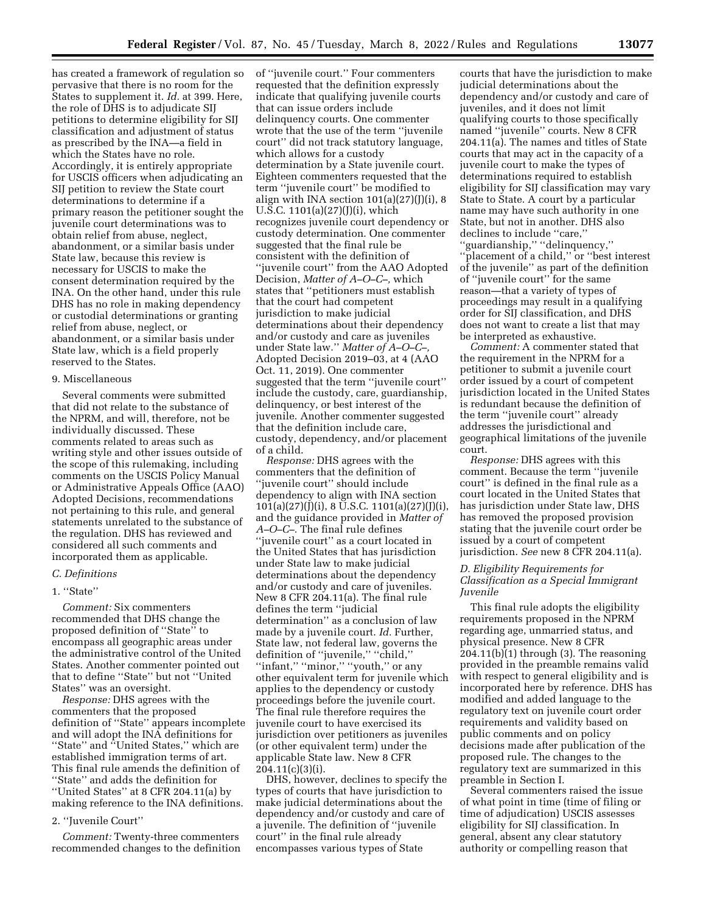has created a framework of regulation so pervasive that there is no room for the States to supplement it. *Id.* at 399. Here, the role of DHS is to adjudicate SIJ petitions to determine eligibility for SIJ classification and adjustment of status as prescribed by the INA—a field in which the States have no role. Accordingly, it is entirely appropriate for USCIS officers when adjudicating an SIJ petition to review the State court determinations to determine if a primary reason the petitioner sought the juvenile court determinations was to obtain relief from abuse, neglect, abandonment, or a similar basis under State law, because this review is necessary for USCIS to make the consent determination required by the INA. On the other hand, under this rule DHS has no role in making dependency or custodial determinations or granting relief from abuse, neglect, or abandonment, or a similar basis under State law, which is a field properly reserved to the States.

## 9. Miscellaneous

Several comments were submitted that did not relate to the substance of the NPRM, and will, therefore, not be individually discussed. These comments related to areas such as writing style and other issues outside of the scope of this rulemaking, including comments on the USCIS Policy Manual or Administrative Appeals Office (AAO) Adopted Decisions, recommendations not pertaining to this rule, and general statements unrelated to the substance of the regulation. DHS has reviewed and considered all such comments and incorporated them as applicable.

#### *C. Definitions*

# 1. ''State''

*Comment:* Six commenters recommended that DHS change the proposed definition of "State" to encompass all geographic areas under the administrative control of the United States. Another commenter pointed out that to define ''State'' but not ''United States'' was an oversight.

*Response:* DHS agrees with the commenters that the proposed definition of ''State'' appears incomplete and will adopt the INA definitions for ''State'' and ''United States,'' which are established immigration terms of art. This final rule amends the definition of ''State'' and adds the definition for ''United States'' at 8 CFR 204.11(a) by making reference to the INA definitions.

#### 2. ''Juvenile Court''

*Comment:* Twenty-three commenters recommended changes to the definition of ''juvenile court.'' Four commenters requested that the definition expressly indicate that qualifying juvenile courts that can issue orders include delinquency courts. One commenter wrote that the use of the term ''juvenile court'' did not track statutory language, which allows for a custody determination by a State juvenile court. Eighteen commenters requested that the term ''juvenile court'' be modified to align with INA section  $101(a)(27)(j)(i)$ , 8 U.S.C. 1101(a)(27)(J)(i), which recognizes juvenile court dependency or custody determination. One commenter suggested that the final rule be consistent with the definition of ''juvenile court'' from the AAO Adopted Decision, *Matter of A–O–C–,* which states that ''petitioners must establish that the court had competent jurisdiction to make judicial determinations about their dependency and/or custody and care as juveniles under State law.'' *Matter of A–O–C–,*  Adopted Decision 2019–03, at 4 (AAO Oct. 11, 2019). One commenter suggested that the term ''juvenile court'' include the custody, care, guardianship, delinquency, or best interest of the juvenile. Another commenter suggested that the definition include care, custody, dependency, and/or placement of a child.

*Response:* DHS agrees with the commenters that the definition of ''juvenile court'' should include dependency to align with INA section  $101(a)(27)(J)(i)$ , 8 U.S.C.  $1101(a)(27)(J)(i)$ , and the guidance provided in *Matter of A–O–C–.* The final rule defines ''juvenile court'' as a court located in the United States that has jurisdiction under State law to make judicial determinations about the dependency and/or custody and care of juveniles. New 8 CFR 204.11(a). The final rule defines the term ''judicial determination'' as a conclusion of law made by a juvenile court. *Id.* Further, State law, not federal law, governs the definition of ''juvenile,'' ''child,'' "infant," "minor," "youth," or any other equivalent term for juvenile which applies to the dependency or custody proceedings before the juvenile court. The final rule therefore requires the juvenile court to have exercised its jurisdiction over petitioners as juveniles (or other equivalent term) under the applicable State law. New 8 CFR 204.11(c)(3)(i).

DHS, however, declines to specify the types of courts that have jurisdiction to make judicial determinations about the dependency and/or custody and care of a juvenile. The definition of ''juvenile court'' in the final rule already encompasses various types of State

courts that have the jurisdiction to make judicial determinations about the dependency and/or custody and care of juveniles, and it does not limit qualifying courts to those specifically named ''juvenile'' courts. New 8 CFR 204.11(a). The names and titles of State courts that may act in the capacity of a juvenile court to make the types of determinations required to establish eligibility for SIJ classification may vary State to State. A court by a particular name may have such authority in one State, but not in another. DHS also declines to include ''care,'' ''guardianship,'' ''delinquency,'' ''placement of a child,'' or ''best interest of the juvenile'' as part of the definition of ''juvenile court'' for the same reason—that a variety of types of proceedings may result in a qualifying order for SIJ classification, and DHS does not want to create a list that may be interpreted as exhaustive.

*Comment:* A commenter stated that the requirement in the NPRM for a petitioner to submit a juvenile court order issued by a court of competent jurisdiction located in the United States is redundant because the definition of the term ''juvenile court'' already addresses the jurisdictional and geographical limitations of the juvenile court.

*Response:* DHS agrees with this comment. Because the term ''juvenile court'' is defined in the final rule as a court located in the United States that has jurisdiction under State law, DHS has removed the proposed provision stating that the juvenile court order be issued by a court of competent jurisdiction. *See* new 8 CFR 204.11(a).

# *D. Eligibility Requirements for Classification as a Special Immigrant Juvenile*

This final rule adopts the eligibility requirements proposed in the NPRM regarding age, unmarried status, and physical presence. New 8 CFR 204.11(b)(1) through (3). The reasoning provided in the preamble remains valid with respect to general eligibility and is incorporated here by reference. DHS has modified and added language to the regulatory text on juvenile court order requirements and validity based on public comments and on policy decisions made after publication of the proposed rule. The changes to the regulatory text are summarized in this preamble in Section I.

Several commenters raised the issue of what point in time (time of filing or time of adjudication) USCIS assesses eligibility for SIJ classification. In general, absent any clear statutory authority or compelling reason that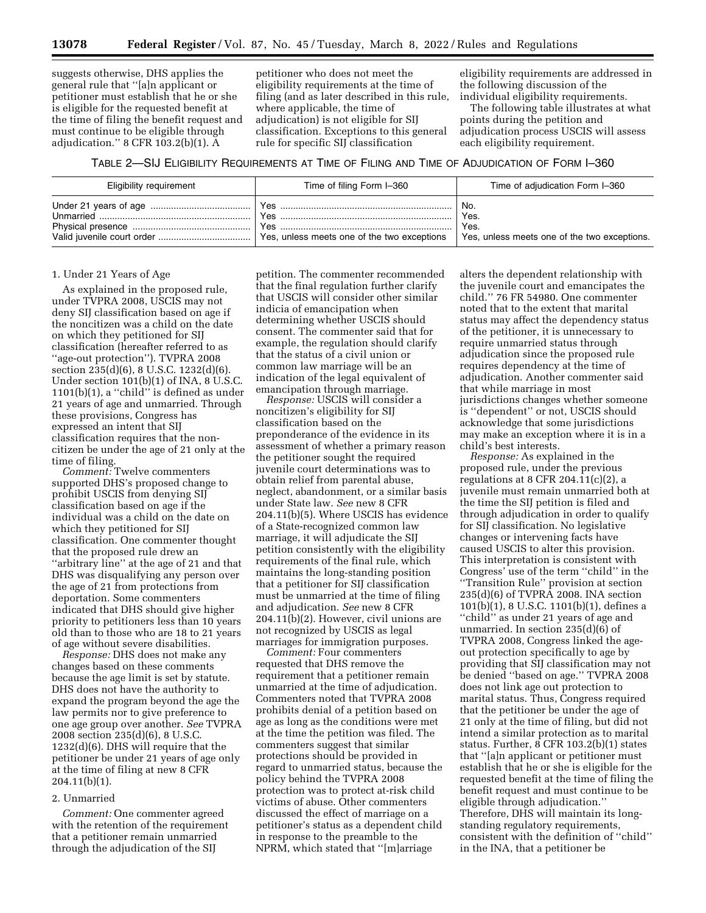suggests otherwise, DHS applies the general rule that ''[a]n applicant or petitioner must establish that he or she is eligible for the requested benefit at the time of filing the benefit request and must continue to be eligible through adjudication.'' 8 CFR 103.2(b)(1). A

petitioner who does not meet the eligibility requirements at the time of filing (and as later described in this rule, where applicable, the time of adjudication) is not eligible for SIJ classification. Exceptions to this general rule for specific SIJ classification

eligibility requirements are addressed in the following discussion of the individual eligibility requirements.

The following table illustrates at what points during the petition and adjudication process USCIS will assess each eligibility requirement.

TABLE 2—SIJ ELIGIBILITY REQUIREMENTS AT TIME OF FILING AND TIME OF ADJUDICATION OF FORM I–360

| Eligibility requirement | Time of filing Form I-360 | Time of adjudication Form I-360                                     |
|-------------------------|---------------------------|---------------------------------------------------------------------|
|                         | <b>Yes</b><br>Yes         | No.<br>Yes.<br>Yes.<br>Yes, unless meets one of the two exceptions. |

#### 1. Under 21 Years of Age

As explained in the proposed rule, under TVPRA 2008, USCIS may not deny SIJ classification based on age if the noncitizen was a child on the date on which they petitioned for SIJ classification (hereafter referred to as ''age-out protection''). TVPRA 2008 section 235(d)(6), 8 U.S.C. 1232(d)(6). Under section 101(b)(1) of INA, 8 U.S.C. 1101(b)(1), a ''child'' is defined as under 21 years of age and unmarried. Through these provisions, Congress has expressed an intent that SIJ classification requires that the noncitizen be under the age of 21 only at the time of filing.

*Comment:* Twelve commenters supported DHS's proposed change to prohibit USCIS from denying SIJ classification based on age if the individual was a child on the date on which they petitioned for SIJ classification. One commenter thought that the proposed rule drew an ''arbitrary line'' at the age of 21 and that DHS was disqualifying any person over the age of 21 from protections from deportation. Some commenters indicated that DHS should give higher priority to petitioners less than 10 years old than to those who are 18 to 21 years of age without severe disabilities.

*Response:* DHS does not make any changes based on these comments because the age limit is set by statute. DHS does not have the authority to expand the program beyond the age the law permits nor to give preference to one age group over another. *See* TVPRA 2008 section 235(d)(6), 8 U.S.C. 1232(d)(6). DHS will require that the petitioner be under 21 years of age only at the time of filing at new 8 CFR 204.11(b)(1).

### 2. Unmarried

*Comment:* One commenter agreed with the retention of the requirement that a petitioner remain unmarried through the adjudication of the SIJ

petition. The commenter recommended that the final regulation further clarify that USCIS will consider other similar indicia of emancipation when determining whether USCIS should consent. The commenter said that for example, the regulation should clarify that the status of a civil union or common law marriage will be an indication of the legal equivalent of emancipation through marriage.

*Response:* USCIS will consider a noncitizen's eligibility for SIJ classification based on the preponderance of the evidence in its assessment of whether a primary reason the petitioner sought the required juvenile court determinations was to obtain relief from parental abuse, neglect, abandonment, or a similar basis under State law. *See* new 8 CFR 204.11(b)(5). Where USCIS has evidence of a State-recognized common law marriage, it will adjudicate the SIJ petition consistently with the eligibility requirements of the final rule, which maintains the long-standing position that a petitioner for SIJ classification must be unmarried at the time of filing and adjudication. *See* new 8 CFR 204.11(b)(2). However, civil unions are not recognized by USCIS as legal marriages for immigration purposes.

*Comment:* Four commenters requested that DHS remove the requirement that a petitioner remain unmarried at the time of adjudication. Commenters noted that TVPRA 2008 prohibits denial of a petition based on age as long as the conditions were met at the time the petition was filed. The commenters suggest that similar protections should be provided in regard to unmarried status, because the policy behind the TVPRA 2008 protection was to protect at-risk child victims of abuse. Other commenters discussed the effect of marriage on a petitioner's status as a dependent child in response to the preamble to the NPRM, which stated that ''[m]arriage

alters the dependent relationship with the juvenile court and emancipates the child.'' 76 FR 54980. One commenter noted that to the extent that marital status may affect the dependency status of the petitioner, it is unnecessary to require unmarried status through adjudication since the proposed rule requires dependency at the time of adjudication. Another commenter said that while marriage in most jurisdictions changes whether someone is ''dependent'' or not, USCIS should acknowledge that some jurisdictions may make an exception where it is in a child's best interests.

*Response:* As explained in the proposed rule, under the previous regulations at 8 CFR 204.11(c)(2), a juvenile must remain unmarried both at the time the SIJ petition is filed and through adjudication in order to qualify for SIJ classification. No legislative changes or intervening facts have caused USCIS to alter this provision. This interpretation is consistent with Congress' use of the term ''child'' in the ''Transition Rule'' provision at section 235(d)(6) of TVPRA 2008. INA section 101(b)(1), 8 U.S.C. 1101(b)(1), defines a ''child'' as under 21 years of age and unmarried. In section 235(d)(6) of TVPRA 2008, Congress linked the ageout protection specifically to age by providing that SIJ classification may not be denied ''based on age.'' TVPRA 2008 does not link age out protection to marital status. Thus, Congress required that the petitioner be under the age of 21 only at the time of filing, but did not intend a similar protection as to marital status. Further, 8 CFR 103.2(b)(1) states that ''[a]n applicant or petitioner must establish that he or she is eligible for the requested benefit at the time of filing the benefit request and must continue to be eligible through adjudication.'' Therefore, DHS will maintain its longstanding regulatory requirements, consistent with the definition of ''child'' in the INA, that a petitioner be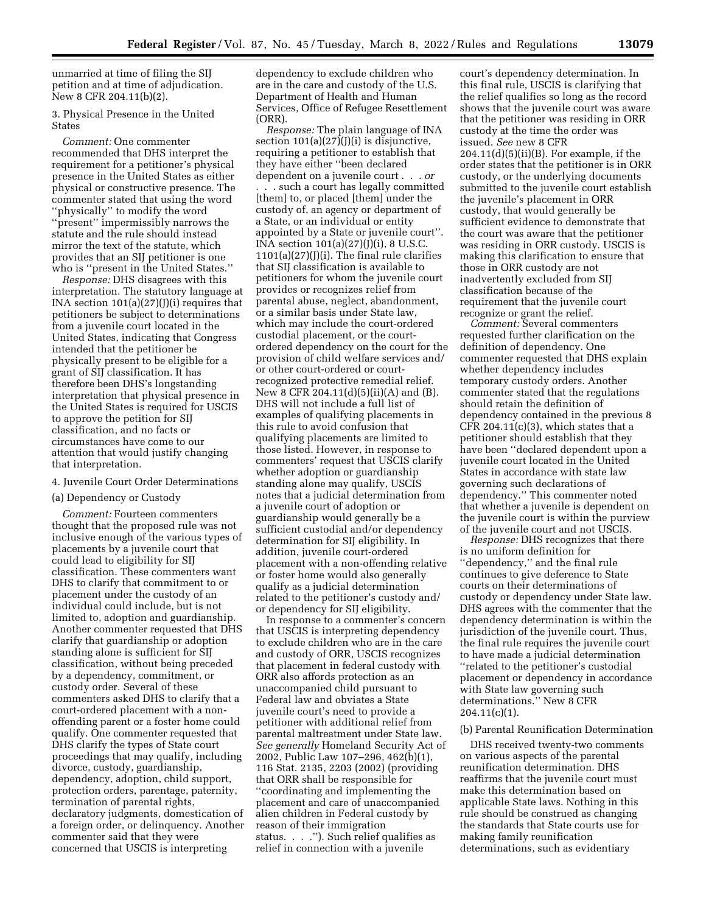unmarried at time of filing the SIJ petition and at time of adjudication. New 8 CFR 204.11(b)(2).

3. Physical Presence in the United **States** 

*Comment:* One commenter recommended that DHS interpret the requirement for a petitioner's physical presence in the United States as either physical or constructive presence. The commenter stated that using the word ''physically'' to modify the word ''present'' impermissibly narrows the statute and the rule should instead mirror the text of the statute, which provides that an SIJ petitioner is one who is ''present in the United States.''

*Response:* DHS disagrees with this interpretation. The statutory language at INA section 101(a)(27)(J)(i) requires that petitioners be subject to determinations from a juvenile court located in the United States, indicating that Congress intended that the petitioner be physically present to be eligible for a grant of SIJ classification. It has therefore been DHS's longstanding interpretation that physical presence in the United States is required for USCIS to approve the petition for SIJ classification, and no facts or circumstances have come to our attention that would justify changing that interpretation.

#### 4. Juvenile Court Order Determinations

#### (a) Dependency or Custody

*Comment:* Fourteen commenters thought that the proposed rule was not inclusive enough of the various types of placements by a juvenile court that could lead to eligibility for SIJ classification. These commenters want DHS to clarify that commitment to or placement under the custody of an individual could include, but is not limited to, adoption and guardianship. Another commenter requested that DHS clarify that guardianship or adoption standing alone is sufficient for SIJ classification, without being preceded by a dependency, commitment, or custody order. Several of these commenters asked DHS to clarify that a court-ordered placement with a nonoffending parent or a foster home could qualify. One commenter requested that DHS clarify the types of State court proceedings that may qualify, including divorce, custody, guardianship, dependency, adoption, child support, protection orders, parentage, paternity, termination of parental rights, declaratory judgments, domestication of a foreign order, or delinquency. Another commenter said that they were concerned that USCIS is interpreting

dependency to exclude children who are in the care and custody of the U.S. Department of Health and Human Services, Office of Refugee Resettlement (ORR).

*Response:* The plain language of INA section  $101(a)(27)(j)(i)$  is disjunctive, requiring a petitioner to establish that they have either ''been declared dependent on a juvenile court . . . *or* 

. . . such a court has legally committed [them] to, or placed [them] under the custody of, an agency or department of a State, or an individual or entity appointed by a State or juvenile court''. INA section 101(a)(27)(J)(i), 8 U.S.C.  $1101(a)(27)(1)(i)$ . The final rule clarifies that SIJ classification is available to petitioners for whom the juvenile court provides or recognizes relief from parental abuse, neglect, abandonment, or a similar basis under State law, which may include the court-ordered custodial placement, or the courtordered dependency on the court for the provision of child welfare services and/ or other court-ordered or courtrecognized protective remedial relief. New 8 CFR 204.11(d)(5)(ii)(A) and (B). DHS will not include a full list of examples of qualifying placements in this rule to avoid confusion that qualifying placements are limited to those listed. However, in response to commenters' request that USCIS clarify whether adoption or guardianship standing alone may qualify, USCIS notes that a judicial determination from a juvenile court of adoption or guardianship would generally be a sufficient custodial and/or dependency determination for SIJ eligibility. In addition, juvenile court-ordered placement with a non-offending relative or foster home would also generally qualify as a judicial determination related to the petitioner's custody and/ or dependency for SIJ eligibility.

In response to a commenter's concern that USCIS is interpreting dependency to exclude children who are in the care and custody of ORR, USCIS recognizes that placement in federal custody with ORR also affords protection as an unaccompanied child pursuant to Federal law and obviates a State juvenile court's need to provide a petitioner with additional relief from parental maltreatment under State law. *See generally* Homeland Security Act of 2002, Public Law 107–296, 462(b)(1), 116 Stat. 2135, 2203 (2002) (providing that ORR shall be responsible for ''coordinating and implementing the placement and care of unaccompanied alien children in Federal custody by reason of their immigration status. . . .''). Such relief qualifies as relief in connection with a juvenile

court's dependency determination. In this final rule, USCIS is clarifying that the relief qualifies so long as the record shows that the juvenile court was aware that the petitioner was residing in ORR custody at the time the order was issued. *See* new 8 CFR  $204.11(d)(5)(ii)(B)$ . For example, if the order states that the petitioner is in ORR custody, or the underlying documents submitted to the juvenile court establish the juvenile's placement in ORR custody, that would generally be sufficient evidence to demonstrate that the court was aware that the petitioner was residing in ORR custody. USCIS is making this clarification to ensure that those in ORR custody are not inadvertently excluded from SIJ classification because of the requirement that the juvenile court recognize or grant the relief.

*Comment:* Several commenters requested further clarification on the definition of dependency. One commenter requested that DHS explain whether dependency includes temporary custody orders. Another commenter stated that the regulations should retain the definition of dependency contained in the previous 8 CFR 204.11 $(c)(3)$ , which states that a petitioner should establish that they have been ''declared dependent upon a juvenile court located in the United States in accordance with state law governing such declarations of dependency.'' This commenter noted that whether a juvenile is dependent on the juvenile court is within the purview of the juvenile court and not USCIS.

*Response:* DHS recognizes that there is no uniform definition for ''dependency,'' and the final rule continues to give deference to State courts on their determinations of custody or dependency under State law. DHS agrees with the commenter that the dependency determination is within the jurisdiction of the juvenile court. Thus, the final rule requires the juvenile court to have made a judicial determination ''related to the petitioner's custodial placement or dependency in accordance with State law governing such determinations.'' New 8 CFR  $204.11(c)(1)$ .

### (b) Parental Reunification Determination

DHS received twenty-two comments on various aspects of the parental reunification determination. DHS reaffirms that the juvenile court must make this determination based on applicable State laws. Nothing in this rule should be construed as changing the standards that State courts use for making family reunification determinations, such as evidentiary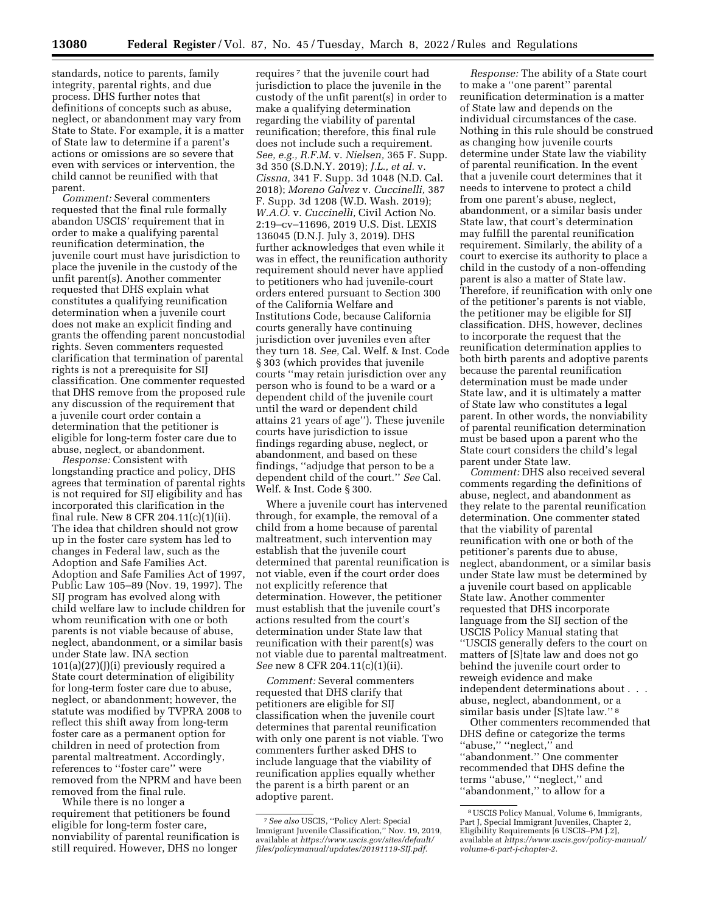standards, notice to parents, family integrity, parental rights, and due process. DHS further notes that definitions of concepts such as abuse, neglect, or abandonment may vary from State to State. For example, it is a matter of State law to determine if a parent's actions or omissions are so severe that even with services or intervention, the child cannot be reunified with that parent.

*Comment:* Several commenters requested that the final rule formally abandon USCIS' requirement that in order to make a qualifying parental reunification determination, the juvenile court must have jurisdiction to place the juvenile in the custody of the unfit parent(s). Another commenter requested that DHS explain what constitutes a qualifying reunification determination when a juvenile court does not make an explicit finding and grants the offending parent noncustodial rights. Seven commenters requested clarification that termination of parental rights is not a prerequisite for SIJ classification. One commenter requested that DHS remove from the proposed rule any discussion of the requirement that a juvenile court order contain a determination that the petitioner is eligible for long-term foster care due to abuse, neglect, or abandonment.

*Response:* Consistent with longstanding practice and policy, DHS agrees that termination of parental rights is not required for SIJ eligibility and has incorporated this clarification in the final rule. New 8 CFR 204.11(c)(1)(ii). The idea that children should not grow up in the foster care system has led to changes in Federal law, such as the Adoption and Safe Families Act. Adoption and Safe Families Act of 1997, Public Law 105–89 (Nov. 19, 1997). The SIJ program has evolved along with child welfare law to include children for whom reunification with one or both parents is not viable because of abuse, neglect, abandonment, or a similar basis under State law. INA section  $101(a)(27)(J)(i)$  previously required a State court determination of eligibility for long-term foster care due to abuse, neglect, or abandonment; however, the statute was modified by TVPRA 2008 to reflect this shift away from long-term foster care as a permanent option for children in need of protection from parental maltreatment. Accordingly, references to ''foster care'' were removed from the NPRM and have been removed from the final rule.

While there is no longer a requirement that petitioners be found eligible for long-term foster care, nonviability of parental reunification is still required. However, DHS no longer

requires 7 that the juvenile court had jurisdiction to place the juvenile in the custody of the unfit parent(s) in order to make a qualifying determination regarding the viability of parental reunification; therefore, this final rule does not include such a requirement. *See, e.g., R.F.M.* v. *Nielsen,* 365 F. Supp. 3d 350 (S.D.N.Y. 2019); *J.L., et al.* v. *Cissna,* 341 F. Supp. 3d 1048 (N.D. Cal. 2018); *Moreno Galvez* v. *Cuccinelli,* 387 F. Supp. 3d 1208 (W.D. Wash. 2019); *W.A.O.* v. *Cuccinelli,* Civil Action No. 2:19–cv–11696, 2019 U.S. Dist. LEXIS 136045 (D.N.J. July 3, 2019). DHS further acknowledges that even while it was in effect, the reunification authority requirement should never have applied to petitioners who had juvenile-court orders entered pursuant to Section 300 of the California Welfare and Institutions Code, because California courts generally have continuing jurisdiction over juveniles even after they turn 18. *See,* Cal. Welf. & Inst. Code § 303 (which provides that juvenile courts ''may retain jurisdiction over any person who is found to be a ward or a dependent child of the juvenile court until the ward or dependent child attains 21 years of age''). These juvenile courts have jurisdiction to issue findings regarding abuse, neglect, or abandonment, and based on these findings, ''adjudge that person to be a dependent child of the court.'' *See* Cal. Welf. & Inst. Code § 300.

Where a juvenile court has intervened through, for example, the removal of a child from a home because of parental maltreatment, such intervention may establish that the juvenile court determined that parental reunification is not viable, even if the court order does not explicitly reference that determination. However, the petitioner must establish that the juvenile court's actions resulted from the court's determination under State law that reunification with their parent(s) was not viable due to parental maltreatment. *See* new 8 CFR 204.11(c)(1)(ii).

*Comment:* Several commenters requested that DHS clarify that petitioners are eligible for SIJ classification when the juvenile court determines that parental reunification with only one parent is not viable. Two commenters further asked DHS to include language that the viability of reunification applies equally whether the parent is a birth parent or an adoptive parent.

*Response:* The ability of a State court to make a ''one parent'' parental reunification determination is a matter of State law and depends on the individual circumstances of the case. Nothing in this rule should be construed as changing how juvenile courts determine under State law the viability of parental reunification. In the event that a juvenile court determines that it needs to intervene to protect a child from one parent's abuse, neglect, abandonment, or a similar basis under State law, that court's determination may fulfill the parental reunification requirement. Similarly, the ability of a court to exercise its authority to place a child in the custody of a non-offending parent is also a matter of State law. Therefore, if reunification with only one of the petitioner's parents is not viable, the petitioner may be eligible for SIJ classification. DHS, however, declines to incorporate the request that the reunification determination applies to both birth parents and adoptive parents because the parental reunification determination must be made under State law, and it is ultimately a matter of State law who constitutes a legal parent. In other words, the nonviability of parental reunification determination must be based upon a parent who the State court considers the child's legal parent under State law.

*Comment:* DHS also received several comments regarding the definitions of abuse, neglect, and abandonment as they relate to the parental reunification determination. One commenter stated that the viability of parental reunification with one or both of the petitioner's parents due to abuse, neglect, abandonment, or a similar basis under State law must be determined by a juvenile court based on applicable State law. Another commenter requested that DHS incorporate language from the SIJ section of the USCIS Policy Manual stating that ''USCIS generally defers to the court on matters of [S]tate law and does not go behind the juvenile court order to reweigh evidence and make independent determinations about . . . abuse, neglect, abandonment, or a similar basis under [S]tate law.'' 8

Other commenters recommended that DHS define or categorize the terms ''abuse,'' ''neglect,'' and ''abandonment.'' One commenter recommended that DHS define the terms "abuse," "neglect," and ''abandonment,'' to allow for a

<sup>7</sup>*See also* USCIS, ''Policy Alert: Special Immigrant Juvenile Classification,'' Nov. 19, 2019, available at *[https://www.uscis.gov/sites/default/](https://www.uscis.gov/sites/default/files/policymanual/updates/20191119-SIJ.pdf) [files/policymanual/updates/20191119-SIJ.pdf.](https://www.uscis.gov/sites/default/files/policymanual/updates/20191119-SIJ.pdf)* 

<sup>8</sup>USCIS Policy Manual, Volume 6, Immigrants, Part J, Special Immigrant Juveniles, Chapter 2, Eligibility Requirements [6 USCIS–PM J.2], available at *[https://www.uscis.gov/policy-manual/](https://www.uscis.gov/policy-manual/volume-6-part-j-chapter-2)  [volume-6-part-j-chapter-2.](https://www.uscis.gov/policy-manual/volume-6-part-j-chapter-2)*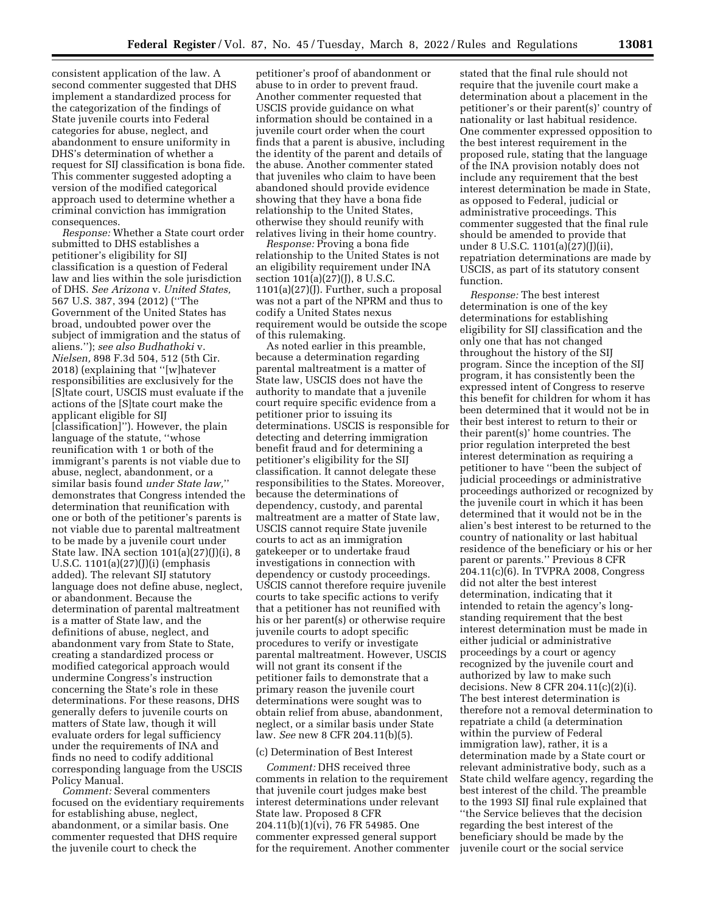consistent application of the law. A second commenter suggested that DHS implement a standardized process for the categorization of the findings of State juvenile courts into Federal categories for abuse, neglect, and abandonment to ensure uniformity in DHS's determination of whether a request for SIJ classification is bona fide. This commenter suggested adopting a version of the modified categorical approach used to determine whether a criminal conviction has immigration consequences.

*Response:* Whether a State court order submitted to DHS establishes a petitioner's eligibility for SIJ classification is a question of Federal law and lies within the sole jurisdiction of DHS. *See Arizona* v. *United States,*  567 U.S. 387, 394 (2012) (''The Government of the United States has broad, undoubted power over the subject of immigration and the status of aliens.''); *see also Budhathoki* v. *Nielsen,* 898 F.3d 504, 512 (5th Cir. 2018) (explaining that ''[w]hatever responsibilities are exclusively for the [S]tate court, USCIS must evaluate if the actions of the [S]tate court make the applicant eligible for SIJ [classification]''). However, the plain language of the statute, ''whose reunification with 1 or both of the immigrant's parents is not viable due to abuse, neglect, abandonment, or a similar basis found *under State law,*'' demonstrates that Congress intended the determination that reunification with one or both of the petitioner's parents is not viable due to parental maltreatment to be made by a juvenile court under State law. INA section  $101(a)(27)(j)(i)$ , 8 U.S.C. 1101(a)(27)(J)(i) (emphasis added). The relevant SIJ statutory language does not define abuse, neglect, or abandonment. Because the determination of parental maltreatment is a matter of State law, and the definitions of abuse, neglect, and abandonment vary from State to State, creating a standardized process or modified categorical approach would undermine Congress's instruction concerning the State's role in these determinations. For these reasons, DHS generally defers to juvenile courts on matters of State law, though it will evaluate orders for legal sufficiency under the requirements of INA and finds no need to codify additional corresponding language from the USCIS Policy Manual.

*Comment:* Several commenters focused on the evidentiary requirements for establishing abuse, neglect, abandonment, or a similar basis. One commenter requested that DHS require the juvenile court to check the

petitioner's proof of abandonment or abuse to in order to prevent fraud. Another commenter requested that USCIS provide guidance on what information should be contained in a juvenile court order when the court finds that a parent is abusive, including the identity of the parent and details of the abuse. Another commenter stated that juveniles who claim to have been abandoned should provide evidence showing that they have a bona fide relationship to the United States, otherwise they should reunify with relatives living in their home country.

*Response:* Proving a bona fide relationship to the United States is not an eligibility requirement under INA section 101(a)(27)(J), 8 U.S.C. 1101(a)(27)(J). Further, such a proposal was not a part of the NPRM and thus to codify a United States nexus requirement would be outside the scope of this rulemaking.

As noted earlier in this preamble, because a determination regarding parental maltreatment is a matter of State law, USCIS does not have the authority to mandate that a juvenile court require specific evidence from a petitioner prior to issuing its determinations. USCIS is responsible for detecting and deterring immigration benefit fraud and for determining a petitioner's eligibility for the SIJ classification. It cannot delegate these responsibilities to the States. Moreover, because the determinations of dependency, custody, and parental maltreatment are a matter of State law, USCIS cannot require State juvenile courts to act as an immigration gatekeeper or to undertake fraud investigations in connection with dependency or custody proceedings. USCIS cannot therefore require juvenile courts to take specific actions to verify that a petitioner has not reunified with his or her parent(s) or otherwise require juvenile courts to adopt specific procedures to verify or investigate parental maltreatment. However, USCIS will not grant its consent if the petitioner fails to demonstrate that a primary reason the juvenile court determinations were sought was to obtain relief from abuse, abandonment, neglect, or a similar basis under State law. *See* new 8 CFR 204.11(b)(5).

# (c) Determination of Best Interest

*Comment:* DHS received three comments in relation to the requirement that juvenile court judges make best interest determinations under relevant State law. Proposed 8 CFR 204.11(b)(1)(vi), 76 FR 54985. One commenter expressed general support for the requirement. Another commenter stated that the final rule should not require that the juvenile court make a determination about a placement in the petitioner's or their parent(s)' country of nationality or last habitual residence. One commenter expressed opposition to the best interest requirement in the proposed rule, stating that the language of the INA provision notably does not include any requirement that the best interest determination be made in State, as opposed to Federal, judicial or administrative proceedings. This commenter suggested that the final rule should be amended to provide that under 8 U.S.C. 1101(a)(27)(J)(ii), repatriation determinations are made by USCIS, as part of its statutory consent function.

*Response:* The best interest determination is one of the key determinations for establishing eligibility for SIJ classification and the only one that has not changed throughout the history of the SIJ program. Since the inception of the SIJ program, it has consistently been the expressed intent of Congress to reserve this benefit for children for whom it has been determined that it would not be in their best interest to return to their or their parent(s)' home countries. The prior regulation interpreted the best interest determination as requiring a petitioner to have ''been the subject of judicial proceedings or administrative proceedings authorized or recognized by the juvenile court in which it has been determined that it would not be in the alien's best interest to be returned to the country of nationality or last habitual residence of the beneficiary or his or her parent or parents.'' Previous 8 CFR 204.11(c)(6). In TVPRA 2008, Congress did not alter the best interest determination, indicating that it intended to retain the agency's longstanding requirement that the best interest determination must be made in either judicial or administrative proceedings by a court or agency recognized by the juvenile court and authorized by law to make such decisions. New 8 CFR 204.11(c)(2)(i). The best interest determination is therefore not a removal determination to repatriate a child (a determination within the purview of Federal immigration law), rather, it is a determination made by a State court or relevant administrative body, such as a State child welfare agency, regarding the best interest of the child. The preamble to the 1993 SIJ final rule explained that ''the Service believes that the decision regarding the best interest of the beneficiary should be made by the juvenile court or the social service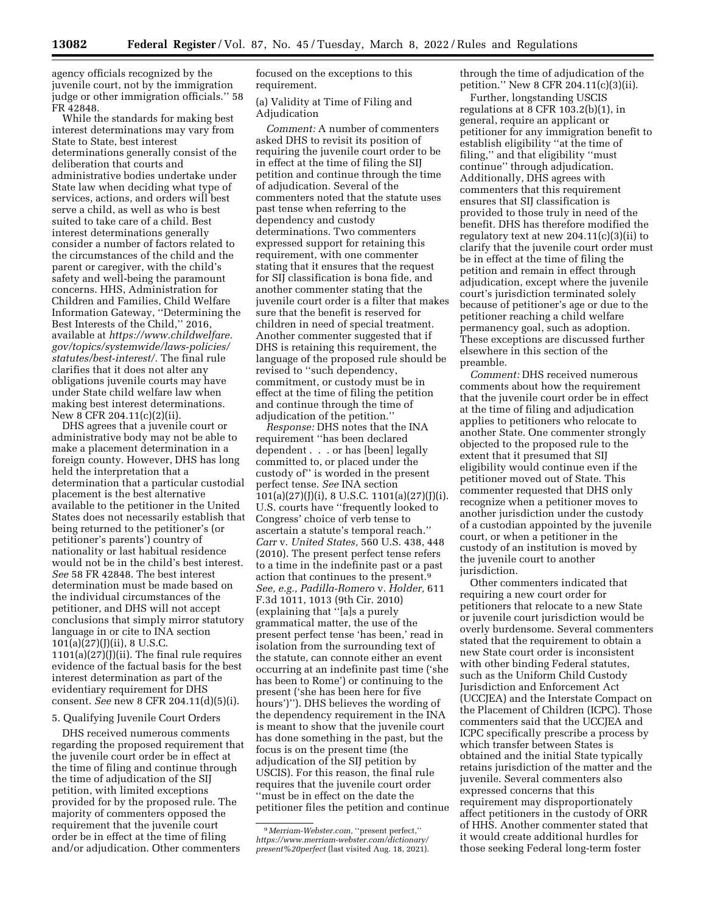agency officials recognized by the juvenile court, not by the immigration judge or other immigration officials.'' 58 FR 42848.

While the standards for making best interest determinations may vary from State to State, best interest determinations generally consist of the deliberation that courts and administrative bodies undertake under State law when deciding what type of services, actions, and orders will best serve a child, as well as who is best suited to take care of a child. Best interest determinations generally consider a number of factors related to the circumstances of the child and the parent or caregiver, with the child's safety and well-being the paramount concerns. HHS, Administration for Children and Families, Child Welfare Information Gateway, ''Determining the Best Interests of the Child,'' 2016, available at *[https://www.childwelfare.](https://www.childwelfare.gov/topics/systemwide/laws-policies/statutes/best-interest/) [gov/topics/systemwide/laws-policies/](https://www.childwelfare.gov/topics/systemwide/laws-policies/statutes/best-interest/)  [statutes/best-interest/.](https://www.childwelfare.gov/topics/systemwide/laws-policies/statutes/best-interest/)* The final rule clarifies that it does not alter any obligations juvenile courts may have under State child welfare law when making best interest determinations. New 8 CFR 204.11(c)(2)(ii).

DHS agrees that a juvenile court or administrative body may not be able to make a placement determination in a foreign county. However, DHS has long held the interpretation that a determination that a particular custodial placement is the best alternative available to the petitioner in the United States does not necessarily establish that being returned to the petitioner's (or petitioner's parents') country of nationality or last habitual residence would not be in the child's best interest. *See* 58 FR 42848. The best interest determination must be made based on the individual circumstances of the petitioner, and DHS will not accept conclusions that simply mirror statutory language in or cite to INA section 101(a)(27)(J)(ii), 8 U.S.C.  $1101(a)(27)(jii)$ . The final rule requires evidence of the factual basis for the best interest determination as part of the evidentiary requirement for DHS consent. *See* new 8 CFR 204.11(d)(5)(i).

## 5. Qualifying Juvenile Court Orders

DHS received numerous comments regarding the proposed requirement that the juvenile court order be in effect at the time of filing and continue through the time of adjudication of the SIJ petition, with limited exceptions provided for by the proposed rule. The majority of commenters opposed the requirement that the juvenile court order be in effect at the time of filing and/or adjudication. Other commenters

focused on the exceptions to this requirement.

# (a) Validity at Time of Filing and Adjudication

*Comment:* A number of commenters asked DHS to revisit its position of requiring the juvenile court order to be in effect at the time of filing the SIJ petition and continue through the time of adjudication. Several of the commenters noted that the statute uses past tense when referring to the dependency and custody determinations. Two commenters expressed support for retaining this requirement, with one commenter stating that it ensures that the request for SIJ classification is bona fide, and another commenter stating that the juvenile court order is a filter that makes sure that the benefit is reserved for children in need of special treatment. Another commenter suggested that if DHS is retaining this requirement, the language of the proposed rule should be revised to ''such dependency, commitment, or custody must be in effect at the time of filing the petition and continue through the time of adjudication of the petition.''

*Response:* DHS notes that the INA requirement ''has been declared dependent . . . or has [been] legally committed to, or placed under the custody of'' is worded in the present perfect tense. *See* INA section  $101(a)(27)(J)(i)$ , 8 U.S.C.  $1101(a)(27)(J)(i)$ . U.S. courts have ''frequently looked to Congress' choice of verb tense to ascertain a statute's temporal reach.'' *Carr* v. *United States,* 560 U.S. 438, 448 (2010). The present perfect tense refers to a time in the indefinite past or a past action that continues to the present.9 *See, e.g., Padilla-Romero* v. *Holder,* 611 F.3d 1011, 1013 (9th Cir. 2010) (explaining that ''[a]s a purely grammatical matter, the use of the present perfect tense 'has been,' read in isolation from the surrounding text of the statute, can connote either an event occurring at an indefinite past time ('she has been to Rome') or continuing to the present ('she has been here for five hours')''). DHS believes the wording of the dependency requirement in the INA is meant to show that the juvenile court has done something in the past, but the focus is on the present time (the adjudication of the SIJ petition by USCIS). For this reason, the final rule requires that the juvenile court order ''must be in effect on the date the petitioner files the petition and continue through the time of adjudication of the petition.'' New 8 CFR 204.11(c)(3)(ii).

Further, longstanding USCIS regulations at 8 CFR 103.2(b)(1), in general, require an applicant or petitioner for any immigration benefit to establish eligibility ''at the time of filing,'' and that eligibility ''must continue'' through adjudication. Additionally, DHS agrees with commenters that this requirement ensures that SIJ classification is provided to those truly in need of the benefit. DHS has therefore modified the regulatory text at new 204.11(c)(3)(ii) to clarify that the juvenile court order must be in effect at the time of filing the petition and remain in effect through adjudication, except where the juvenile court's jurisdiction terminated solely because of petitioner's age or due to the petitioner reaching a child welfare permanency goal, such as adoption. These exceptions are discussed further elsewhere in this section of the preamble.

*Comment:* DHS received numerous comments about how the requirement that the juvenile court order be in effect at the time of filing and adjudication applies to petitioners who relocate to another State. One commenter strongly objected to the proposed rule to the extent that it presumed that SIJ eligibility would continue even if the petitioner moved out of State. This commenter requested that DHS only recognize when a petitioner moves to another jurisdiction under the custody of a custodian appointed by the juvenile court, or when a petitioner in the custody of an institution is moved by the juvenile court to another jurisdiction.

Other commenters indicated that requiring a new court order for petitioners that relocate to a new State or juvenile court jurisdiction would be overly burdensome. Several commenters stated that the requirement to obtain a new State court order is inconsistent with other binding Federal statutes, such as the Uniform Child Custody Jurisdiction and Enforcement Act (UCCJEA) and the Interstate Compact on the Placement of Children (ICPC). Those commenters said that the UCCJEA and ICPC specifically prescribe a process by which transfer between States is obtained and the initial State typically retains jurisdiction of the matter and the juvenile. Several commenters also expressed concerns that this requirement may disproportionately affect petitioners in the custody of ORR of HHS. Another commenter stated that it would create additional hurdles for those seeking Federal long-term foster

<sup>9</sup> *Merriam-Webster.com,* ''present perfect,'' *[https://www.merriam-webster.com/dictionary/](https://www.merriam-webster.com/dictionary/present%20perfect)  [present%20perfect](https://www.merriam-webster.com/dictionary/present%20perfect)* (last visited Aug. 18, 2021).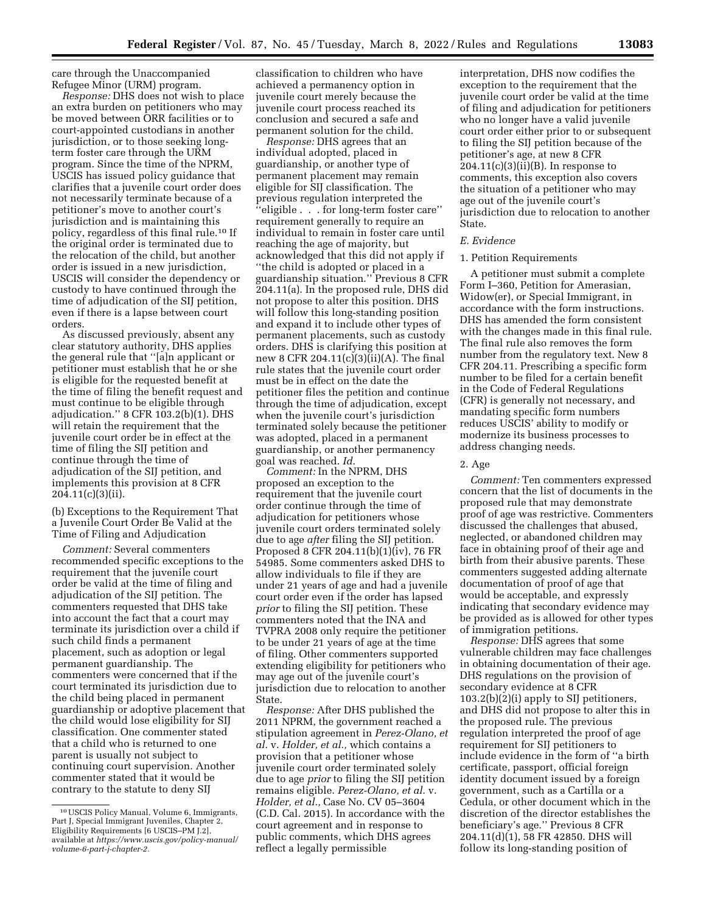care through the Unaccompanied Refugee Minor (URM) program.

*Response:* DHS does not wish to place an extra burden on petitioners who may be moved between ORR facilities or to court-appointed custodians in another jurisdiction, or to those seeking longterm foster care through the URM program. Since the time of the NPRM, USCIS has issued policy guidance that clarifies that a juvenile court order does not necessarily terminate because of a petitioner's move to another court's jurisdiction and is maintaining this policy, regardless of this final rule.10 If the original order is terminated due to the relocation of the child, but another order is issued in a new jurisdiction, USCIS will consider the dependency or custody to have continued through the time of adjudication of the SIJ petition, even if there is a lapse between court orders.

As discussed previously, absent any clear statutory authority, DHS applies the general rule that ''[a]n applicant or petitioner must establish that he or she is eligible for the requested benefit at the time of filing the benefit request and must continue to be eligible through adjudication.'' 8 CFR 103.2(b)(1). DHS will retain the requirement that the juvenile court order be in effect at the time of filing the SIJ petition and continue through the time of adjudication of the SIJ petition, and implements this provision at 8 CFR 204.11(c)(3)(ii).

(b) Exceptions to the Requirement That a Juvenile Court Order Be Valid at the Time of Filing and Adjudication

*Comment:* Several commenters recommended specific exceptions to the requirement that the juvenile court order be valid at the time of filing and adjudication of the SIJ petition. The commenters requested that DHS take into account the fact that a court may terminate its jurisdiction over a child if such child finds a permanent placement, such as adoption or legal permanent guardianship. The commenters were concerned that if the court terminated its jurisdiction due to the child being placed in permanent guardianship or adoptive placement that the child would lose eligibility for SIJ classification. One commenter stated that a child who is returned to one parent is usually not subject to continuing court supervision. Another commenter stated that it would be contrary to the statute to deny SIJ

classification to children who have achieved a permanency option in juvenile court merely because the juvenile court process reached its conclusion and secured a safe and permanent solution for the child.

*Response:* DHS agrees that an individual adopted, placed in guardianship, or another type of permanent placement may remain eligible for SIJ classification. The previous regulation interpreted the ''eligible . . . for long-term foster care'' requirement generally to require an individual to remain in foster care until reaching the age of majority, but acknowledged that this did not apply if ''the child is adopted or placed in a guardianship situation.'' Previous 8 CFR 204.11(a). In the proposed rule, DHS did not propose to alter this position. DHS will follow this long-standing position and expand it to include other types of permanent placements, such as custody orders. DHS is clarifying this position at new 8 CFR 204.11(c)(3)(ii)(A). The final rule states that the juvenile court order must be in effect on the date the petitioner files the petition and continue through the time of adjudication, except when the juvenile court's jurisdiction terminated solely because the petitioner was adopted, placed in a permanent guardianship, or another permanency goal was reached. *Id.* 

*Comment:* In the NPRM, DHS proposed an exception to the requirement that the juvenile court order continue through the time of adjudication for petitioners whose juvenile court orders terminated solely due to age *after* filing the SIJ petition. Proposed 8 CFR 204.11(b)(1)(iv), 76 FR 54985. Some commenters asked DHS to allow individuals to file if they are under 21 years of age and had a juvenile court order even if the order has lapsed *prior* to filing the SIJ petition. These commenters noted that the INA and TVPRA 2008 only require the petitioner to be under 21 years of age at the time of filing. Other commenters supported extending eligibility for petitioners who may age out of the juvenile court's jurisdiction due to relocation to another State.

*Response:* After DHS published the 2011 NPRM, the government reached a stipulation agreement in *Perez-Olano, et al.* v. *Holder, et al.,* which contains a provision that a petitioner whose juvenile court order terminated solely due to age *prior* to filing the SIJ petition remains eligible. *Perez-Olano, et al.* v. *Holder, et al.,* Case No. CV 05–3604 (C.D. Cal. 2015). In accordance with the court agreement and in response to public comments, which DHS agrees reflect a legally permissible

interpretation, DHS now codifies the exception to the requirement that the juvenile court order be valid at the time of filing and adjudication for petitioners who no longer have a valid juvenile court order either prior to or subsequent to filing the SIJ petition because of the petitioner's age, at new 8 CFR  $204.11(c)(3)(ii)(B)$ . In response to comments, this exception also covers the situation of a petitioner who may age out of the juvenile court's jurisdiction due to relocation to another State.

#### *E. Evidence*

### 1. Petition Requirements

A petitioner must submit a complete Form I–360, Petition for Amerasian, Widow(er), or Special Immigrant, in accordance with the form instructions. DHS has amended the form consistent with the changes made in this final rule. The final rule also removes the form number from the regulatory text. New 8 CFR 204.11. Prescribing a specific form number to be filed for a certain benefit in the Code of Federal Regulations (CFR) is generally not necessary, and mandating specific form numbers reduces USCIS' ability to modify or modernize its business processes to address changing needs.

#### 2. Age

*Comment:* Ten commenters expressed concern that the list of documents in the proposed rule that may demonstrate proof of age was restrictive. Commenters discussed the challenges that abused, neglected, or abandoned children may face in obtaining proof of their age and birth from their abusive parents. These commenters suggested adding alternate documentation of proof of age that would be acceptable, and expressly indicating that secondary evidence may be provided as is allowed for other types of immigration petitions.

*Response:* DHS agrees that some vulnerable children may face challenges in obtaining documentation of their age. DHS regulations on the provision of secondary evidence at 8 CFR 103.2(b)(2)(i) apply to SIJ petitioners, and DHS did not propose to alter this in the proposed rule. The previous regulation interpreted the proof of age requirement for SIJ petitioners to include evidence in the form of ''a birth certificate, passport, official foreign identity document issued by a foreign government, such as a Cartilla or a Cedula, or other document which in the discretion of the director establishes the beneficiary's age.'' Previous 8 CFR 204.11(d)(1), 58 FR 42850. DHS will follow its long-standing position of

<sup>10</sup>USCIS Policy Manual, Volume 6, Immigrants, Part J, Special Immigrant Juveniles, Chapter 2, Eligibility Requirements [6 USCIS–PM J.2], available at *[https://www.uscis.gov/policy-manual/](https://www.uscis.gov/policy-manual/volume-6-part-j-chapter-2)  [volume-6-part-j-chapter-2.](https://www.uscis.gov/policy-manual/volume-6-part-j-chapter-2)*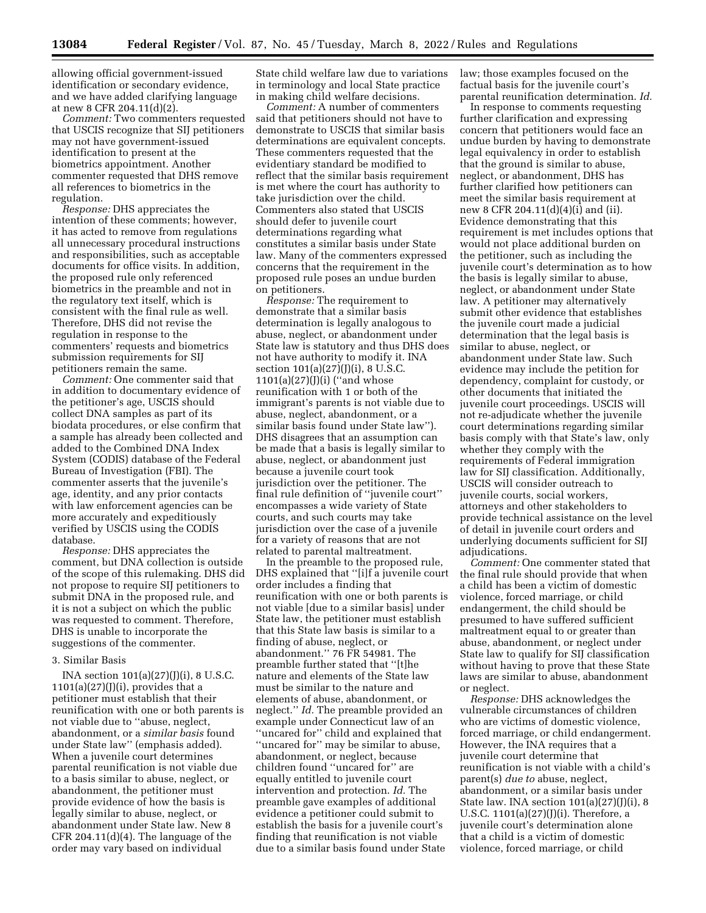allowing official government-issued identification or secondary evidence, and we have added clarifying language at new 8 CFR 204.11(d)(2).

*Comment:* Two commenters requested that USCIS recognize that SIJ petitioners may not have government-issued identification to present at the biometrics appointment. Another commenter requested that DHS remove all references to biometrics in the regulation.

*Response:* DHS appreciates the intention of these comments; however, it has acted to remove from regulations all unnecessary procedural instructions and responsibilities, such as acceptable documents for office visits. In addition, the proposed rule only referenced biometrics in the preamble and not in the regulatory text itself, which is consistent with the final rule as well. Therefore, DHS did not revise the regulation in response to the commenters' requests and biometrics submission requirements for SIJ petitioners remain the same.

*Comment:* One commenter said that in addition to documentary evidence of the petitioner's age, USCIS should collect DNA samples as part of its biodata procedures, or else confirm that a sample has already been collected and added to the Combined DNA Index System (CODIS) database of the Federal Bureau of Investigation (FBI). The commenter asserts that the juvenile's age, identity, and any prior contacts with law enforcement agencies can be more accurately and expeditiously verified by USCIS using the CODIS database.

*Response:* DHS appreciates the comment, but DNA collection is outside of the scope of this rulemaking. DHS did not propose to require SIJ petitioners to submit DNA in the proposed rule, and it is not a subject on which the public was requested to comment. Therefore, DHS is unable to incorporate the suggestions of the commenter.

## 3. Similar Basis

INA section 101(a)(27)(J)(i), 8 U.S.C.  $1101(a)(27)(J)(i)$ , provides that a petitioner must establish that their reunification with one or both parents is not viable due to ''abuse, neglect, abandonment, or a *similar basis* found under State law'' (emphasis added). When a juvenile court determines parental reunification is not viable due to a basis similar to abuse, neglect, or abandonment, the petitioner must provide evidence of how the basis is legally similar to abuse, neglect, or abandonment under State law. New 8 CFR 204.11 $(d)(4)$ . The language of the order may vary based on individual

State child welfare law due to variations in terminology and local State practice in making child welfare decisions.

*Comment:* A number of commenters said that petitioners should not have to demonstrate to USCIS that similar basis determinations are equivalent concepts. These commenters requested that the evidentiary standard be modified to reflect that the similar basis requirement is met where the court has authority to take jurisdiction over the child. Commenters also stated that USCIS should defer to juvenile court determinations regarding what constitutes a similar basis under State law. Many of the commenters expressed concerns that the requirement in the proposed rule poses an undue burden on petitioners.

*Response:* The requirement to demonstrate that a similar basis determination is legally analogous to abuse, neglect, or abandonment under State law is statutory and thus DHS does not have authority to modify it. INA section  $101(a)(27)(J)(i)$ , 8 U.S.C. 1101(a)(27)(J)(i) (''and whose reunification with 1 or both of the immigrant's parents is not viable due to abuse, neglect, abandonment, or a similar basis found under State law''). DHS disagrees that an assumption can be made that a basis is legally similar to abuse, neglect, or abandonment just because a juvenile court took jurisdiction over the petitioner. The final rule definition of ''juvenile court'' encompasses a wide variety of State courts, and such courts may take jurisdiction over the case of a juvenile for a variety of reasons that are not related to parental maltreatment.

In the preamble to the proposed rule, DHS explained that ''[i]f a juvenile court order includes a finding that reunification with one or both parents is not viable [due to a similar basis] under State law, the petitioner must establish that this State law basis is similar to a finding of abuse, neglect, or abandonment.'' 76 FR 54981. The preamble further stated that ''[t]he nature and elements of the State law must be similar to the nature and elements of abuse, abandonment, or neglect.'' *Id.* The preamble provided an example under Connecticut law of an ''uncared for'' child and explained that ''uncared for'' may be similar to abuse, abandonment, or neglect, because children found ''uncared for'' are equally entitled to juvenile court intervention and protection. *Id.* The preamble gave examples of additional evidence a petitioner could submit to establish the basis for a juvenile court's finding that reunification is not viable due to a similar basis found under State

law; those examples focused on the factual basis for the juvenile court's parental reunification determination. *Id.* 

In response to comments requesting further clarification and expressing concern that petitioners would face an undue burden by having to demonstrate legal equivalency in order to establish that the ground is similar to abuse, neglect, or abandonment, DHS has further clarified how petitioners can meet the similar basis requirement at new 8 CFR 204.11(d)(4)(i) and (ii). Evidence demonstrating that this requirement is met includes options that would not place additional burden on the petitioner, such as including the juvenile court's determination as to how the basis is legally similar to abuse, neglect, or abandonment under State law. A petitioner may alternatively submit other evidence that establishes the juvenile court made a judicial determination that the legal basis is similar to abuse, neglect, or abandonment under State law. Such evidence may include the petition for dependency, complaint for custody, or other documents that initiated the juvenile court proceedings. USCIS will not re-adjudicate whether the juvenile court determinations regarding similar basis comply with that State's law, only whether they comply with the requirements of Federal immigration law for SIJ classification. Additionally, USCIS will consider outreach to juvenile courts, social workers, attorneys and other stakeholders to provide technical assistance on the level of detail in juvenile court orders and underlying documents sufficient for SIJ adjudications.

*Comment:* One commenter stated that the final rule should provide that when a child has been a victim of domestic violence, forced marriage, or child endangerment, the child should be presumed to have suffered sufficient maltreatment equal to or greater than abuse, abandonment, or neglect under State law to qualify for SIJ classification without having to prove that these State laws are similar to abuse, abandonment or neglect.

*Response:* DHS acknowledges the vulnerable circumstances of children who are victims of domestic violence, forced marriage, or child endangerment. However, the INA requires that a juvenile court determine that reunification is not viable with a child's parent(s) *due to* abuse, neglect, abandonment, or a similar basis under State law. INA section 101(a)(27)(J)(i), 8 U.S.C. 1101(a)(27)(J)(i). Therefore, a juvenile court's determination alone that a child is a victim of domestic violence, forced marriage, or child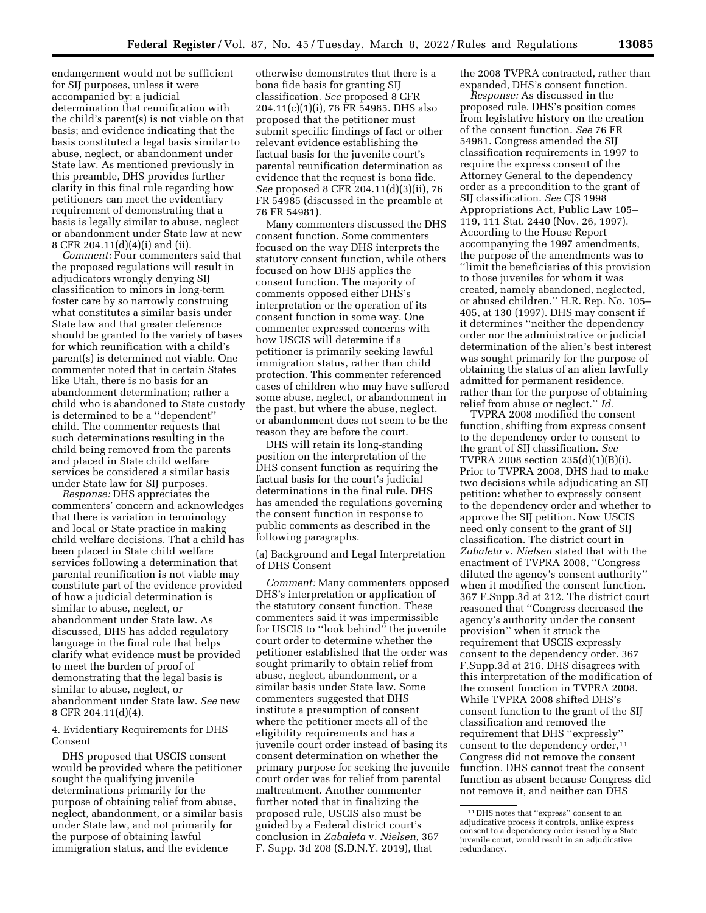endangerment would not be sufficient for SIJ purposes, unless it were accompanied by: a judicial determination that reunification with the child's parent(s) is not viable on that basis; and evidence indicating that the basis constituted a legal basis similar to abuse, neglect, or abandonment under State law. As mentioned previously in this preamble, DHS provides further clarity in this final rule regarding how petitioners can meet the evidentiary requirement of demonstrating that a basis is legally similar to abuse, neglect or abandonment under State law at new 8 CFR 204.11(d)(4)(i) and (ii).

*Comment:* Four commenters said that the proposed regulations will result in adjudicators wrongly denying SIJ classification to minors in long-term foster care by so narrowly construing what constitutes a similar basis under State law and that greater deference should be granted to the variety of bases for which reunification with a child's parent(s) is determined not viable. One commenter noted that in certain States like Utah, there is no basis for an abandonment determination; rather a child who is abandoned to State custody is determined to be a ''dependent'' child. The commenter requests that such determinations resulting in the child being removed from the parents and placed in State child welfare services be considered a similar basis under State law for SIJ purposes.

*Response:* DHS appreciates the commenters' concern and acknowledges that there is variation in terminology and local or State practice in making child welfare decisions. That a child has been placed in State child welfare services following a determination that parental reunification is not viable may constitute part of the evidence provided of how a judicial determination is similar to abuse, neglect, or abandonment under State law. As discussed, DHS has added regulatory language in the final rule that helps clarify what evidence must be provided to meet the burden of proof of demonstrating that the legal basis is similar to abuse, neglect, or abandonment under State law. *See* new 8 CFR 204.11(d)(4).

# 4. Evidentiary Requirements for DHS Consent

DHS proposed that USCIS consent would be provided where the petitioner sought the qualifying juvenile determinations primarily for the purpose of obtaining relief from abuse, neglect, abandonment, or a similar basis under State law, and not primarily for the purpose of obtaining lawful immigration status, and the evidence

otherwise demonstrates that there is a bona fide basis for granting SIJ classification. *See* proposed 8 CFR 204.11(c)(1)(i), 76 FR 54985. DHS also proposed that the petitioner must submit specific findings of fact or other relevant evidence establishing the factual basis for the juvenile court's parental reunification determination as evidence that the request is bona fide. *See* proposed 8 CFR 204.11(d)(3)(ii), 76 FR 54985 (discussed in the preamble at 76 FR 54981).

Many commenters discussed the DHS consent function. Some commenters focused on the way DHS interprets the statutory consent function, while others focused on how DHS applies the consent function. The majority of comments opposed either DHS's interpretation or the operation of its consent function in some way. One commenter expressed concerns with how USCIS will determine if a petitioner is primarily seeking lawful immigration status, rather than child protection. This commenter referenced cases of children who may have suffered some abuse, neglect, or abandonment in the past, but where the abuse, neglect, or abandonment does not seem to be the reason they are before the court.

DHS will retain its long-standing position on the interpretation of the DHS consent function as requiring the factual basis for the court's judicial determinations in the final rule. DHS has amended the regulations governing the consent function in response to public comments as described in the following paragraphs.

(a) Background and Legal Interpretation of DHS Consent

*Comment:* Many commenters opposed DHS's interpretation or application of the statutory consent function. These commenters said it was impermissible for USCIS to ''look behind'' the juvenile court order to determine whether the petitioner established that the order was sought primarily to obtain relief from abuse, neglect, abandonment, or a similar basis under State law. Some commenters suggested that DHS institute a presumption of consent where the petitioner meets all of the eligibility requirements and has a juvenile court order instead of basing its consent determination on whether the primary purpose for seeking the juvenile court order was for relief from parental maltreatment. Another commenter further noted that in finalizing the proposed rule, USCIS also must be guided by a Federal district court's conclusion in *Zabaleta* v. *Nielsen,* 367 F. Supp. 3d 208 (S.D.N.Y. 2019), that

the 2008 TVPRA contracted, rather than expanded, DHS's consent function.

*Response:* As discussed in the proposed rule, DHS's position comes from legislative history on the creation of the consent function. *See* 76 FR 54981. Congress amended the SIJ classification requirements in 1997 to require the express consent of the Attorney General to the dependency order as a precondition to the grant of SIJ classification. *See* CJS 1998 Appropriations Act, Public Law 105– 119, 111 Stat. 2440 (Nov. 26, 1997). According to the House Report accompanying the 1997 amendments, the purpose of the amendments was to ''limit the beneficiaries of this provision to those juveniles for whom it was created, namely abandoned, neglected, or abused children.'' H.R. Rep. No. 105– 405, at 130 (1997). DHS may consent if it determines ''neither the dependency order nor the administrative or judicial determination of the alien's best interest was sought primarily for the purpose of obtaining the status of an alien lawfully admitted for permanent residence, rather than for the purpose of obtaining relief from abuse or neglect.'' *Id.* 

TVPRA 2008 modified the consent function, shifting from express consent to the dependency order to consent to the grant of SIJ classification. *See*  TVPRA 2008 section 235(d)(1)(B)(i). Prior to TVPRA 2008, DHS had to make two decisions while adjudicating an SIJ petition: whether to expressly consent to the dependency order and whether to approve the SIJ petition. Now USCIS need only consent to the grant of SIJ classification. The district court in *Zabaleta* v. *Nielsen* stated that with the enactment of TVPRA 2008, ''Congress diluted the agency's consent authority'' when it modified the consent function. 367 F.Supp.3d at 212. The district court reasoned that ''Congress decreased the agency's authority under the consent provision'' when it struck the requirement that USCIS expressly consent to the dependency order. 367 F.Supp.3d at 216. DHS disagrees with this interpretation of the modification of the consent function in TVPRA 2008. While TVPRA 2008 shifted DHS's consent function to the grant of the SIJ classification and removed the requirement that DHS ''expressly'' consent to the dependency order,11 Congress did not remove the consent function. DHS cannot treat the consent function as absent because Congress did not remove it, and neither can DHS

<sup>11</sup> DHS notes that ''express'' consent to an adjudicative process it controls, unlike express consent to a dependency order issued by a State juvenile court, would result in an adjudicative redundancy.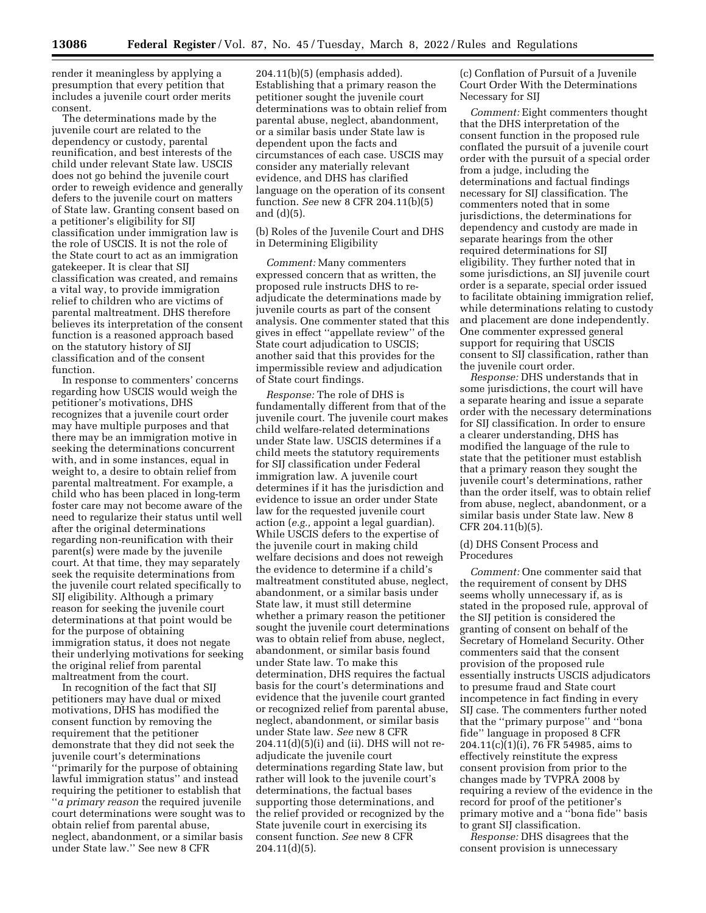render it meaningless by applying a presumption that every petition that includes a juvenile court order merits consent.

The determinations made by the juvenile court are related to the dependency or custody, parental reunification, and best interests of the child under relevant State law. USCIS does not go behind the juvenile court order to reweigh evidence and generally defers to the juvenile court on matters of State law. Granting consent based on a petitioner's eligibility for SIJ classification under immigration law is the role of USCIS. It is not the role of the State court to act as an immigration gatekeeper. It is clear that SIJ classification was created, and remains a vital way, to provide immigration relief to children who are victims of parental maltreatment. DHS therefore believes its interpretation of the consent function is a reasoned approach based on the statutory history of SIJ classification and of the consent function.

In response to commenters' concerns regarding how USCIS would weigh the petitioner's motivations, DHS recognizes that a juvenile court order may have multiple purposes and that there may be an immigration motive in seeking the determinations concurrent with, and in some instances, equal in weight to, a desire to obtain relief from parental maltreatment. For example, a child who has been placed in long-term foster care may not become aware of the need to regularize their status until well after the original determinations regarding non-reunification with their parent(s) were made by the juvenile court. At that time, they may separately seek the requisite determinations from the juvenile court related specifically to SIJ eligibility. Although a primary reason for seeking the juvenile court determinations at that point would be for the purpose of obtaining immigration status, it does not negate their underlying motivations for seeking the original relief from parental maltreatment from the court.

In recognition of the fact that SIJ petitioners may have dual or mixed motivations, DHS has modified the consent function by removing the requirement that the petitioner demonstrate that they did not seek the juvenile court's determinations 'primarily for the purpose of obtaining lawful immigration status'' and instead requiring the petitioner to establish that ''*a primary reason* the required juvenile court determinations were sought was to obtain relief from parental abuse, neglect, abandonment, or a similar basis under State law.'' See new 8 CFR

204.11(b)(5) (emphasis added). Establishing that a primary reason the petitioner sought the juvenile court determinations was to obtain relief from parental abuse, neglect, abandonment, or a similar basis under State law is dependent upon the facts and circumstances of each case. USCIS may consider any materially relevant evidence, and DHS has clarified language on the operation of its consent function. *See* new 8 CFR 204.11(b)(5) and (d)(5).

(b) Roles of the Juvenile Court and DHS in Determining Eligibility

*Comment:* Many commenters expressed concern that as written, the proposed rule instructs DHS to readjudicate the determinations made by juvenile courts as part of the consent analysis. One commenter stated that this gives in effect ''appellate review'' of the State court adjudication to USCIS; another said that this provides for the impermissible review and adjudication of State court findings.

*Response:* The role of DHS is fundamentally different from that of the juvenile court. The juvenile court makes child welfare-related determinations under State law. USCIS determines if a child meets the statutory requirements for SIJ classification under Federal immigration law. A juvenile court determines if it has the jurisdiction and evidence to issue an order under State law for the requested juvenile court action (*e.g.,* appoint a legal guardian). While USCIS defers to the expertise of the juvenile court in making child welfare decisions and does not reweigh the evidence to determine if a child's maltreatment constituted abuse, neglect, abandonment, or a similar basis under State law, it must still determine whether a primary reason the petitioner sought the juvenile court determinations was to obtain relief from abuse, neglect, abandonment, or similar basis found under State law. To make this determination, DHS requires the factual basis for the court's determinations and evidence that the juvenile court granted or recognized relief from parental abuse, neglect, abandonment, or similar basis under State law. *See* new 8 CFR 204.11(d)(5)(i) and (ii). DHS will not readjudicate the juvenile court determinations regarding State law, but rather will look to the juvenile court's determinations, the factual bases supporting those determinations, and the relief provided or recognized by the State juvenile court in exercising its consent function. *See* new 8 CFR 204.11(d)(5).

(c) Conflation of Pursuit of a Juvenile Court Order With the Determinations Necessary for SIJ

*Comment:* Eight commenters thought that the DHS interpretation of the consent function in the proposed rule conflated the pursuit of a juvenile court order with the pursuit of a special order from a judge, including the determinations and factual findings necessary for SIJ classification. The commenters noted that in some jurisdictions, the determinations for dependency and custody are made in separate hearings from the other required determinations for SIJ eligibility. They further noted that in some jurisdictions, an SIJ juvenile court order is a separate, special order issued to facilitate obtaining immigration relief, while determinations relating to custody and placement are done independently. One commenter expressed general support for requiring that USCIS consent to SIJ classification, rather than the juvenile court order.

*Response:* DHS understands that in some jurisdictions, the court will have a separate hearing and issue a separate order with the necessary determinations for SIJ classification. In order to ensure a clearer understanding, DHS has modified the language of the rule to state that the petitioner must establish that a primary reason they sought the juvenile court's determinations, rather than the order itself, was to obtain relief from abuse, neglect, abandonment, or a similar basis under State law. New 8 CFR 204.11(b)(5).

## (d) DHS Consent Process and Procedures

*Comment:* One commenter said that the requirement of consent by DHS seems wholly unnecessary if, as is stated in the proposed rule, approval of the SIJ petition is considered the granting of consent on behalf of the Secretary of Homeland Security. Other commenters said that the consent provision of the proposed rule essentially instructs USCIS adjudicators to presume fraud and State court incompetence in fact finding in every SIJ case. The commenters further noted that the ''primary purpose'' and ''bona fide'' language in proposed 8 CFR 204.11(c)(1)(i), 76 FR 54985, aims to effectively reinstitute the express consent provision from prior to the changes made by TVPRA 2008 by requiring a review of the evidence in the record for proof of the petitioner's primary motive and a ''bona fide'' basis to grant SIJ classification.

*Response:* DHS disagrees that the consent provision is unnecessary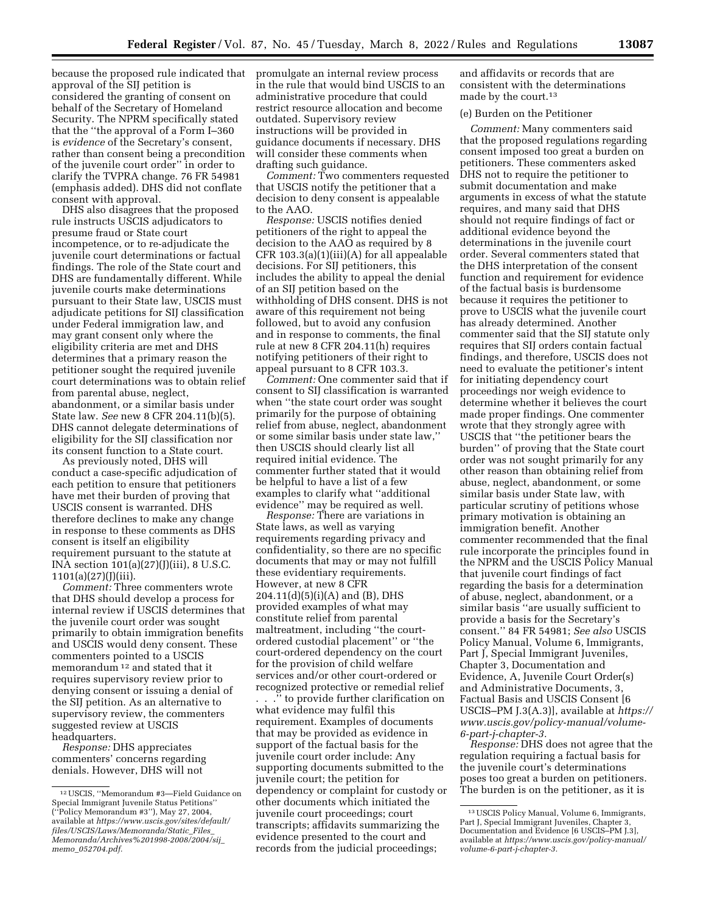because the proposed rule indicated that approval of the SIJ petition is considered the granting of consent on behalf of the Secretary of Homeland Security. The NPRM specifically stated that the ''the approval of a Form I–360 is *evidence* of the Secretary's consent, rather than consent being a precondition of the juvenile court order'' in order to clarify the TVPRA change. 76 FR 54981 (emphasis added). DHS did not conflate consent with approval.

DHS also disagrees that the proposed rule instructs USCIS adjudicators to presume fraud or State court incompetence, or to re-adjudicate the juvenile court determinations or factual findings. The role of the State court and DHS are fundamentally different. While juvenile courts make determinations pursuant to their State law, USCIS must adjudicate petitions for SIJ classification under Federal immigration law, and may grant consent only where the eligibility criteria are met and DHS determines that a primary reason the petitioner sought the required juvenile court determinations was to obtain relief from parental abuse, neglect, abandonment, or a similar basis under State law. *See* new 8 CFR 204.11(b)(5). DHS cannot delegate determinations of eligibility for the SIJ classification nor its consent function to a State court.

As previously noted, DHS will conduct a case-specific adjudication of each petition to ensure that petitioners have met their burden of proving that USCIS consent is warranted. DHS therefore declines to make any change in response to these comments as DHS consent is itself an eligibility requirement pursuant to the statute at INA section 101(a)(27)(J)(iii), 8 U.S.C. 1101(a)(27)(J)(iii).

*Comment:* Three commenters wrote that DHS should develop a process for internal review if USCIS determines that the juvenile court order was sought primarily to obtain immigration benefits and USCIS would deny consent. These commenters pointed to a USCIS memorandum 12 and stated that it requires supervisory review prior to denying consent or issuing a denial of the SIJ petition. As an alternative to supervisory review, the commenters suggested review at USCIS headquarters.

*Response:* DHS appreciates commenters' concerns regarding denials. However, DHS will not

promulgate an internal review process in the rule that would bind USCIS to an administrative procedure that could restrict resource allocation and become outdated. Supervisory review instructions will be provided in guidance documents if necessary. DHS will consider these comments when drafting such guidance.

*Comment:* Two commenters requested that USCIS notify the petitioner that a decision to deny consent is appealable to the AAO.

*Response:* USCIS notifies denied petitioners of the right to appeal the decision to the AAO as required by 8 CFR 103.3(a)(1)(iii)(A) for all appealable decisions. For SIJ petitioners, this includes the ability to appeal the denial of an SIJ petition based on the withholding of DHS consent. DHS is not aware of this requirement not being followed, but to avoid any confusion and in response to comments, the final rule at new 8 CFR 204.11(h) requires notifying petitioners of their right to appeal pursuant to 8 CFR 103.3.

*Comment:* One commenter said that if consent to SIJ classification is warranted when ''the state court order was sought primarily for the purpose of obtaining relief from abuse, neglect, abandonment or some similar basis under state law,'' then USCIS should clearly list all required initial evidence. The commenter further stated that it would be helpful to have a list of a few examples to clarify what ''additional evidence'' may be required as well.

*Response:* There are variations in State laws, as well as varying requirements regarding privacy and confidentiality, so there are no specific documents that may or may not fulfill these evidentiary requirements. However, at new 8 CFR 204.11(d)(5)(i)(A) and (B), DHS provided examples of what may constitute relief from parental maltreatment, including ''the courtordered custodial placement'' or ''the court-ordered dependency on the court for the provision of child welfare services and/or other court-ordered or recognized protective or remedial relief . . .'' to provide further clarification on what evidence may fulfil this requirement. Examples of documents that may be provided as evidence in support of the factual basis for the juvenile court order include: Any supporting documents submitted to the juvenile court; the petition for dependency or complaint for custody or other documents which initiated the juvenile court proceedings; court transcripts; affidavits summarizing the evidence presented to the court and records from the judicial proceedings;

and affidavits or records that are consistent with the determinations made by the court.13

# (e) Burden on the Petitioner

*Comment:* Many commenters said that the proposed regulations regarding consent imposed too great a burden on petitioners. These commenters asked DHS not to require the petitioner to submit documentation and make arguments in excess of what the statute requires, and many said that DHS should not require findings of fact or additional evidence beyond the determinations in the juvenile court order. Several commenters stated that the DHS interpretation of the consent function and requirement for evidence of the factual basis is burdensome because it requires the petitioner to prove to USCIS what the juvenile court has already determined. Another commenter said that the SIJ statute only requires that SIJ orders contain factual findings, and therefore, USCIS does not need to evaluate the petitioner's intent for initiating dependency court proceedings nor weigh evidence to determine whether it believes the court made proper findings. One commenter wrote that they strongly agree with USCIS that ''the petitioner bears the burden'' of proving that the State court order was not sought primarily for any other reason than obtaining relief from abuse, neglect, abandonment, or some similar basis under State law, with particular scrutiny of petitions whose primary motivation is obtaining an immigration benefit. Another commenter recommended that the final rule incorporate the principles found in the NPRM and the USCIS Policy Manual that juvenile court findings of fact regarding the basis for a determination of abuse, neglect, abandonment, or a similar basis ''are usually sufficient to provide a basis for the Secretary's consent.'' 84 FR 54981; *See also* USCIS Policy Manual, Volume 6, Immigrants, Part J, Special Immigrant Juveniles, Chapter 3, Documentation and Evidence, A, Juvenile Court Order(s) and Administrative Documents, 3, Factual Basis and USCIS Consent [6 USCIS–PM J.3(A.3)], available at *[https://](https://www.uscis.gov/policy-manual/volume-6-part-j-chapter-3) [www.uscis.gov/policy-manual/volume-](https://www.uscis.gov/policy-manual/volume-6-part-j-chapter-3)[6-part-j-chapter-3.](https://www.uscis.gov/policy-manual/volume-6-part-j-chapter-3)* 

*Response:* DHS does not agree that the regulation requiring a factual basis for the juvenile court's determinations poses too great a burden on petitioners. The burden is on the petitioner, as it is

<sup>12</sup>USCIS, ''Memorandum #3—Field Guidance on Special Immigrant Juvenile Status Petitions'' (''Policy Memorandum #3''), May 27, 2004, available at *[https://www.uscis.gov/sites/default/](https://www.uscis.gov/sites/default/files/USCIS/Laws/Memoranda/Static_Files_Memoranda/Archives%201998-2008/2004/sij_memo_052704.pdf) [files/USCIS/Laws/Memoranda/Static](https://www.uscis.gov/sites/default/files/USCIS/Laws/Memoranda/Static_Files_Memoranda/Archives%201998-2008/2004/sij_memo_052704.pdf)*\_*Files*\_ *[Memoranda/Archives%201998-2008/2004/sij](https://www.uscis.gov/sites/default/files/USCIS/Laws/Memoranda/Static_Files_Memoranda/Archives%201998-2008/2004/sij_memo_052704.pdf)*\_ *memo*\_*[052704.pdf.](https://www.uscis.gov/sites/default/files/USCIS/Laws/Memoranda/Static_Files_Memoranda/Archives%201998-2008/2004/sij_memo_052704.pdf)* 

<sup>13</sup>USCIS Policy Manual, Volume 6, Immigrants, Part J, Special Immigrant Juveniles, Chapter 3 Documentation and Evidence [6 USCIS–PM J.3], available at *[https://www.uscis.gov/policy-manual/](https://www.uscis.gov/policy-manual/volume-6-part-j-chapter-3)  [volume-6-part-j-chapter-3.](https://www.uscis.gov/policy-manual/volume-6-part-j-chapter-3)*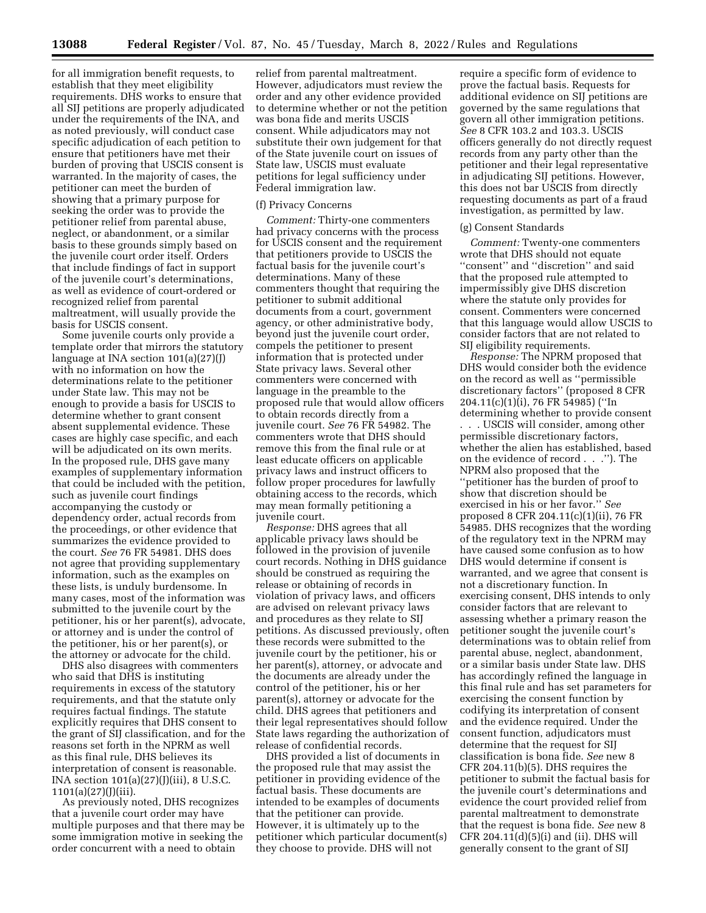**13088 Federal Register** / Vol. 87, No. 45 / Tuesday, March 8, 2022 / Rules and Regulations

for all immigration benefit requests, to establish that they meet eligibility requirements. DHS works to ensure that all SIJ petitions are properly adjudicated under the requirements of the INA, and as noted previously, will conduct case specific adjudication of each petition to ensure that petitioners have met their burden of proving that USCIS consent is warranted. In the majority of cases, the petitioner can meet the burden of showing that a primary purpose for seeking the order was to provide the petitioner relief from parental abuse, neglect, or abandonment, or a similar basis to these grounds simply based on the juvenile court order itself. Orders that include findings of fact in support of the juvenile court's determinations, as well as evidence of court-ordered or recognized relief from parental maltreatment, will usually provide the basis for USCIS consent.

Some juvenile courts only provide a template order that mirrors the statutory language at INA section 101(a)(27)(J) with no information on how the determinations relate to the petitioner under State law. This may not be enough to provide a basis for USCIS to determine whether to grant consent absent supplemental evidence. These cases are highly case specific, and each will be adjudicated on its own merits. In the proposed rule, DHS gave many examples of supplementary information that could be included with the petition, such as juvenile court findings accompanying the custody or dependency order, actual records from the proceedings, or other evidence that summarizes the evidence provided to the court. *See* 76 FR 54981. DHS does not agree that providing supplementary information, such as the examples on these lists, is unduly burdensome. In many cases, most of the information was submitted to the juvenile court by the petitioner, his or her parent(s), advocate, or attorney and is under the control of the petitioner, his or her parent(s), or the attorney or advocate for the child.

DHS also disagrees with commenters who said that DHS is instituting requirements in excess of the statutory requirements, and that the statute only requires factual findings. The statute explicitly requires that DHS consent to the grant of SIJ classification, and for the reasons set forth in the NPRM as well as this final rule, DHS believes its interpretation of consent is reasonable. INA section 101(a)(27)(J)(iii), 8 U.S.C.  $1101(a)(27)(J)(iii)$ .

As previously noted, DHS recognizes that a juvenile court order may have multiple purposes and that there may be some immigration motive in seeking the order concurrent with a need to obtain

relief from parental maltreatment. However, adjudicators must review the order and any other evidence provided to determine whether or not the petition was bona fide and merits USCIS consent. While adjudicators may not substitute their own judgement for that of the State juvenile court on issues of State law, USCIS must evaluate petitions for legal sufficiency under Federal immigration law.

#### (f) Privacy Concerns

*Comment:* Thirty-one commenters had privacy concerns with the process for USCIS consent and the requirement that petitioners provide to USCIS the factual basis for the juvenile court's determinations. Many of these commenters thought that requiring the petitioner to submit additional documents from a court, government agency, or other administrative body, beyond just the juvenile court order, compels the petitioner to present information that is protected under State privacy laws. Several other commenters were concerned with language in the preamble to the proposed rule that would allow officers to obtain records directly from a juvenile court. *See* 76 FR 54982. The commenters wrote that DHS should remove this from the final rule or at least educate officers on applicable privacy laws and instruct officers to follow proper procedures for lawfully obtaining access to the records, which may mean formally petitioning a juvenile court.

*Response:* DHS agrees that all applicable privacy laws should be followed in the provision of juvenile court records. Nothing in DHS guidance should be construed as requiring the release or obtaining of records in violation of privacy laws, and officers are advised on relevant privacy laws and procedures as they relate to SIJ petitions. As discussed previously, often these records were submitted to the juvenile court by the petitioner, his or her parent(s), attorney, or advocate and the documents are already under the control of the petitioner, his or her parent(s), attorney or advocate for the child. DHS agrees that petitioners and their legal representatives should follow State laws regarding the authorization of release of confidential records.

DHS provided a list of documents in the proposed rule that may assist the petitioner in providing evidence of the factual basis. These documents are intended to be examples of documents that the petitioner can provide. However, it is ultimately up to the petitioner which particular document(s) they choose to provide. DHS will not

require a specific form of evidence to prove the factual basis. Requests for additional evidence on SIJ petitions are governed by the same regulations that govern all other immigration petitions. *See* 8 CFR 103.2 and 103.3. USCIS officers generally do not directly request records from any party other than the petitioner and their legal representative in adjudicating SIJ petitions. However, this does not bar USCIS from directly requesting documents as part of a fraud investigation, as permitted by law.

## (g) Consent Standards

*Comment:* Twenty-one commenters wrote that DHS should not equate ''consent'' and ''discretion'' and said that the proposed rule attempted to impermissibly give DHS discretion where the statute only provides for consent. Commenters were concerned that this language would allow USCIS to consider factors that are not related to SIJ eligibility requirements.

*Response:* The NPRM proposed that DHS would consider both the evidence on the record as well as ''permissible discretionary factors'' (proposed 8 CFR 204.11(c)(1)(i), 76 FR 54985) (''In determining whether to provide consent

. . . USCIS will consider, among other permissible discretionary factors, whether the alien has established, based on the evidence of record . . .''). The NPRM also proposed that the ''petitioner has the burden of proof to show that discretion should be exercised in his or her favor.'' *See*  proposed 8 CFR 204.11(c)(1)(ii), 76 FR 54985. DHS recognizes that the wording of the regulatory text in the NPRM may have caused some confusion as to how DHS would determine if consent is warranted, and we agree that consent is not a discretionary function. In exercising consent, DHS intends to only consider factors that are relevant to assessing whether a primary reason the petitioner sought the juvenile court's determinations was to obtain relief from parental abuse, neglect, abandonment, or a similar basis under State law. DHS has accordingly refined the language in this final rule and has set parameters for exercising the consent function by codifying its interpretation of consent and the evidence required. Under the consent function, adjudicators must determine that the request for SIJ classification is bona fide. *See* new 8 CFR 204.11(b)(5). DHS requires the petitioner to submit the factual basis for the juvenile court's determinations and evidence the court provided relief from parental maltreatment to demonstrate that the request is bona fide. *See* new 8 CFR 204.11(d)(5)(i) and (ii). DHS will generally consent to the grant of SIJ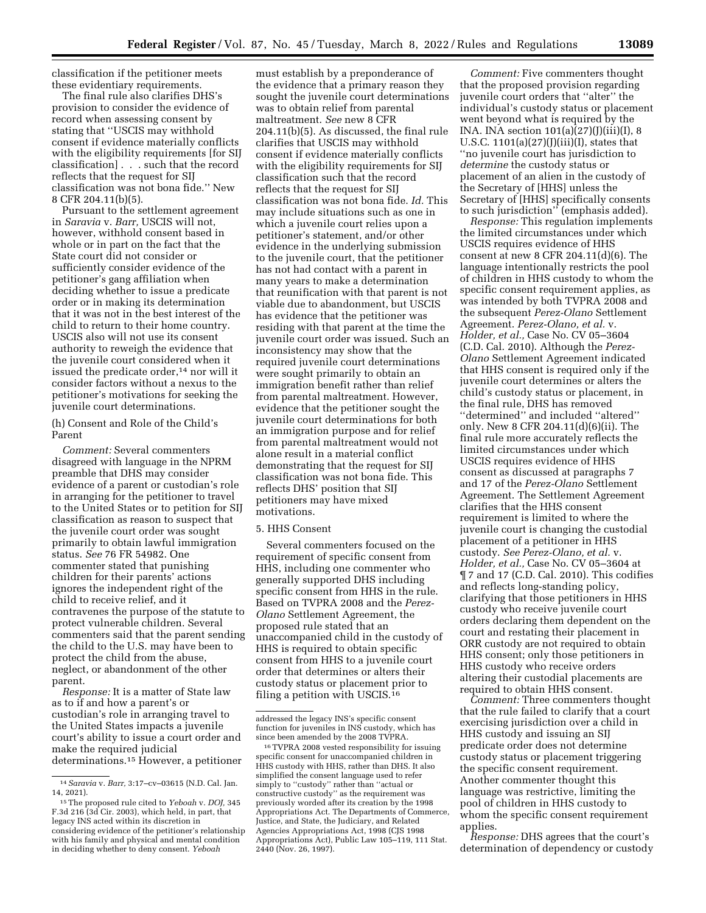classification if the petitioner meets these evidentiary requirements.

The final rule also clarifies DHS's provision to consider the evidence of record when assessing consent by stating that ''USCIS may withhold consent if evidence materially conflicts with the eligibility requirements [for SIJ classification] . . . such that the record reflects that the request for SIJ classification was not bona fide.'' New 8 CFR 204.11(b)(5).

Pursuant to the settlement agreement in *Saravia* v. *Barr,* USCIS will not, however, withhold consent based in whole or in part on the fact that the State court did not consider or sufficiently consider evidence of the petitioner's gang affiliation when deciding whether to issue a predicate order or in making its determination that it was not in the best interest of the child to return to their home country. USCIS also will not use its consent authority to reweigh the evidence that the juvenile court considered when it issued the predicate order,<sup>14</sup> nor will it consider factors without a nexus to the petitioner's motivations for seeking the juvenile court determinations.

# (h) Consent and Role of the Child's Parent

*Comment:* Several commenters disagreed with language in the NPRM preamble that DHS may consider evidence of a parent or custodian's role in arranging for the petitioner to travel to the United States or to petition for SIJ classification as reason to suspect that the juvenile court order was sought primarily to obtain lawful immigration status. *See* 76 FR 54982. One commenter stated that punishing children for their parents' actions ignores the independent right of the child to receive relief, and it contravenes the purpose of the statute to protect vulnerable children. Several commenters said that the parent sending the child to the U.S. may have been to protect the child from the abuse, neglect, or abandonment of the other parent.

*Response:* It is a matter of State law as to if and how a parent's or custodian's role in arranging travel to the United States impacts a juvenile court's ability to issue a court order and make the required judicial determinations.15 However, a petitioner must establish by a preponderance of the evidence that a primary reason they sought the juvenile court determinations was to obtain relief from parental maltreatment. *See* new 8 CFR 204.11(b)(5). As discussed, the final rule clarifies that USCIS may withhold consent if evidence materially conflicts with the eligibility requirements for SIJ classification such that the record reflects that the request for SIJ classification was not bona fide. *Id.* This may include situations such as one in which a juvenile court relies upon a petitioner's statement, and/or other evidence in the underlying submission to the juvenile court, that the petitioner has not had contact with a parent in many years to make a determination that reunification with that parent is not viable due to abandonment, but USCIS has evidence that the petitioner was residing with that parent at the time the juvenile court order was issued. Such an inconsistency may show that the required juvenile court determinations were sought primarily to obtain an immigration benefit rather than relief from parental maltreatment. However, evidence that the petitioner sought the juvenile court determinations for both an immigration purpose and for relief from parental maltreatment would not alone result in a material conflict demonstrating that the request for SIJ classification was not bona fide. This reflects DHS' position that SIJ petitioners may have mixed motivations.

### 5. HHS Consent

Several commenters focused on the requirement of specific consent from HHS, including one commenter who generally supported DHS including specific consent from HHS in the rule. Based on TVPRA 2008 and the *Perez-Olano* Settlement Agreement, the proposed rule stated that an unaccompanied child in the custody of HHS is required to obtain specific consent from HHS to a juvenile court order that determines or alters their custody status or placement prior to filing a petition with USCIS.16

*Comment:* Five commenters thought that the proposed provision regarding juvenile court orders that ''alter'' the individual's custody status or placement went beyond what is required by the INA. INA section  $101(a)(27)(J)(iii)(I), 8$ U.S.C.  $1101(a)(27)(J)(iii)(I)$ , states that ''no juvenile court has jurisdiction to *determine* the custody status or placement of an alien in the custody of the Secretary of [HHS] unless the Secretary of [HHS] specifically consents to such jurisdiction'' (emphasis added).

*Response:* This regulation implements the limited circumstances under which USCIS requires evidence of HHS consent at new 8 CFR 204.11(d)(6). The language intentionally restricts the pool of children in HHS custody to whom the specific consent requirement applies, as was intended by both TVPRA 2008 and the subsequent *Perez-Olano* Settlement Agreement. *Perez-Olano, et al.* v. *Holder, et al.,* Case No. CV 05–3604 (C.D. Cal. 2010). Although the *Perez-Olano* Settlement Agreement indicated that HHS consent is required only if the juvenile court determines or alters the child's custody status or placement, in the final rule, DHS has removed ''determined'' and included ''altered'' only. New 8 CFR 204.11(d)(6)(ii). The final rule more accurately reflects the limited circumstances under which USCIS requires evidence of HHS consent as discussed at paragraphs 7 and 17 of the *Perez-Olano* Settlement Agreement. The Settlement Agreement clarifies that the HHS consent requirement is limited to where the juvenile court is changing the custodial placement of a petitioner in HHS custody. *See Perez-Olano, et al.* v. *Holder, et al.,* Case No. CV 05–3604 at ¶ 7 and 17 (C.D. Cal. 2010). This codifies and reflects long-standing policy, clarifying that those petitioners in HHS custody who receive juvenile court orders declaring them dependent on the court and restating their placement in ORR custody are not required to obtain HHS consent; only those petitioners in HHS custody who receive orders altering their custodial placements are required to obtain HHS consent.

*Comment:* Three commenters thought that the rule failed to clarify that a court exercising jurisdiction over a child in HHS custody and issuing an SIJ predicate order does not determine custody status or placement triggering the specific consent requirement. Another commenter thought this language was restrictive, limiting the pool of children in HHS custody to whom the specific consent requirement applies.

*Response:* DHS agrees that the court's determination of dependency or custody

<sup>14</sup>*Saravia* v. *Barr,* 3:17–cv–03615 (N.D. Cal. Jan. 14, 2021).

<sup>15</sup>The proposed rule cited to *Yeboah* v. *DOJ,* 345 F.3d 216 (3d Cir. 2003), which held, in part, that legacy INS acted within its discretion in considering evidence of the petitioner's relationship with his family and physical and mental condition in deciding whether to deny consent. *Yeboah* 

addressed the legacy INS's specific consent function for juveniles in INS custody, which has since been amended by the 2008 TVPRA.

<sup>16</sup>TVPRA 2008 vested responsibility for issuing specific consent for unaccompanied children in HHS custody with HHS, rather than DHS. It also simplified the consent language used to refer simply to ''custody'' rather than ''actual or constructive custody'' as the requirement was previously worded after its creation by the 1998 Appropriations Act. The Departments of Commerce, Justice, and State, the Judiciary, and Related Agencies Appropriations Act, 1998 (CJS 1998 Appropriations Act), Public Law 105–119, 111 Stat. 2440 (Nov. 26, 1997).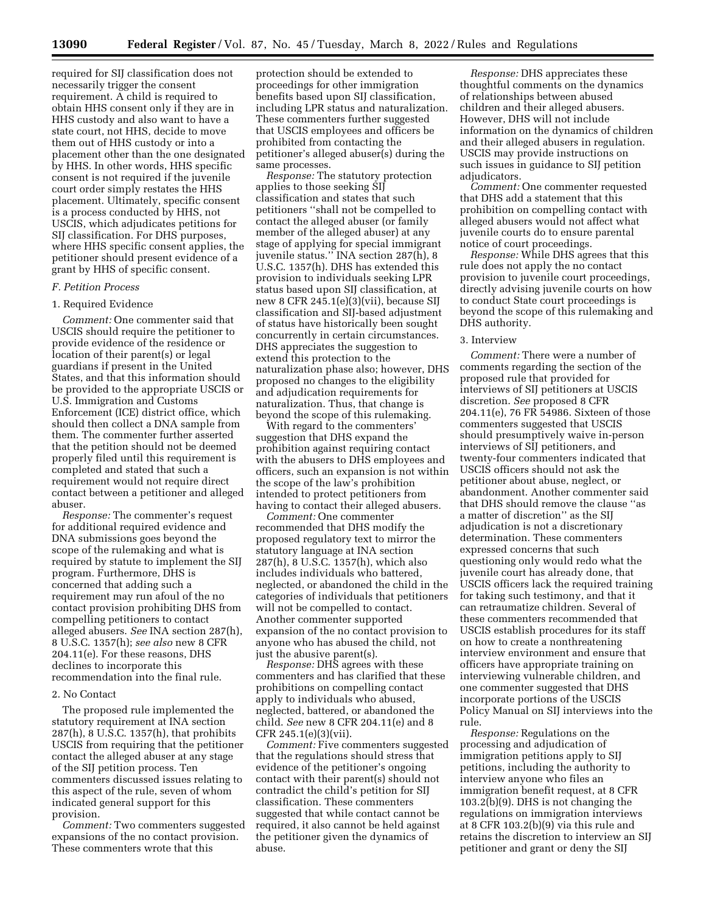required for SIJ classification does not necessarily trigger the consent requirement. A child is required to obtain HHS consent only if they are in HHS custody and also want to have a state court, not HHS, decide to move them out of HHS custody or into a placement other than the one designated by HHS. In other words, HHS specific consent is not required if the juvenile court order simply restates the HHS placement. Ultimately, specific consent is a process conducted by HHS, not USCIS, which adjudicates petitions for SIJ classification. For DHS purposes, where HHS specific consent applies, the petitioner should present evidence of a grant by HHS of specific consent.

## *F. Petition Process*

## 1. Required Evidence

*Comment:* One commenter said that USCIS should require the petitioner to provide evidence of the residence or location of their parent(s) or legal guardians if present in the United States, and that this information should be provided to the appropriate USCIS or U.S. Immigration and Customs Enforcement (ICE) district office, which should then collect a DNA sample from them. The commenter further asserted that the petition should not be deemed properly filed until this requirement is completed and stated that such a requirement would not require direct contact between a petitioner and alleged abuser.

*Response:* The commenter's request for additional required evidence and DNA submissions goes beyond the scope of the rulemaking and what is required by statute to implement the SIJ program. Furthermore, DHS is concerned that adding such a requirement may run afoul of the no contact provision prohibiting DHS from compelling petitioners to contact alleged abusers. *See* INA section 287(h), 8 U.S.C. 1357(h); *see also* new 8 CFR 204.11(e). For these reasons, DHS declines to incorporate this recommendation into the final rule.

## 2. No Contact

The proposed rule implemented the statutory requirement at INA section 287(h), 8 U.S.C. 1357(h), that prohibits USCIS from requiring that the petitioner contact the alleged abuser at any stage of the SIJ petition process. Ten commenters discussed issues relating to this aspect of the rule, seven of whom indicated general support for this provision.

*Comment:* Two commenters suggested expansions of the no contact provision. These commenters wrote that this

protection should be extended to proceedings for other immigration benefits based upon SIJ classification, including LPR status and naturalization. These commenters further suggested that USCIS employees and officers be prohibited from contacting the petitioner's alleged abuser(s) during the same processes.

*Response:* The statutory protection applies to those seeking SIJ classification and states that such petitioners ''shall not be compelled to contact the alleged abuser (or family member of the alleged abuser) at any stage of applying for special immigrant juvenile status.'' INA section 287(h), 8 U.S.C. 1357(h). DHS has extended this provision to individuals seeking LPR status based upon SIJ classification, at new 8 CFR 245.1(e)(3)(vii), because SIJ classification and SIJ-based adjustment of status have historically been sought concurrently in certain circumstances. DHS appreciates the suggestion to extend this protection to the naturalization phase also; however, DHS proposed no changes to the eligibility and adjudication requirements for naturalization. Thus, that change is beyond the scope of this rulemaking.

With regard to the commenters' suggestion that DHS expand the prohibition against requiring contact with the abusers to DHS employees and officers, such an expansion is not within the scope of the law's prohibition intended to protect petitioners from having to contact their alleged abusers.

*Comment:* One commenter recommended that DHS modify the proposed regulatory text to mirror the statutory language at INA section 287(h), 8 U.S.C. 1357(h), which also includes individuals who battered, neglected, or abandoned the child in the categories of individuals that petitioners will not be compelled to contact. Another commenter supported expansion of the no contact provision to anyone who has abused the child, not just the abusive parent(s).

*Response:* DHS agrees with these commenters and has clarified that these prohibitions on compelling contact apply to individuals who abused, neglected, battered, or abandoned the child. *See* new 8 CFR 204.11(e) and 8 CFR 245.1(e)(3)(vii).

*Comment:* Five commenters suggested that the regulations should stress that evidence of the petitioner's ongoing contact with their parent(s) should not contradict the child's petition for SIJ classification. These commenters suggested that while contact cannot be required, it also cannot be held against the petitioner given the dynamics of abuse.

*Response:* DHS appreciates these thoughtful comments on the dynamics of relationships between abused children and their alleged abusers. However, DHS will not include information on the dynamics of children and their alleged abusers in regulation. USCIS may provide instructions on such issues in guidance to SIJ petition adjudicators.

*Comment:* One commenter requested that DHS add a statement that this prohibition on compelling contact with alleged abusers would not affect what juvenile courts do to ensure parental notice of court proceedings.

*Response:* While DHS agrees that this rule does not apply the no contact provision to juvenile court proceedings, directly advising juvenile courts on how to conduct State court proceedings is beyond the scope of this rulemaking and DHS authority.

#### 3. Interview

*Comment:* There were a number of comments regarding the section of the proposed rule that provided for interviews of SIJ petitioners at USCIS discretion. *See* proposed 8 CFR 204.11(e), 76 FR 54986. Sixteen of those commenters suggested that USCIS should presumptively waive in-person interviews of SIJ petitioners, and twenty-four commenters indicated that USCIS officers should not ask the petitioner about abuse, neglect, or abandonment. Another commenter said that DHS should remove the clause ''as a matter of discretion'' as the SIJ adjudication is not a discretionary determination. These commenters expressed concerns that such questioning only would redo what the juvenile court has already done, that USCIS officers lack the required training for taking such testimony, and that it can retraumatize children. Several of these commenters recommended that USCIS establish procedures for its staff on how to create a nonthreatening interview environment and ensure that officers have appropriate training on interviewing vulnerable children, and one commenter suggested that DHS incorporate portions of the USCIS Policy Manual on SIJ interviews into the rule.

*Response:* Regulations on the processing and adjudication of immigration petitions apply to SIJ petitions, including the authority to interview anyone who files an immigration benefit request, at 8 CFR 103.2(b)(9). DHS is not changing the regulations on immigration interviews at 8 CFR 103.2(b)(9) via this rule and retains the discretion to interview an SIJ petitioner and grant or deny the SIJ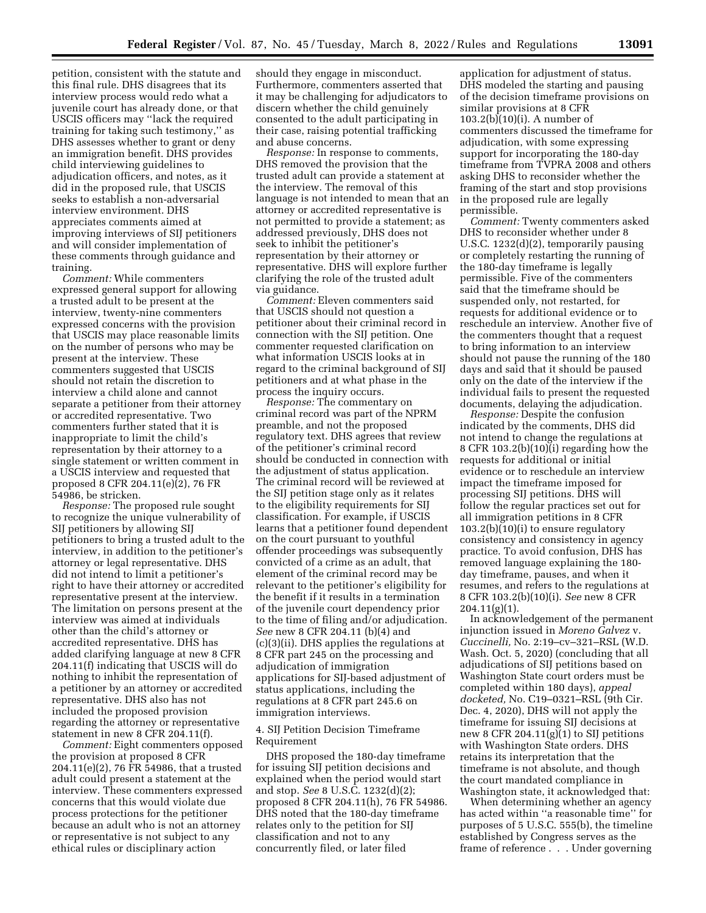petition, consistent with the statute and this final rule. DHS disagrees that its interview process would redo what a juvenile court has already done, or that USCIS officers may ''lack the required training for taking such testimony,'' as DHS assesses whether to grant or deny an immigration benefit. DHS provides child interviewing guidelines to adjudication officers, and notes, as it did in the proposed rule, that USCIS seeks to establish a non-adversarial interview environment. DHS appreciates comments aimed at improving interviews of SIJ petitioners and will consider implementation of these comments through guidance and training.

*Comment:* While commenters expressed general support for allowing a trusted adult to be present at the interview, twenty-nine commenters expressed concerns with the provision that USCIS may place reasonable limits on the number of persons who may be present at the interview. These commenters suggested that USCIS should not retain the discretion to interview a child alone and cannot separate a petitioner from their attorney or accredited representative. Two commenters further stated that it is inappropriate to limit the child's representation by their attorney to a single statement or written comment in a USCIS interview and requested that proposed 8 CFR 204.11(e)(2), 76 FR 54986, be stricken.

*Response:* The proposed rule sought to recognize the unique vulnerability of SIJ petitioners by allowing SIJ petitioners to bring a trusted adult to the interview, in addition to the petitioner's attorney or legal representative. DHS did not intend to limit a petitioner's right to have their attorney or accredited representative present at the interview. The limitation on persons present at the interview was aimed at individuals other than the child's attorney or accredited representative. DHS has added clarifying language at new 8 CFR 204.11(f) indicating that USCIS will do nothing to inhibit the representation of a petitioner by an attorney or accredited representative. DHS also has not included the proposed provision regarding the attorney or representative statement in new 8 CFR 204.11(f).

*Comment:* Eight commenters opposed the provision at proposed 8 CFR 204.11(e)(2), 76 FR 54986, that a trusted adult could present a statement at the interview. These commenters expressed concerns that this would violate due process protections for the petitioner because an adult who is not an attorney or representative is not subject to any ethical rules or disciplinary action

should they engage in misconduct. Furthermore, commenters asserted that it may be challenging for adjudicators to discern whether the child genuinely consented to the adult participating in their case, raising potential trafficking and abuse concerns.

*Response:* In response to comments, DHS removed the provision that the trusted adult can provide a statement at the interview. The removal of this language is not intended to mean that an attorney or accredited representative is not permitted to provide a statement; as addressed previously, DHS does not seek to inhibit the petitioner's representation by their attorney or representative. DHS will explore further clarifying the role of the trusted adult via guidance.

*Comment:* Eleven commenters said that USCIS should not question a petitioner about their criminal record in connection with the SIJ petition. One commenter requested clarification on what information USCIS looks at in regard to the criminal background of SIJ petitioners and at what phase in the process the inquiry occurs.

*Response:* The commentary on criminal record was part of the NPRM preamble, and not the proposed regulatory text. DHS agrees that review of the petitioner's criminal record should be conducted in connection with the adjustment of status application. The criminal record will be reviewed at the SIJ petition stage only as it relates to the eligibility requirements for SIJ classification. For example, if USCIS learns that a petitioner found dependent on the court pursuant to youthful offender proceedings was subsequently convicted of a crime as an adult, that element of the criminal record may be relevant to the petitioner's eligibility for the benefit if it results in a termination of the juvenile court dependency prior to the time of filing and/or adjudication. *See* new 8 CFR 204.11 (b)(4) and (c)(3)(ii). DHS applies the regulations at 8 CFR part 245 on the processing and adjudication of immigration applications for SIJ-based adjustment of status applications, including the regulations at 8 CFR part 245.6 on immigration interviews.

# 4. SIJ Petition Decision Timeframe Requirement

DHS proposed the 180-day timeframe for issuing SIJ petition decisions and explained when the period would start and stop. *See* 8 U.S.C. 1232(d)(2); proposed 8 CFR 204.11(h), 76 FR 54986. DHS noted that the 180-day timeframe relates only to the petition for SIJ classification and not to any concurrently filed, or later filed

application for adjustment of status. DHS modeled the starting and pausing of the decision timeframe provisions on similar provisions at 8 CFR 103.2(b)(10)(i). A number of commenters discussed the timeframe for adjudication, with some expressing support for incorporating the 180-day timeframe from TVPRA 2008 and others asking DHS to reconsider whether the framing of the start and stop provisions in the proposed rule are legally permissible.

*Comment:* Twenty commenters asked DHS to reconsider whether under 8 U.S.C. 1232(d)(2), temporarily pausing or completely restarting the running of the 180-day timeframe is legally permissible. Five of the commenters said that the timeframe should be suspended only, not restarted, for requests for additional evidence or to reschedule an interview. Another five of the commenters thought that a request to bring information to an interview should not pause the running of the 180 days and said that it should be paused only on the date of the interview if the individual fails to present the requested documents, delaying the adjudication.

*Response:* Despite the confusion indicated by the comments, DHS did not intend to change the regulations at 8 CFR 103.2(b)(10)(i) regarding how the requests for additional or initial evidence or to reschedule an interview impact the timeframe imposed for processing SIJ petitions. DHS will follow the regular practices set out for all immigration petitions in 8 CFR 103.2(b)(10)(i) to ensure regulatory consistency and consistency in agency practice. To avoid confusion, DHS has removed language explaining the 180 day timeframe, pauses, and when it resumes, and refers to the regulations at 8 CFR 103.2(b)(10)(i). *See* new 8 CFR 204.11(g)(1).

In acknowledgement of the permanent injunction issued in *Moreno Galvez* v. *Cuccinelli,* No. 2:19–cv–321–RSL (W.D. Wash. Oct. 5, 2020) (concluding that all adjudications of SIJ petitions based on Washington State court orders must be completed within 180 days), *appeal docketed,* No. C19–0321–RSL (9th Cir. Dec. 4, 2020), DHS will not apply the timeframe for issuing SIJ decisions at new 8 CFR 204.11(g)(1) to SIJ petitions with Washington State orders. DHS retains its interpretation that the timeframe is not absolute, and though the court mandated compliance in Washington state, it acknowledged that:

When determining whether an agency has acted within ''a reasonable time'' for purposes of 5 U.S.C. 555(b), the timeline established by Congress serves as the frame of reference . . . Under governing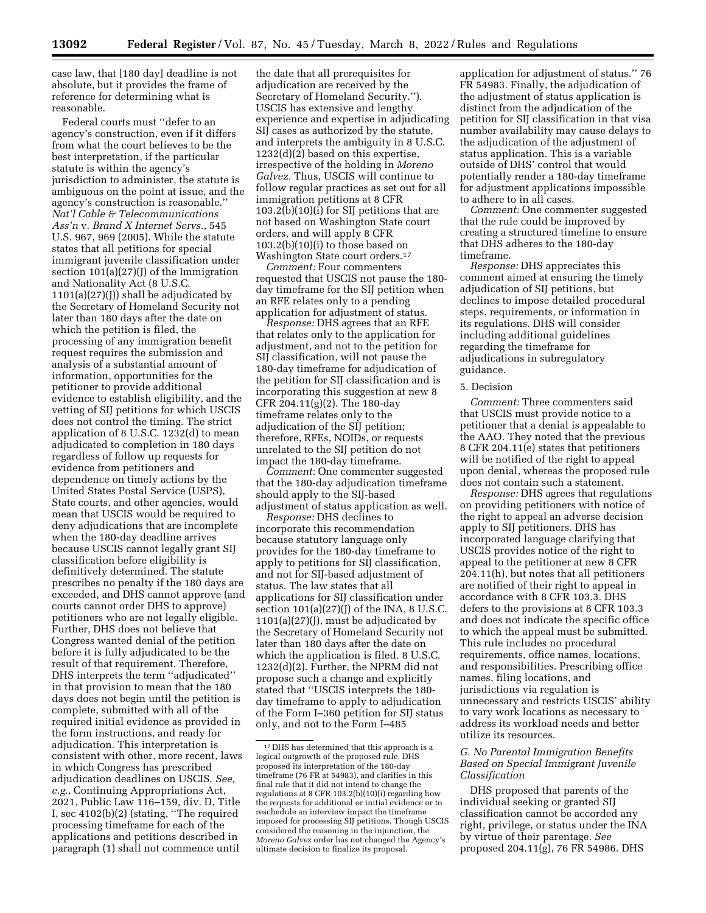case law, that [180 day] deadline is not absolute, but it provides the frame of reference for determining what is reasonable.

Federal courts must ''defer to an agency's construction, even if it differs from what the court believes to be the best interpretation, if the particular statute is within the agency's jurisdiction to administer, the statute is ambiguous on the point at issue, and the agency's construction is reasonable.'' *Nat'l Cable & Telecommunications Ass'n* v. *Brand X Internet Servs.,* 545 U.S. 967, 969 (2005). While the statute states that all petitions for special immigrant juvenile classification under section 101(a)(27)(J) of the Immigration and Nationality Act (8 U.S.C.  $1101(a)(27)(I)$  shall be adjudicated by the Secretary of Homeland Security not later than 180 days after the date on which the petition is filed, the processing of any immigration benefit request requires the submission and analysis of a substantial amount of information, opportunities for the petitioner to provide additional evidence to establish eligibility, and the vetting of SIJ petitions for which USCIS does not control the timing. The strict application of 8 U.S.C. 1232(d) to mean adjudicated to completion in 180 days regardless of follow up requests for evidence from petitioners and dependence on timely actions by the United States Postal Service (USPS), State courts, and other agencies, would mean that USCIS would be required to deny adjudications that are incomplete when the 180-day deadline arrives because USCIS cannot legally grant SIJ classification before eligibility is definitively determined. The statute prescribes no penalty if the 180 days are exceeded, and DHS cannot approve (and courts cannot order DHS to approve) petitioners who are not legally eligible. Further, DHS does not believe that Congress wanted denial of the petition before it is fully adjudicated to be the result of that requirement. Therefore, DHS interprets the term ''adjudicated'' in that provision to mean that the 180 days does not begin until the petition is complete, submitted with all of the required initial evidence as provided in the form instructions, and ready for adjudication. This interpretation is consistent with other, more recent, laws in which Congress has prescribed adjudication deadlines on USCIS. *See, e.g.,* Continuing Appropriations Act, 2021, Public Law 116–159, div. D, Title I, sec 4102(b)(2) (stating, ''The required processing timeframe for each of the applications and petitions described in paragraph (1) shall not commence until

the date that all prerequisites for adjudication are received by the Secretary of Homeland Security.''). USCIS has extensive and lengthy experience and expertise in adjudicating SIJ cases as authorized by the statute, and interprets the ambiguity in 8 U.S.C. 1232(d)(2) based on this expertise, irrespective of the holding in *Moreno Galvez.* Thus, USCIS will continue to follow regular practices as set out for all immigration petitions at 8 CFR 103.2(b)(10)(i) for SIJ petitions that are not based on Washington State court orders, and will apply 8 CFR 103.2(b)(10)(i) to those based on Washington State court orders.17

*Comment:* Four commenters requested that USCIS not pause the 180 day timeframe for the SIJ petition when an RFE relates only to a pending application for adjustment of status.

*Response:* DHS agrees that an RFE that relates only to the application for adjustment, and not to the petition for SIJ classification, will not pause the 180-day timeframe for adjudication of the petition for SIJ classification and is incorporating this suggestion at new 8 CFR 204.11(g)(2). The 180-day timeframe relates only to the adjudication of the SIJ petition; therefore, RFEs, NOIDs, or requests unrelated to the SIJ petition do not impact the 180-day timeframe.

*Comment:* One commenter suggested that the 180-day adjudication timeframe should apply to the SIJ-based adjustment of status application as well.

*Response:* DHS declines to incorporate this recommendation because statutory language only provides for the 180-day timeframe to apply to petitions for SIJ classification, and not for SIJ-based adjustment of status. The law states that all applications for SIJ classification under section  $101(a)(27)(J)$  of the INA, 8 U.S.C.  $1101(a)(27)(J)$ , must be adjudicated by the Secretary of Homeland Security not later than 180 days after the date on which the application is filed. 8 U.S.C. 1232(d)(2). Further, the NPRM did not propose such a change and explicitly stated that ''USCIS interprets the 180 day timeframe to apply to adjudication of the Form I–360 petition for SIJ status only, and not to the Form I–485

application for adjustment of status.'' 76 FR 54983. Finally, the adjudication of the adjustment of status application is distinct from the adjudication of the petition for SIJ classification in that visa number availability may cause delays to the adjudication of the adjustment of status application. This is a variable outside of DHS' control that would potentially render a 180-day timeframe for adjustment applications impossible to adhere to in all cases.

*Comment:* One commenter suggested that the rule could be improved by creating a structured timeline to ensure that DHS adheres to the 180-day timeframe.

*Response:* DHS appreciates this comment aimed at ensuring the timely adjudication of SIJ petitions, but declines to impose detailed procedural steps, requirements, or information in its regulations. DHS will consider including additional guidelines regarding the timeframe for adjudications in subregulatory guidance.

#### 5. Decision

*Comment:* Three commenters said that USCIS must provide notice to a petitioner that a denial is appealable to the AAO. They noted that the previous 8 CFR 204.11(e) states that petitioners will be notified of the right to appeal upon denial, whereas the proposed rule does not contain such a statement.

*Response:* DHS agrees that regulations on providing petitioners with notice of the right to appeal an adverse decision apply to SIJ petitioners. DHS has incorporated language clarifying that USCIS provides notice of the right to appeal to the petitioner at new 8 CFR 204.11(h), but notes that all petitioners are notified of their right to appeal in accordance with 8 CFR 103.3. DHS defers to the provisions at 8 CFR 103.3 and does not indicate the specific office to which the appeal must be submitted. This rule includes no procedural requirements, office names, locations, and responsibilities. Prescribing office names, filing locations, and jurisdictions via regulation is unnecessary and restricts USCIS' ability to vary work locations as necessary to address its workload needs and better utilize its resources.

## *G. No Parental Immigration Benefits Based on Special Immigrant Juvenile Classification*

DHS proposed that parents of the individual seeking or granted SIJ classification cannot be accorded any right, privilege, or status under the INA by virtue of their parentage. *See*  proposed 204.11(g), 76 FR 54986. DHS

<sup>17</sup> DHS has determined that this approach is a logical outgrowth of the proposed rule. DHS proposed its interpretation of the 180-day timeframe (76 FR at 54983), and clarifies in this final rule that it did not intend to change the regulations at 8 CFR 103.2(b)(10)(i) regarding how the requests for additional or initial evidence or to reschedule an interview impact the timeframe imposed for processing SIJ petitions. Though USCIS considered the reasoning in the injunction, the *Moreno Galvez* order has not changed the Agency's ultimate decision to finalize its proposal.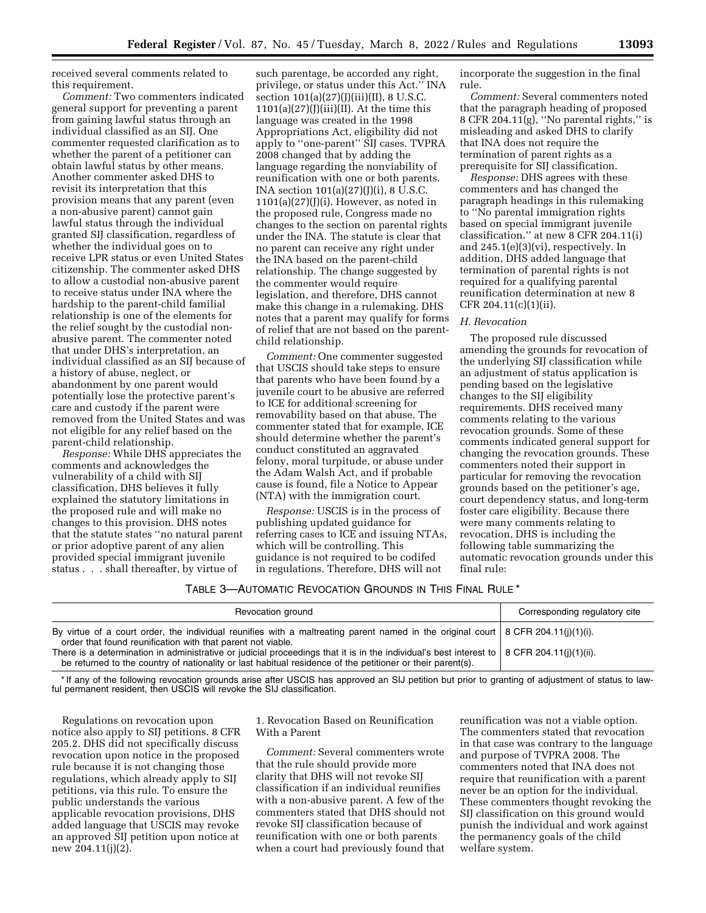received several comments related to this requirement.

*Comment:* Two commenters indicated general support for preventing a parent from gaining lawful status through an individual classified as an SIJ. One commenter requested clarification as to whether the parent of a petitioner can obtain lawful status by other means. Another commenter asked DHS to revisit its interpretation that this provision means that any parent (even a non-abusive parent) cannot gain lawful status through the individual granted SIJ classification, regardless of whether the individual goes on to receive LPR status or even United States citizenship. The commenter asked DHS to allow a custodial non-abusive parent to receive status under INA where the hardship to the parent-child familial relationship is one of the elements for the relief sought by the custodial nonabusive parent. The commenter noted that under DHS's interpretation, an individual classified as an SIJ because of a history of abuse, neglect, or abandonment by one parent would potentially lose the protective parent's care and custody if the parent were removed from the United States and was not eligible for any relief based on the parent-child relationship.

*Response:* While DHS appreciates the comments and acknowledges the vulnerability of a child with SIJ classification, DHS believes it fully explained the statutory limitations in the proposed rule and will make no changes to this provision. DHS notes that the statute states ''no natural parent or prior adoptive parent of any alien provided special immigrant juvenile status . . . shall thereafter, by virtue of

such parentage, be accorded any right, privilege, or status under this Act.'' INA section  $101(a)(27)(J)(iii)(II)$ , 8 U.S.C.  $1101(a)(27)(J)(iii)(II)$ . At the time this language was created in the 1998 Appropriations Act, eligibility did not apply to ''one-parent'' SIJ cases. TVPRA 2008 changed that by adding the language regarding the nonviability of reunification with one or both parents. INA section 101(a)(27)(J)(i), 8 U.S.C.  $1101(a)(27)(J)(i)$ . However, as noted in the proposed rule, Congress made no changes to the section on parental rights under the INA. The statute is clear that no parent can receive any right under the INA based on the parent-child relationship. The change suggested by the commenter would require legislation, and therefore, DHS cannot make this change in a rulemaking. DHS notes that a parent may qualify for forms of relief that are not based on the parentchild relationship.

*Comment:* One commenter suggested that USCIS should take steps to ensure that parents who have been found by a juvenile court to be abusive are referred to ICE for additional screening for removability based on that abuse. The commenter stated that for example, ICE should determine whether the parent's conduct constituted an aggravated felony, moral turpitude, or abuse under the Adam Walsh Act, and if probable cause is found, file a Notice to Appear (NTA) with the immigration court.

*Response:* USCIS is in the process of publishing updated guidance for referring cases to ICE and issuing NTAs, which will be controlling. This guidance is not required to be codifed in regulations. Therefore, DHS will not

incorporate the suggestion in the final rule.

*Comment:* Several commenters noted that the paragraph heading of proposed 8 CFR 204.11 $(g)$ , "No parental rights," is misleading and asked DHS to clarify that INA does not require the termination of parent rights as a prerequisite for SIJ classification.

*Response:* DHS agrees with these commenters and has changed the paragraph headings in this rulemaking to ''No parental immigration rights based on special immigrant juvenile classification.'' at new 8 CFR 204.11(i) and 245.1(e)(3)(vi), respectively. In addition, DHS added language that termination of parental rights is not required for a qualifying parental reunification determination at new 8 CFR 204.11(c)(1)(ii).

# *H. Revocation*

The proposed rule discussed amending the grounds for revocation of the underlying SIJ classification while an adjustment of status application is pending based on the legislative changes to the SIJ eligibility requirements. DHS received many comments relating to the various revocation grounds. Some of these comments indicated general support for changing the revocation grounds. These commenters noted their support in particular for removing the revocation grounds based on the petitioner's age, court dependency status, and long-term foster care eligibility. Because there were many comments relating to revocation, DHS is including the following table summarizing the automatic revocation grounds under this final rule:

# TABLE 3—AUTOMATIC REVOCATION GROUNDS IN THIS FINAL RULE \*

| Revocation ground                                                                                                                                                                                                                                          | Corresponding regulatory cite |
|------------------------------------------------------------------------------------------------------------------------------------------------------------------------------------------------------------------------------------------------------------|-------------------------------|
| By virtue of a court order, the individual reunifies with a maltreating parent named in the original court   8 CFR 204.11(i)(1)(i).<br>order that found reunification with that parent not viable.                                                         |                               |
| There is a determination in administrative or judicial proceedings that it is in the individual's best interest to   8 CFR 204.11(j)(1)(ii).<br>be returned to the country of nationality or last habitual residence of the petitioner or their parent(s). |                               |

\* If any of the following revocation grounds arise after USCIS has approved an SIJ petition but prior to granting of adjustment of status to lawful permanent resident, then USCIS will revoke the SIJ classification.

Regulations on revocation upon notice also apply to SIJ petitions. 8 CFR 205.2. DHS did not specifically discuss revocation upon notice in the proposed rule because it is not changing those regulations, which already apply to SIJ petitions, via this rule. To ensure the public understands the various applicable revocation provisions, DHS added language that USCIS may revoke an approved SIJ petition upon notice at new 204.11(j)(2).

1. Revocation Based on Reunification With a Parent

*Comment:* Several commenters wrote that the rule should provide more clarity that DHS will not revoke SIJ classification if an individual reunifies with a non-abusive parent. A few of the commenters stated that DHS should not revoke SIJ classification because of reunification with one or both parents when a court had previously found that

reunification was not a viable option. The commenters stated that revocation in that case was contrary to the language and purpose of TVPRA 2008. The commenters noted that INA does not require that reunification with a parent never be an option for the individual. These commenters thought revoking the SIJ classification on this ground would punish the individual and work against the permanency goals of the child welfare system.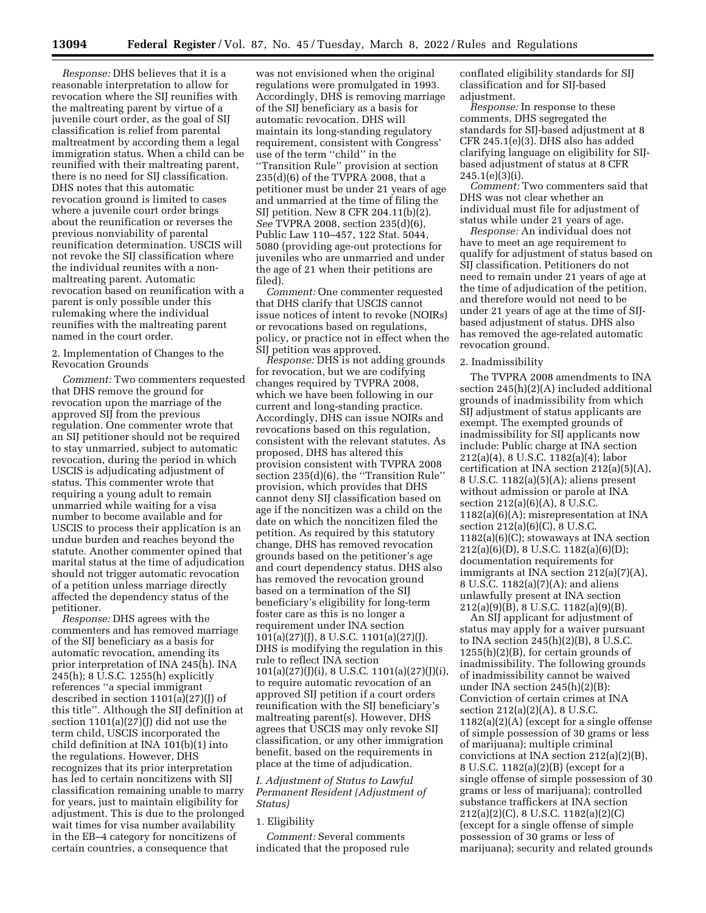*Response:* DHS believes that it is a reasonable interpretation to allow for revocation where the SIJ reunifies with the maltreating parent by virtue of a juvenile court order, as the goal of SIJ classification is relief from parental maltreatment by according them a legal immigration status. When a child can be reunified with their maltreating parent, there is no need for SIJ classification. DHS notes that this automatic revocation ground is limited to cases where a juvenile court order brings about the reunification or reverses the previous nonviability of parental reunification determination. USCIS will not revoke the SIJ classification where the individual reunites with a nonmaltreating parent. Automatic revocation based on reunification with a parent is only possible under this rulemaking where the individual reunifies with the maltreating parent named in the court order.

# 2. Implementation of Changes to the Revocation Grounds

*Comment:* Two commenters requested that DHS remove the ground for revocation upon the marriage of the approved SIJ from the previous regulation. One commenter wrote that an SIJ petitioner should not be required to stay unmarried, subject to automatic revocation, during the period in which USCIS is adjudicating adjustment of status. This commenter wrote that requiring a young adult to remain unmarried while waiting for a visa number to become available and for USCIS to process their application is an undue burden and reaches beyond the statute. Another commenter opined that marital status at the time of adjudication should not trigger automatic revocation of a petition unless marriage directly affected the dependency status of the petitioner.

*Response:* DHS agrees with the commenters and has removed marriage of the SIJ beneficiary as a basis for automatic revocation, amending its prior interpretation of INA 245(h). INA 245(h); 8 U.S.C. 1255(h) explicitly references ''a special immigrant described in section 1101(a)(27)(J) of this title''. Although the SIJ definition at section  $1101(a)(27)(J)$  did not use the term child, USCIS incorporated the child definition at INA 101(b)(1) into the regulations. However, DHS recognizes that its prior interpretation has led to certain noncitizens with SIJ classification remaining unable to marry for years, just to maintain eligibility for adjustment. This is due to the prolonged wait times for visa number availability in the EB–4 category for noncitizens of certain countries, a consequence that

was not envisioned when the original regulations were promulgated in 1993. Accordingly, DHS is removing marriage of the SIJ beneficiary as a basis for automatic revocation. DHS will maintain its long-standing regulatory requirement, consistent with Congress' use of the term ''child'' in the ''Transition Rule'' provision at section 235(d)(6) of the TVPRA 2008, that a petitioner must be under 21 years of age and unmarried at the time of filing the SIJ petition. New 8 CFR 204.11(b)(2). *See* TVPRA 2008, section 235(d)(6), Public Law 110–457, 122 Stat. 5044, 5080 (providing age-out protections for juveniles who are unmarried and under the age of 21 when their petitions are filed).

*Comment:* One commenter requested that DHS clarify that USCIS cannot issue notices of intent to revoke (NOIRs) or revocations based on regulations, policy, or practice not in effect when the SIJ petition was approved.

*Response:* DHS is not adding grounds for revocation, but we are codifying changes required by TVPRA 2008, which we have been following in our current and long-standing practice. Accordingly, DHS can issue NOIRs and revocations based on this regulation, consistent with the relevant statutes. As proposed, DHS has altered this provision consistent with TVPRA 2008 section 235(d)(6), the ''Transition Rule'' provision, which provides that DHS cannot deny SIJ classification based on age if the noncitizen was a child on the date on which the noncitizen filed the petition. As required by this statutory change, DHS has removed revocation grounds based on the petitioner's age and court dependency status. DHS also has removed the revocation ground based on a termination of the SIJ beneficiary's eligibility for long-term foster care as this is no longer a requirement under INA section 101(a)(27)(J), 8 U.S.C. 1101(a)(27)(J). DHS is modifying the regulation in this rule to reflect INA section 101(a)(27)(J)(i), 8 U.S.C. 1101(a)(27)(J)(i), to require automatic revocation of an approved SIJ petition if a court orders reunification with the SIJ beneficiary's maltreating parent(s). However, DHS agrees that USCIS may only revoke SIJ classification, or any other immigration benefit, based on the requirements in place at the time of adjudication.

*I. Adjustment of Status to Lawful Permanent Resident (Adjustment of Status)* 

## 1. Eligibility

*Comment:* Several comments indicated that the proposed rule conflated eligibility standards for SIJ classification and for SIJ-based adjustment.

*Response:* In response to these comments, DHS segregated the standards for SIJ-based adjustment at 8 CFR 245.1(e)(3). DHS also has added clarifying language on eligibility for SIJbased adjustment of status at 8 CFR  $245.1(e)(3)(i)$ .

*Comment:* Two commenters said that DHS was not clear whether an individual must file for adjustment of status while under 21 years of age.

*Response:* An individual does not have to meet an age requirement to qualify for adjustment of status based on SIJ classification. Petitioners do not need to remain under 21 years of age at the time of adjudication of the petition, and therefore would not need to be under 21 years of age at the time of SIJbased adjustment of status. DHS also has removed the age-related automatic revocation ground.

## 2. Inadmissibility

The TVPRA 2008 amendments to INA section 245(h)(2)(A) included additional grounds of inadmissibility from which SIJ adjustment of status applicants are exempt. The exempted grounds of inadmissibility for SIJ applicants now include: Public charge at INA section 212(a)(4), 8 U.S.C. 1182(a)(4); labor certification at INA section 212(a)(5)(A), 8 U.S.C. 1182(a)(5)(A); aliens present without admission or parole at INA section 212(a)(6)(A), 8 U.S.C. 1182(a)(6)(A); misrepresentation at INA section 212(a)(6)(C), 8 U.S.C. 1182(a)(6)(C); stowaways at INA section 212(a)(6)(D), 8 U.S.C. 1182(a)(6)(D); documentation requirements for immigrants at INA section 212(a)(7)(A), 8 U.S.C. 1182(a)(7)(A); and aliens unlawfully present at INA section 212(a)(9)(B), 8 U.S.C. 1182(a)(9)(B).

An SIJ applicant for adjustment of status may apply for a waiver pursuant to INA section 245(h)(2)(B), 8 U.S.C.  $1255(h)(2)(B)$ , for certain grounds of inadmissibility. The following grounds of inadmissibility cannot be waived under INA section 245(h)(2)(B): Conviction of certain crimes at INA section 212(a)(2)(A), 8 U.S.C. 1182(a)(2)(A) (except for a single offense of simple possession of 30 grams or less of marijuana); multiple criminal convictions at INA section 212(a)(2)(B), 8 U.S.C. 1182(a)(2)(B) (except for a single offense of simple possession of 30 grams or less of marijuana); controlled substance traffickers at INA section 212(a)(2)(C), 8 U.S.C. 1182(a)(2)(C) (except for a single offense of simple possession of 30 grams or less of marijuana); security and related grounds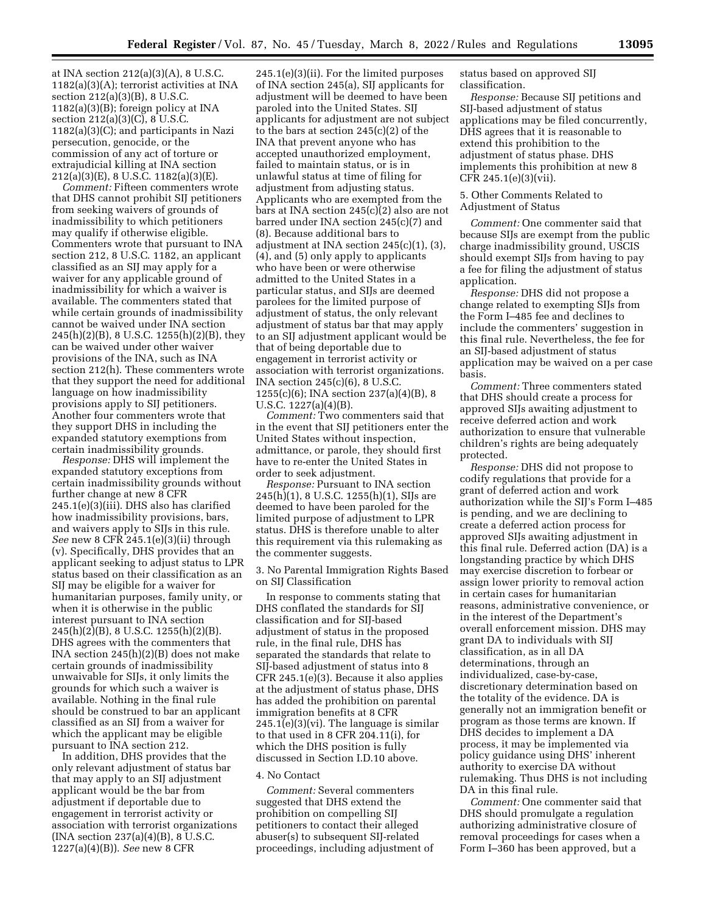at INA section 212(a)(3)(A), 8 U.S.C. 1182(a)(3)(A); terrorist activities at INA section 212(a)(3)(B), 8 U.S.C. 1182(a)(3)(B); foreign policy at INA section 212(a)(3)(C), 8 U.S.C. 1182(a)(3)(C); and participants in Nazi persecution, genocide, or the commission of any act of torture or extrajudicial killing at INA section  $212(a)(3)(E)$ , 8 U.S.C.  $1182(a)(3)(E)$ .

*Comment:* Fifteen commenters wrote that DHS cannot prohibit SIJ petitioners from seeking waivers of grounds of inadmissibility to which petitioners may qualify if otherwise eligible. Commenters wrote that pursuant to INA section 212, 8 U.S.C. 1182, an applicant classified as an SIJ may apply for a waiver for any applicable ground of inadmissibility for which a waiver is available. The commenters stated that while certain grounds of inadmissibility cannot be waived under INA section 245(h)(2)(B), 8 U.S.C. 1255(h)(2)(B), they can be waived under other waiver provisions of the INA, such as INA section 212(h). These commenters wrote that they support the need for additional language on how inadmissibility provisions apply to SIJ petitioners. Another four commenters wrote that they support DHS in including the expanded statutory exemptions from certain inadmissibility grounds.

*Response:* DHS will implement the expanded statutory exceptions from certain inadmissibility grounds without further change at new 8 CFR 245.1(e)(3)(iii). DHS also has clarified how inadmissibility provisions, bars, and waivers apply to SIJs in this rule. *See* new 8 CFR 245.1(e)(3)(ii) through (v). Specifically, DHS provides that an applicant seeking to adjust status to LPR status based on their classification as an SIJ may be eligible for a waiver for humanitarian purposes, family unity, or when it is otherwise in the public interest pursuant to INA section 245(h)(2)(B), 8 U.S.C. 1255(h)(2)(B). DHS agrees with the commenters that INA section 245(h)(2)(B) does not make certain grounds of inadmissibility unwaivable for SIJs, it only limits the grounds for which such a waiver is available. Nothing in the final rule should be construed to bar an applicant classified as an SIJ from a waiver for which the applicant may be eligible pursuant to INA section 212.

In addition, DHS provides that the only relevant adjustment of status bar that may apply to an SIJ adjustment applicant would be the bar from adjustment if deportable due to engagement in terrorist activity or association with terrorist organizations  $[INA section 237(a)(4)(B), 8 U.S.C.]$ 1227(a)(4)(B)). *See* new 8 CFR

245.1(e)(3)(ii). For the limited purposes of INA section 245(a), SIJ applicants for adjustment will be deemed to have been paroled into the United States. SIJ applicants for adjustment are not subject to the bars at section 245(c)(2) of the INA that prevent anyone who has accepted unauthorized employment, failed to maintain status, or is in unlawful status at time of filing for adjustment from adjusting status. Applicants who are exempted from the bars at INA section 245(c)(2) also are not barred under INA section 245(c)(7) and (8). Because additional bars to adjustment at INA section 245(c)(1), (3), (4), and (5) only apply to applicants who have been or were otherwise admitted to the United States in a particular status, and SIJs are deemed parolees for the limited purpose of adjustment of status, the only relevant adjustment of status bar that may apply to an SIJ adjustment applicant would be that of being deportable due to engagement in terrorist activity or association with terrorist organizations. INA section 245(c)(6), 8 U.S.C. 1255(c)(6); INA section 237(a)(4)(B), 8 U.S.C. 1227(a)(4)(B).

*Comment:* Two commenters said that in the event that SIJ petitioners enter the United States without inspection, admittance, or parole, they should first have to re-enter the United States in order to seek adjustment.

*Response:* Pursuant to INA section 245(h)(1), 8 U.S.C. 1255(h)(1), SIJs are deemed to have been paroled for the limited purpose of adjustment to LPR status. DHS is therefore unable to alter this requirement via this rulemaking as the commenter suggests.

3. No Parental Immigration Rights Based on SIJ Classification

In response to comments stating that DHS conflated the standards for SIJ classification and for SIJ-based adjustment of status in the proposed rule, in the final rule, DHS has separated the standards that relate to SIJ-based adjustment of status into 8 CFR 245.1(e)(3). Because it also applies at the adjustment of status phase, DHS has added the prohibition on parental immigration benefits at 8 CFR  $245.1(e)(3)(vi)$ . The language is similar to that used in 8 CFR 204.11(i), for which the DHS position is fully discussed in Section I.D.10 above.

#### 4. No Contact

*Comment:* Several commenters suggested that DHS extend the prohibition on compelling SIJ petitioners to contact their alleged abuser(s) to subsequent SIJ-related proceedings, including adjustment of status based on approved SIJ classification.

*Response:* Because SIJ petitions and SIJ-based adjustment of status applications may be filed concurrently, DHS agrees that it is reasonable to extend this prohibition to the adjustment of status phase. DHS implements this prohibition at new 8 CFR 245.1(e)(3)(vii).

## 5. Other Comments Related to Adjustment of Status

*Comment:* One commenter said that because SIJs are exempt from the public charge inadmissibility ground, USCIS should exempt SIJs from having to pay a fee for filing the adjustment of status application.

*Response:* DHS did not propose a change related to exempting SIJs from the Form I–485 fee and declines to include the commenters' suggestion in this final rule. Nevertheless, the fee for an SIJ-based adjustment of status application may be waived on a per case basis.

*Comment:* Three commenters stated that DHS should create a process for approved SIJs awaiting adjustment to receive deferred action and work authorization to ensure that vulnerable children's rights are being adequately protected.

*Response:* DHS did not propose to codify regulations that provide for a grant of deferred action and work authorization while the SIJ's Form I–485 is pending, and we are declining to create a deferred action process for approved SIJs awaiting adjustment in this final rule. Deferred action (DA) is a longstanding practice by which DHS may exercise discretion to forbear or assign lower priority to removal action in certain cases for humanitarian reasons, administrative convenience, or in the interest of the Department's overall enforcement mission. DHS may grant DA to individuals with SIJ classification, as in all DA determinations, through an individualized, case-by-case, discretionary determination based on the totality of the evidence. DA is generally not an immigration benefit or program as those terms are known. If DHS decides to implement a DA process, it may be implemented via policy guidance using DHS' inherent authority to exercise DA without rulemaking. Thus DHS is not including DA in this final rule.

*Comment:* One commenter said that DHS should promulgate a regulation authorizing administrative closure of removal proceedings for cases when a Form I–360 has been approved, but a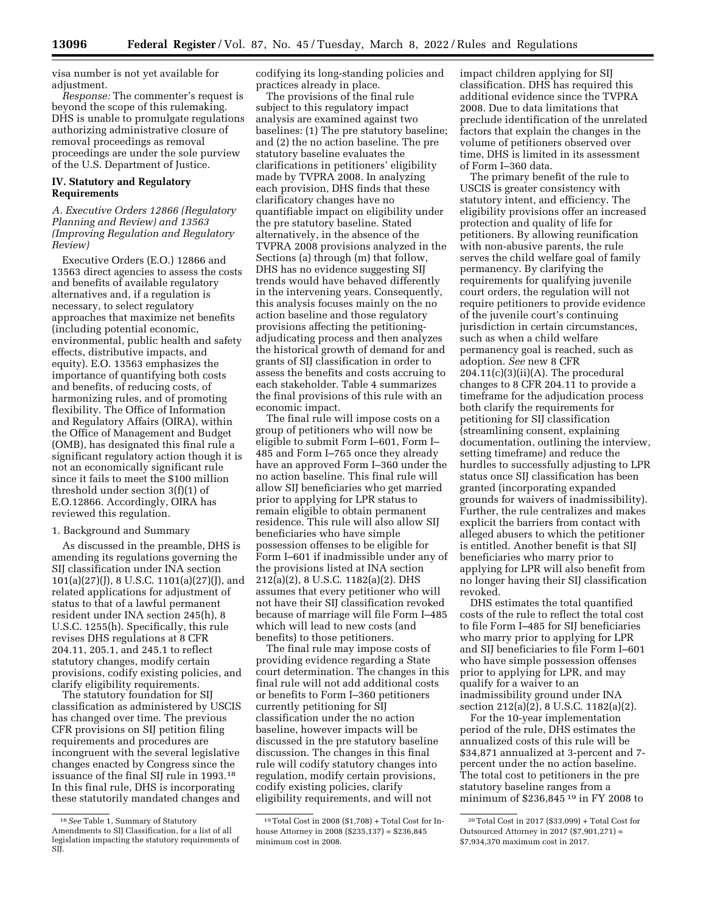visa number is not yet available for adjustment.

*Response:* The commenter's request is beyond the scope of this rulemaking. DHS is unable to promulgate regulations authorizing administrative closure of removal proceedings as removal proceedings are under the sole purview of the U.S. Department of Justice.

# **IV. Statutory and Regulatory Requirements**

# *A. Executive Orders 12866 (Regulatory Planning and Review) and 13563 (Improving Regulation and Regulatory Review)*

Executive Orders (E.O.) 12866 and 13563 direct agencies to assess the costs and benefits of available regulatory alternatives and, if a regulation is necessary, to select regulatory approaches that maximize net benefits (including potential economic, environmental, public health and safety effects, distributive impacts, and equity). E.O. 13563 emphasizes the importance of quantifying both costs and benefits, of reducing costs, of harmonizing rules, and of promoting flexibility. The Office of Information and Regulatory Affairs (OIRA), within the Office of Management and Budget (OMB), has designated this final rule a significant regulatory action though it is not an economically significant rule since it fails to meet the \$100 million threshold under section 3(f)(1) of E.O.12866. Accordingly, OIRA has reviewed this regulation.

## 1. Background and Summary

As discussed in the preamble, DHS is amending its regulations governing the SIJ classification under INA section 101(a)(27)(J), 8 U.S.C. 1101(a)(27)(J), and related applications for adjustment of status to that of a lawful permanent resident under INA section 245(h), 8 U.S.C. 1255(h). Specifically, this rule revises DHS regulations at 8 CFR 204.11, 205.1, and 245.1 to reflect statutory changes, modify certain provisions, codify existing policies, and clarify eligibility requirements.

The statutory foundation for SIJ classification as administered by USCIS has changed over time. The previous CFR provisions on SIJ petition filing requirements and procedures are incongruent with the several legislative changes enacted by Congress since the issuance of the final SIJ rule in 1993.18 In this final rule, DHS is incorporating these statutorily mandated changes and codifying its long-standing policies and practices already in place.

The provisions of the final rule subject to this regulatory impact analysis are examined against two baselines: (1) The pre statutory baseline; and (2) the no action baseline. The pre statutory baseline evaluates the clarifications in petitioners' eligibility made by TVPRA 2008. In analyzing each provision, DHS finds that these clarificatory changes have no quantifiable impact on eligibility under the pre statutory baseline. Stated alternatively, in the absence of the TVPRA 2008 provisions analyzed in the Sections (a) through (m) that follow, DHS has no evidence suggesting SIJ trends would have behaved differently in the intervening years. Consequently, this analysis focuses mainly on the no action baseline and those regulatory provisions affecting the petitioningadjudicating process and then analyzes the historical growth of demand for and grants of SIJ classification in order to assess the benefits and costs accruing to each stakeholder. Table 4 summarizes the final provisions of this rule with an economic impact.

The final rule will impose costs on a group of petitioners who will now be eligible to submit Form I–601, Form I– 485 and Form I–765 once they already have an approved Form I–360 under the no action baseline. This final rule will allow SIJ beneficiaries who get married prior to applying for LPR status to remain eligible to obtain permanent residence. This rule will also allow SIJ beneficiaries who have simple possession offenses to be eligible for Form I–601 if inadmissible under any of the provisions listed at INA section 212(a)(2), 8 U.S.C. 1182(a)(2). DHS assumes that every petitioner who will not have their SIJ classification revoked because of marriage will file Form I–485 which will lead to new costs (and benefits) to those petitioners.

The final rule may impose costs of providing evidence regarding a State court determination. The changes in this final rule will not add additional costs or benefits to Form I–360 petitioners currently petitioning for SIJ classification under the no action baseline, however impacts will be discussed in the pre statutory baseline discussion. The changes in this final rule will codify statutory changes into regulation, modify certain provisions, codify existing policies, clarify eligibility requirements, and will not

impact children applying for SIJ classification. DHS has required this additional evidence since the TVPRA 2008. Due to data limitations that preclude identification of the unrelated factors that explain the changes in the volume of petitioners observed over time, DHS is limited in its assessment of Form I–360 data.

The primary benefit of the rule to USCIS is greater consistency with statutory intent, and efficiency. The eligibility provisions offer an increased protection and quality of life for petitioners. By allowing reunification with non-abusive parents, the rule serves the child welfare goal of family permanency. By clarifying the requirements for qualifying juvenile court orders, the regulation will not require petitioners to provide evidence of the juvenile court's continuing jurisdiction in certain circumstances, such as when a child welfare permanency goal is reached, such as adoption. *See* new 8 CFR  $204.11(c)(3)(ii)(A)$ . The procedural changes to 8 CFR 204.11 to provide a timeframe for the adjudication process both clarify the requirements for petitioning for SIJ classification (streamlining consent, explaining documentation, outlining the interview, setting timeframe) and reduce the hurdles to successfully adjusting to LPR status once SIJ classification has been granted (incorporating expanded grounds for waivers of inadmissibility). Further, the rule centralizes and makes explicit the barriers from contact with alleged abusers to which the petitioner is entitled. Another benefit is that SIJ beneficiaries who marry prior to applying for LPR will also benefit from no longer having their SIJ classification revoked.

DHS estimates the total quantified costs of the rule to reflect the total cost to file Form I–485 for SIJ beneficiaries who marry prior to applying for LPR and SIJ beneficiaries to file Form I–601 who have simple possession offenses prior to applying for LPR, and may qualify for a waiver to an inadmissibility ground under INA section 212(a)(2), 8 U.S.C. 1182(a)(2).

For the 10-year implementation period of the rule, DHS estimates the annualized costs of this rule will be \$34,871 annualized at 3-percent and 7 percent under the no action baseline. The total cost to petitioners in the pre statutory baseline ranges from a minimum of \$236,845 19 in FY 2008 to

<sup>18</sup>*See* Table 1, Summary of Statutory Amendments to SIJ Classification, for a list of all legislation impacting the statutory requirements of SIĬ.

<sup>19</sup>Total Cost in 2008 (\$1,708) + Total Cost for Inhouse Attorney in 2008 (\$235,137) = \$236,845 minimum cost in 2008.

<sup>20</sup>Total Cost in 2017 (\$33,099) + Total Cost for Outsourced Attorney in 2017 (\$7,901,271) = \$7,934,370 maximum cost in 2017.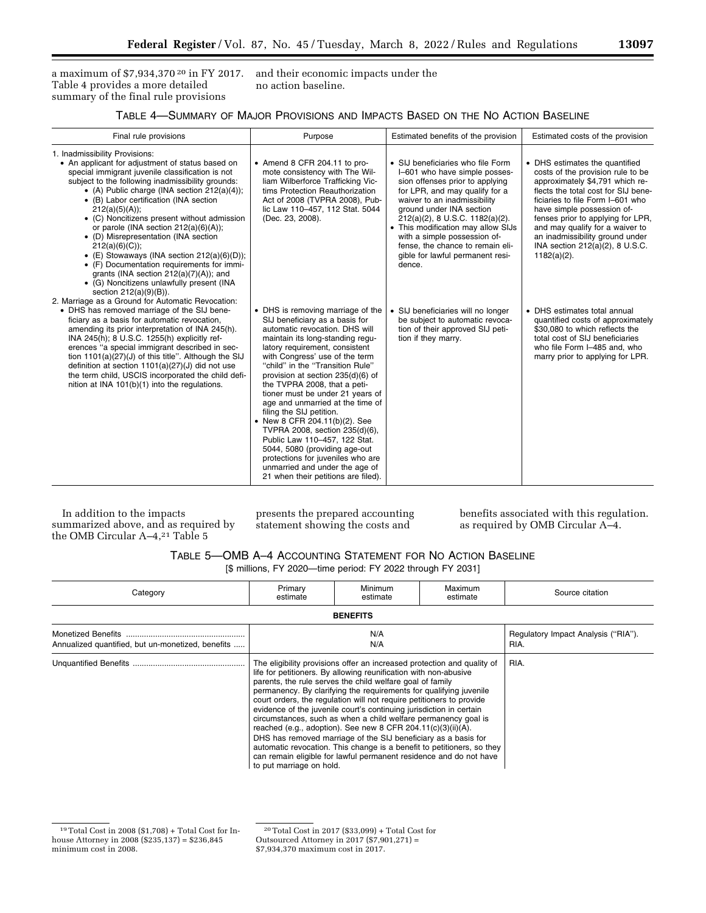a maximum of \$7,934,370<sup>20</sup> in FY 2017. and their economic impacts under the Table 4 provides a more detailed summary of the final rule provisions

no action baseline.

| Table 4—Summary of Major Provisions and Impacts Based on the No Action Baseline |
|---------------------------------------------------------------------------------|
|---------------------------------------------------------------------------------|

| Final rule provisions                                                                                                                                                                                                                                                                                                                                                                                                                                                                                                                                                                                                                                                                                                                   | Purpose                                                                                                                                                                                                                                                                                                                                                                                                                                                                                                                                                                                                                                                                       | Estimated benefits of the provision                                                                                                                                                                                                                                                                                                                                                            | Estimated costs of the provision                                                                                                                                                                                                                                                                                                                                                |  |
|-----------------------------------------------------------------------------------------------------------------------------------------------------------------------------------------------------------------------------------------------------------------------------------------------------------------------------------------------------------------------------------------------------------------------------------------------------------------------------------------------------------------------------------------------------------------------------------------------------------------------------------------------------------------------------------------------------------------------------------------|-------------------------------------------------------------------------------------------------------------------------------------------------------------------------------------------------------------------------------------------------------------------------------------------------------------------------------------------------------------------------------------------------------------------------------------------------------------------------------------------------------------------------------------------------------------------------------------------------------------------------------------------------------------------------------|------------------------------------------------------------------------------------------------------------------------------------------------------------------------------------------------------------------------------------------------------------------------------------------------------------------------------------------------------------------------------------------------|---------------------------------------------------------------------------------------------------------------------------------------------------------------------------------------------------------------------------------------------------------------------------------------------------------------------------------------------------------------------------------|--|
| 1. Inadmissibility Provisions:<br>• An applicant for adjustment of status based on<br>special immigrant juvenile classification is not<br>subject to the following inadmissibility grounds:<br>• (A) Public charge (INA section $212(a)(4)$ );<br>• (B) Labor certification (INA section<br>212(a)(5)(A));<br>• (C) Noncitizens present without admission<br>or parole (INA section 212(a)(6)(A));<br>• (D) Misrepresentation (INA section<br>$212(a)(6)(C)$ ;<br>• (E) Stowaways (INA section $212(a)(6)(D)$ );<br>• (F) Documentation requirements for immi-<br>grants (INA section $212(a)(7)(A)$ ); and<br>• (G) Noncitizens unlawfully present (INA<br>section 212(a)(9)(B)).<br>2. Marriage as a Ground for Automatic Revocation: | • Amend 8 CFR 204.11 to pro-<br>mote consistency with The Wil-<br>liam Wilberforce Trafficking Vic-<br>tims Protection Reauthorization<br>Act of 2008 (TVPRA 2008), Pub-<br>lic Law 110-457, 112 Stat. 5044<br>(Dec. 23, 2008).                                                                                                                                                                                                                                                                                                                                                                                                                                               | • SIJ beneficiaries who file Form<br>I-601 who have simple posses-<br>sion offenses prior to applying<br>for LPR, and may qualify for a<br>waiver to an inadmissibility<br>ground under INA section<br>212(a)(2), 8 U.S.C. 1182(a)(2).<br>• This modification may allow SIJs<br>with a simple possession of-<br>fense, the chance to remain eli-<br>gible for lawful permanent resi-<br>dence. | • DHS estimates the quantified<br>costs of the provision rule to be<br>approximately \$4,791 which re-<br>flects the total cost for SIJ bene-<br>ficiaries to file Form I-601 who<br>have simple possession of-<br>fenses prior to applying for LPR,<br>and may qualify for a waiver to<br>an inadmissibility ground under<br>INA section 212(a)(2), 8 U.S.C.<br>$1182(a)(2)$ . |  |
| • DHS has removed marriage of the SIJ bene-<br>ficiary as a basis for automatic revocation,<br>amending its prior interpretation of INA 245(h).<br>INA 245(h); 8 U.S.C. 1255(h) explicitly ref-<br>erences "a special immigrant described in sec-<br>tion $1101(a)(27)(J)$ of this title". Although the SIJ<br>definition at section 1101(a)(27)(J) did not use<br>the term child, USCIS incorporated the child defi-<br>nition at INA 101(b)(1) into the regulations.                                                                                                                                                                                                                                                                  | • DHS is removing marriage of the<br>SIJ beneficiary as a basis for<br>automatic revocation. DHS will<br>maintain its long-standing regu-<br>latory requirement, consistent<br>with Congress' use of the term<br>"child" in the "Transition Rule"<br>provision at section 235(d)(6) of<br>the TVPRA 2008, that a peti-<br>tioner must be under 21 years of<br>age and unmarried at the time of<br>filing the SIJ petition.<br>• New 8 CFR 204.11(b)(2). See<br>TVPRA 2008, section 235(d)(6),<br>Public Law 110-457, 122 Stat.<br>5044, 5080 (providing age-out<br>protections for juveniles who are<br>unmarried and under the age of<br>21 when their petitions are filed). | • SIJ beneficiaries will no longer<br>be subject to automatic revoca-<br>tion of their approved SIJ peti-<br>tion if they marry.                                                                                                                                                                                                                                                               | • DHS estimates total annual<br>quantified costs of approximately<br>\$30,080 to which reflects the<br>total cost of SIJ beneficiaries<br>who file Form I-485 and, who<br>marry prior to applying for LPR.                                                                                                                                                                      |  |

In addition to the impacts summarized above, and as required by the OMB Circular A–4,21 Table 5

presents the prepared accounting statement showing the costs and

benefits associated with this regulation. as required by OMB Circular A–4.

| TABLE 5-OMB A-4 ACCOUNTING STATEMENT FOR NO ACTION BASELINE |
|-------------------------------------------------------------|
| [\$ millions, FY 2020—time period: FY 2022 through FY 2031] |

| Category                                          | Primary<br>estimate                                                                                                                                                                                                                                                                                                                                                                                                                                                                                                                                                                                                                                                                                                                                                                                           | Minimum<br>estimate | Maximum<br>estimate | Source citation                             |
|---------------------------------------------------|---------------------------------------------------------------------------------------------------------------------------------------------------------------------------------------------------------------------------------------------------------------------------------------------------------------------------------------------------------------------------------------------------------------------------------------------------------------------------------------------------------------------------------------------------------------------------------------------------------------------------------------------------------------------------------------------------------------------------------------------------------------------------------------------------------------|---------------------|---------------------|---------------------------------------------|
|                                                   |                                                                                                                                                                                                                                                                                                                                                                                                                                                                                                                                                                                                                                                                                                                                                                                                               | <b>BENEFITS</b>     |                     |                                             |
| Annualized quantified, but un-monetized, benefits | N/A<br>N/A                                                                                                                                                                                                                                                                                                                                                                                                                                                                                                                                                                                                                                                                                                                                                                                                    |                     |                     | Regulatory Impact Analysis ("RIA").<br>RIA. |
|                                                   | The eligibility provisions offer an increased protection and quality of<br>life for petitioners. By allowing reunification with non-abusive<br>parents, the rule serves the child welfare goal of family<br>permanency. By clarifying the requirements for qualifying juvenile<br>court orders, the regulation will not reguire petitioners to provide<br>evidence of the juvenile court's continuing jurisdiction in certain<br>circumstances, such as when a child welfare permanency goal is<br>reached (e.g., adoption). See new 8 CFR 204.11(c)(3)(ii)(A).<br>DHS has removed marriage of the SIJ beneficiary as a basis for<br>automatic revocation. This change is a benefit to petitioners, so they<br>can remain eligible for lawful permanent residence and do not have<br>to put marriage on hold. |                     | RIA.                |                                             |

<sup>19</sup>Total Cost in 2008 (\$1,708) + Total Cost for Inhouse Attorney in 2008 (\$235,137) = \$236,845 minimum cost in 2008.

20Total Cost in 2017 (\$33,099) + Total Cost for Outsourced Attorney in 2017 (\$7,901,271) = \$7,934,370 maximum cost in 2017.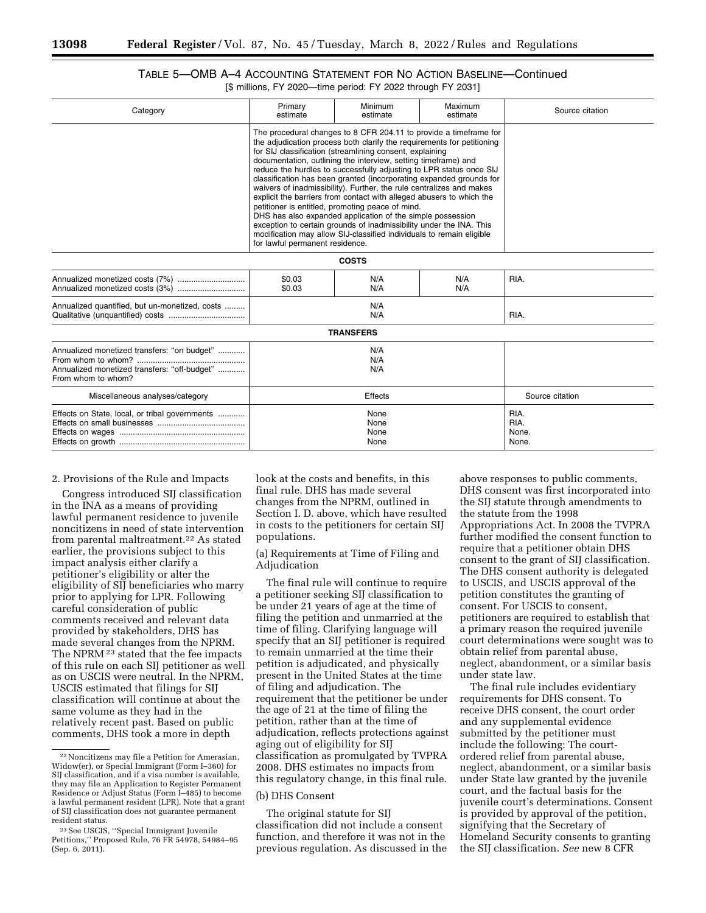# TABLE 5—OMB A–4 ACCOUNTING STATEMENT FOR NO ACTION BASELINE—Continued [\$ millions, FY 2020—time period: FY 2022 through FY 2031]

| Category                                                                                                          | Primary<br>estimate                                                                                                                                                                                                                                                                                                                                                                                                                                                                                                                                                                                                                                                                                                                                                                                                                                                         | Minimum<br>estimate | Maximum<br>estimate | Source citation                |
|-------------------------------------------------------------------------------------------------------------------|-----------------------------------------------------------------------------------------------------------------------------------------------------------------------------------------------------------------------------------------------------------------------------------------------------------------------------------------------------------------------------------------------------------------------------------------------------------------------------------------------------------------------------------------------------------------------------------------------------------------------------------------------------------------------------------------------------------------------------------------------------------------------------------------------------------------------------------------------------------------------------|---------------------|---------------------|--------------------------------|
|                                                                                                                   | The procedural changes to 8 CFR 204.11 to provide a timeframe for<br>the adjudication process both clarify the requirements for petitioning<br>for SIJ classification (streamlining consent, explaining<br>documentation, outlining the interview, setting timeframe) and<br>reduce the hurdles to successfully adjusting to LPR status once SIJ<br>classification has been granted (incorporating expanded grounds for<br>waivers of inadmissibility). Further, the rule centralizes and makes<br>explicit the barriers from contact with alleged abusers to which the<br>petitioner is entitled, promoting peace of mind.<br>DHS has also expanded application of the simple possession<br>exception to certain grounds of inadmissibility under the INA. This<br>modification may allow SIJ-classified individuals to remain eligible<br>for lawful permanent residence. |                     |                     |                                |
| <b>COSTS</b>                                                                                                      |                                                                                                                                                                                                                                                                                                                                                                                                                                                                                                                                                                                                                                                                                                                                                                                                                                                                             |                     |                     |                                |
|                                                                                                                   | \$0.03<br>\$0.03                                                                                                                                                                                                                                                                                                                                                                                                                                                                                                                                                                                                                                                                                                                                                                                                                                                            | N/A<br>N/A          | N/A<br>N/A          | RIA.                           |
| Annualized quantified, but un-monetized, costs                                                                    | N/A<br>N/A                                                                                                                                                                                                                                                                                                                                                                                                                                                                                                                                                                                                                                                                                                                                                                                                                                                                  |                     |                     | RIA.                           |
|                                                                                                                   |                                                                                                                                                                                                                                                                                                                                                                                                                                                                                                                                                                                                                                                                                                                                                                                                                                                                             | <b>TRANSFERS</b>    |                     |                                |
| Annualized monetized transfers: "on budget"<br>Annualized monetized transfers: "off-budget"<br>From whom to whom? | N/A<br>N/A<br>N/A                                                                                                                                                                                                                                                                                                                                                                                                                                                                                                                                                                                                                                                                                                                                                                                                                                                           |                     |                     |                                |
| Miscellaneous analyses/category                                                                                   | Effects                                                                                                                                                                                                                                                                                                                                                                                                                                                                                                                                                                                                                                                                                                                                                                                                                                                                     |                     | Source citation     |                                |
| Effects on State, local, or tribal governments                                                                    | None<br>None<br>None<br>None                                                                                                                                                                                                                                                                                                                                                                                                                                                                                                                                                                                                                                                                                                                                                                                                                                                |                     |                     | RIA.<br>RIA.<br>None.<br>None. |
|                                                                                                                   |                                                                                                                                                                                                                                                                                                                                                                                                                                                                                                                                                                                                                                                                                                                                                                                                                                                                             |                     |                     |                                |

## 2. Provisions of the Rule and Impacts

Congress introduced SIJ classification in the INA as a means of providing lawful permanent residence to juvenile noncitizens in need of state intervention from parental maltreatment.22 As stated earlier, the provisions subject to this impact analysis either clarify a petitioner's eligibility or alter the eligibility of SIJ beneficiaries who marry prior to applying for LPR. Following careful consideration of public comments received and relevant data provided by stakeholders, DHS has made several changes from the NPRM. The NPRM 23 stated that the fee impacts of this rule on each SIJ petitioner as well as on USCIS were neutral. In the NPRM, USCIS estimated that filings for SIJ classification will continue at about the same volume as they had in the relatively recent past. Based on public comments, DHS took a more in depth

look at the costs and benefits, in this final rule. DHS has made several changes from the NPRM, outlined in Section I. D. above, which have resulted in costs to the petitioners for certain SIJ populations.

(a) Requirements at Time of Filing and Adjudication

The final rule will continue to require a petitioner seeking SIJ classification to be under 21 years of age at the time of filing the petition and unmarried at the time of filing. Clarifying language will specify that an SIJ petitioner is required to remain unmarried at the time their petition is adjudicated, and physically present in the United States at the time of filing and adjudication. The requirement that the petitioner be under the age of 21 at the time of filing the petition, rather than at the time of adjudication, reflects protections against aging out of eligibility for SIJ classification as promulgated by TVPRA 2008. DHS estimates no impacts from this regulatory change, in this final rule.

## (b) DHS Consent

The original statute for SIJ classification did not include a consent function, and therefore it was not in the previous regulation. As discussed in the

above responses to public comments, DHS consent was first incorporated into the SIJ statute through amendments to the statute from the 1998 Appropriations Act. In 2008 the TVPRA further modified the consent function to require that a petitioner obtain DHS consent to the grant of SIJ classification. The DHS consent authority is delegated to USCIS, and USCIS approval of the petition constitutes the granting of consent. For USCIS to consent, petitioners are required to establish that a primary reason the required juvenile court determinations were sought was to obtain relief from parental abuse, neglect, abandonment, or a similar basis under state law.

The final rule includes evidentiary requirements for DHS consent. To receive DHS consent, the court order and any supplemental evidence submitted by the petitioner must include the following: The courtordered relief from parental abuse, neglect, abandonment, or a similar basis under State law granted by the juvenile court, and the factual basis for the juvenile court's determinations. Consent is provided by approval of the petition, signifying that the Secretary of Homeland Security consents to granting the SIJ classification. *See* new 8 CFR

<sup>22</sup>Noncitizens may file a Petition for Amerasian, Widow(er), or Special Immigrant (Form I–360) for SIJ classification, and if a visa number is available, they may file an Application to Register Permanent Residence or Adjust Status (Form I–485) to become a lawful permanent resident (LPR). Note that a grant of SIJ classification does not guarantee permanent resident status.

<sup>23</sup>See USCIS, ''Special Immigrant Juvenile Petitions,'' Proposed Rule, 76 FR 54978, 54984–95 (Sep. 6, 2011).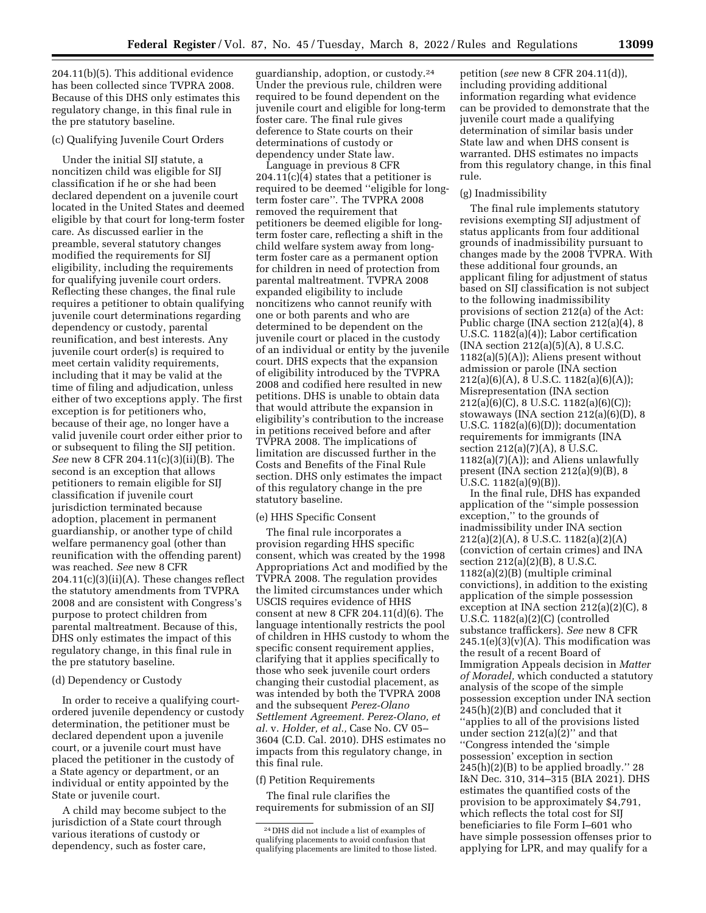204.11(b)(5). This additional evidence has been collected since TVPRA 2008. Because of this DHS only estimates this

# (c) Qualifying Juvenile Court Orders

the pre statutory baseline.

regulatory change, in this final rule in

Under the initial SIJ statute, a noncitizen child was eligible for SIJ classification if he or she had been declared dependent on a juvenile court located in the United States and deemed eligible by that court for long-term foster care. As discussed earlier in the preamble, several statutory changes modified the requirements for SIJ eligibility, including the requirements for qualifying juvenile court orders. Reflecting these changes, the final rule requires a petitioner to obtain qualifying juvenile court determinations regarding dependency or custody, parental reunification, and best interests. Any juvenile court order(s) is required to meet certain validity requirements, including that it may be valid at the time of filing and adjudication, unless either of two exceptions apply. The first exception is for petitioners who, because of their age, no longer have a valid juvenile court order either prior to or subsequent to filing the SIJ petition. *See* new 8 CFR 204.11(c)(3)(ii)(B). The second is an exception that allows petitioners to remain eligible for SIJ classification if juvenile court jurisdiction terminated because adoption, placement in permanent guardianship, or another type of child welfare permanency goal (other than reunification with the offending parent) was reached. *See* new 8 CFR  $204.11(c)(3)(ii)(A)$ . These changes reflect the statutory amendments from TVPRA 2008 and are consistent with Congress's purpose to protect children from parental maltreatment. Because of this, DHS only estimates the impact of this regulatory change, in this final rule in the pre statutory baseline.

#### (d) Dependency or Custody

In order to receive a qualifying courtordered juvenile dependency or custody determination, the petitioner must be declared dependent upon a juvenile court, or a juvenile court must have placed the petitioner in the custody of a State agency or department, or an individual or entity appointed by the State or juvenile court.

A child may become subject to the jurisdiction of a State court through various iterations of custody or dependency, such as foster care,

guardianship, adoption, or custody.24 Under the previous rule, children were required to be found dependent on the juvenile court and eligible for long-term foster care. The final rule gives deference to State courts on their determinations of custody or dependency under State law.

Language in previous 8 CFR 204.11(c)(4) states that a petitioner is required to be deemed ''eligible for longterm foster care''. The TVPRA 2008 removed the requirement that petitioners be deemed eligible for longterm foster care, reflecting a shift in the child welfare system away from longterm foster care as a permanent option for children in need of protection from parental maltreatment. TVPRA 2008 expanded eligibility to include noncitizens who cannot reunify with one or both parents and who are determined to be dependent on the juvenile court or placed in the custody of an individual or entity by the juvenile court. DHS expects that the expansion of eligibility introduced by the TVPRA 2008 and codified here resulted in new petitions. DHS is unable to obtain data that would attribute the expansion in eligibility's contribution to the increase in petitions received before and after TVPRA 2008. The implications of limitation are discussed further in the Costs and Benefits of the Final Rule section. DHS only estimates the impact of this regulatory change in the pre statutory baseline.

#### (e) HHS Specific Consent

The final rule incorporates a provision regarding HHS specific consent, which was created by the 1998 Appropriations Act and modified by the TVPRA 2008. The regulation provides the limited circumstances under which USCIS requires evidence of HHS consent at new 8 CFR 204.11(d)(6). The language intentionally restricts the pool of children in HHS custody to whom the specific consent requirement applies, clarifying that it applies specifically to those who seek juvenile court orders changing their custodial placement, as was intended by both the TVPRA 2008 and the subsequent *Perez-Olano Settlement Agreement. Perez-Olano, et al.* v. *Holder, et al.,* Case No. CV 05– 3604 (C.D. Cal. 2010). DHS estimates no impacts from this regulatory change, in this final rule.

## (f) Petition Requirements

The final rule clarifies the requirements for submission of an SIJ

petition (*see* new 8 CFR 204.11(d)), including providing additional information regarding what evidence can be provided to demonstrate that the juvenile court made a qualifying determination of similar basis under State law and when DHS consent is warranted. DHS estimates no impacts from this regulatory change, in this final rule.

#### (g) Inadmissibility

The final rule implements statutory revisions exempting SIJ adjustment of status applicants from four additional grounds of inadmissibility pursuant to changes made by the 2008 TVPRA. With these additional four grounds, an applicant filing for adjustment of status based on SIJ classification is not subject to the following inadmissibility provisions of section 212(a) of the Act: Public charge (INA section 212(a)(4), 8 U.S.C. 1182(a)(4)); Labor certification (INA section 212(a)(5)(A), 8 U.S.C.  $1182(a)(5)(A)$ ; Aliens present without admission or parole (INA section 212(a)(6)(A), 8 U.S.C. 1182(a)(6)(A)); Misrepresentation (INA section 212(a)(6)(C), 8 U.S.C. 1182(a)(6)(C)); stowaways (INA section 212(a)(6)(D), 8 U.S.C. 1182(a)(6)(D)); documentation requirements for immigrants (INA section 212(a)(7)(A), 8 U.S.C. 1182(a)(7)(A)); and Aliens unlawfully present (INA section 212(a)(9)(B), 8 U.S.C. 1182(a)(9)(B)).

In the final rule, DHS has expanded application of the ''simple possession exception,'' to the grounds of inadmissibility under INA section 212(a)(2)(A), 8 U.S.C. 1182(a)(2)(A) (conviction of certain crimes) and INA section 212(a)(2)(B), 8 U.S.C. 1182(a)(2)(B) (multiple criminal convictions), in addition to the existing application of the simple possession exception at INA section 212(a)(2)(C), 8 U.S.C. 1182(a)(2)(C) (controlled substance traffickers). *See* new 8 CFR  $245.1(e)(3)(v)(A)$ . This modification was the result of a recent Board of Immigration Appeals decision in *Matter of Moradel,* which conducted a statutory analysis of the scope of the simple possession exception under INA section 245(h)(2)(B) and concluded that it ''applies to all of the provisions listed under section 212(a)(2)'' and that ''Congress intended the 'simple possession' exception in section 245(h)(2)(B) to be applied broadly.'' 28 I&N Dec. 310, 314–315 (BIA 2021). DHS estimates the quantified costs of the provision to be approximately \$4,791, which reflects the total cost for SIJ beneficiaries to file Form I–601 who have simple possession offenses prior to applying for LPR, and may qualify for a

<sup>24</sup> DHS did not include a list of examples of qualifying placements to avoid confusion that qualifying placements are limited to those listed.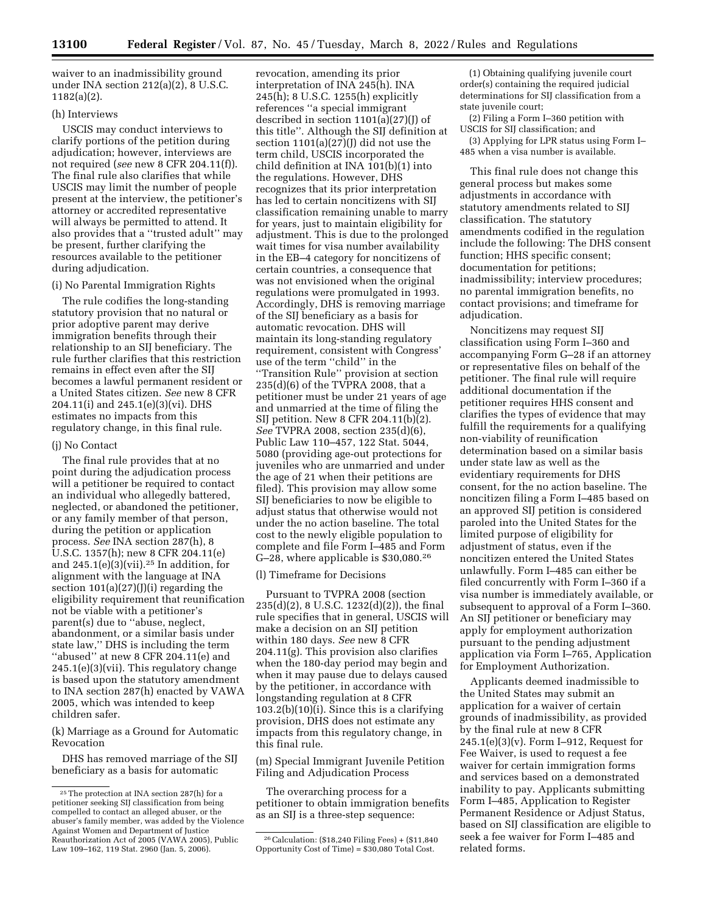waiver to an inadmissibility ground under INA section 212(a)(2), 8 U.S.C. 1182(a)(2).

## (h) Interviews

USCIS may conduct interviews to clarify portions of the petition during adjudication; however, interviews are not required (*see* new 8 CFR 204.11(f)). The final rule also clarifies that while USCIS may limit the number of people present at the interview, the petitioner's attorney or accredited representative will always be permitted to attend. It also provides that a ''trusted adult'' may be present, further clarifying the resources available to the petitioner during adjudication.

## (i) No Parental Immigration Rights

The rule codifies the long-standing statutory provision that no natural or prior adoptive parent may derive immigration benefits through their relationship to an SIJ beneficiary. The rule further clarifies that this restriction remains in effect even after the SIJ becomes a lawful permanent resident or a United States citizen. *See* new 8 CFR 204.11(i) and 245.1(e)(3)(vi). DHS estimates no impacts from this regulatory change, in this final rule.

#### (j) No Contact

The final rule provides that at no point during the adjudication process will a petitioner be required to contact an individual who allegedly battered, neglected, or abandoned the petitioner, or any family member of that person, during the petition or application process. *See* INA section 287(h), 8 U.S.C. 1357(h); new 8 CFR 204.11(e) and  $245.1(e)(3)(vii).<sup>25</sup>$  In addition, for alignment with the language at INA section  $101(a)(27)(J)(i)$  regarding the eligibility requirement that reunification not be viable with a petitioner's parent(s) due to ''abuse, neglect, abandonment, or a similar basis under state law,'' DHS is including the term ''abused'' at new 8 CFR 204.11(e) and 245.1(e)(3)(vii). This regulatory change is based upon the statutory amendment to INA section 287(h) enacted by VAWA 2005, which was intended to keep children safer.

(k) Marriage as a Ground for Automatic Revocation

DHS has removed marriage of the SIJ beneficiary as a basis for automatic

revocation, amending its prior interpretation of INA 245(h). INA 245(h); 8 U.S.C. 1255(h) explicitly references ''a special immigrant described in section 1101(a)(27)(J) of this title''. Although the SIJ definition at section  $1101(a)(27)(I)$  did not use the term child, USCIS incorporated the child definition at INA 101(b)(1) into the regulations. However, DHS recognizes that its prior interpretation has led to certain noncitizens with SIJ classification remaining unable to marry for years, just to maintain eligibility for adjustment. This is due to the prolonged wait times for visa number availability in the EB–4 category for noncitizens of certain countries, a consequence that was not envisioned when the original regulations were promulgated in 1993. Accordingly, DHS is removing marriage of the SIJ beneficiary as a basis for automatic revocation. DHS will maintain its long-standing regulatory requirement, consistent with Congress' use of the term ''child'' in the ''Transition Rule'' provision at section  $235(d)(6)$  of the TVPRA 2008, that a petitioner must be under 21 years of age and unmarried at the time of filing the SIJ petition. New 8 CFR 204.11(b)(2). *See* TVPRA 2008, section 235(d)(6), Public Law 110–457, 122 Stat. 5044, 5080 (providing age-out protections for juveniles who are unmarried and under the age of 21 when their petitions are filed). This provision may allow some SIJ beneficiaries to now be eligible to adjust status that otherwise would not under the no action baseline. The total cost to the newly eligible population to complete and file Form I–485 and Form G–28, where applicable is \$30,080.26

## (l) Timeframe for Decisions

Pursuant to TVPRA 2008 (section 235(d)(2), 8 U.S.C. 1232(d)(2)), the final rule specifies that in general, USCIS will make a decision on an SIJ petition within 180 days. *See* new 8 CFR 204.11(g). This provision also clarifies when the 180-day period may begin and when it may pause due to delays caused by the petitioner, in accordance with longstanding regulation at 8 CFR  $103.2(b)(10)(i)$ . Since this is a clarifying provision, DHS does not estimate any impacts from this regulatory change, in this final rule.

(m) Special Immigrant Juvenile Petition Filing and Adjudication Process

The overarching process for a petitioner to obtain immigration benefits as an SIJ is a three-step sequence:

(1) Obtaining qualifying juvenile court order(s) containing the required judicial determinations for SIJ classification from a state juvenile court;

(2) Filing a Form I–360 petition with USCIS for SIJ classification; and

(3) Applying for LPR status using Form I– 485 when a visa number is available.

This final rule does not change this general process but makes some adjustments in accordance with statutory amendments related to SIJ classification. The statutory amendments codified in the regulation include the following: The DHS consent function; HHS specific consent; documentation for petitions; inadmissibility; interview procedures; no parental immigration benefits, no contact provisions; and timeframe for adjudication.

Noncitizens may request SIJ classification using Form I–360 and accompanying Form G–28 if an attorney or representative files on behalf of the petitioner. The final rule will require additional documentation if the petitioner requires HHS consent and clarifies the types of evidence that may fulfill the requirements for a qualifying non-viability of reunification determination based on a similar basis under state law as well as the evidentiary requirements for DHS consent, for the no action baseline. The noncitizen filing a Form I–485 based on an approved SIJ petition is considered paroled into the United States for the limited purpose of eligibility for adjustment of status, even if the noncitizen entered the United States unlawfully. Form I–485 can either be filed concurrently with Form I–360 if a visa number is immediately available, or subsequent to approval of a Form I–360. An SIJ petitioner or beneficiary may apply for employment authorization pursuant to the pending adjustment application via Form I–765, Application for Employment Authorization.

Applicants deemed inadmissible to the United States may submit an application for a waiver of certain grounds of inadmissibility, as provided by the final rule at new 8 CFR 245.1(e)(3)(v). Form I–912, Request for Fee Waiver, is used to request a fee waiver for certain immigration forms and services based on a demonstrated inability to pay. Applicants submitting Form I–485, Application to Register Permanent Residence or Adjust Status, based on SIJ classification are eligible to seek a fee waiver for Form I–485 and related forms.

<sup>25</sup>The protection at INA section 287(h) for a petitioner seeking SIJ classification from being compelled to contact an alleged abuser, or the abuser's family member, was added by the Violence Against Women and Department of Justice Reauthorization Act of 2005 (VAWA 2005), Public Law 109–162, 119 Stat. 2960 (Jan. 5, 2006).

<sup>26</sup>Calculation: (\$18,240 Filing Fees) + (\$11,840 Opportunity Cost of Time) = \$30,080 Total Cost.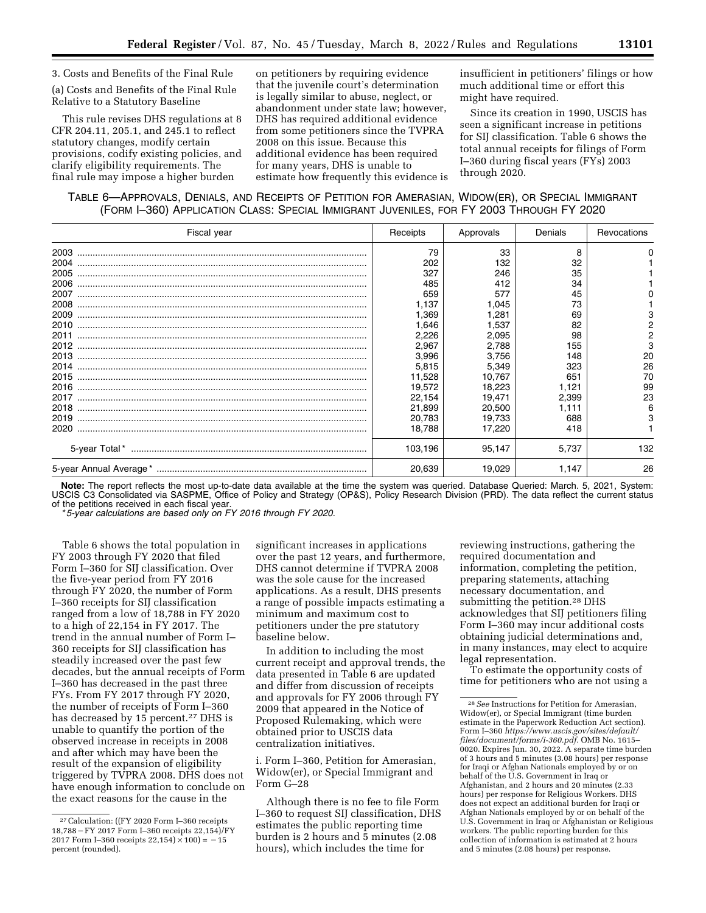3. Costs and Benefits of the Final Rule

(a) Costs and Benefits of the Final Rule Relative to a Statutory Baseline

This rule revises DHS regulations at 8 CFR 204.11, 205.1, and 245.1 to reflect statutory changes, modify certain provisions, codify existing policies, and clarify eligibility requirements. The final rule may impose a higher burden

on petitioners by requiring evidence that the juvenile court's determination is legally similar to abuse, neglect, or abandonment under state law; however, DHS has required additional evidence from some petitioners since the TVPRA 2008 on this issue. Because this additional evidence has been required for many years, DHS is unable to estimate how frequently this evidence is insufficient in petitioners' filings or how much additional time or effort this might have required.

Since its creation in 1990, USCIS has seen a significant increase in petitions for SIJ classification. Table 6 shows the total annual receipts for filings of Form I–360 during fiscal years (FYs) 2003 through 2020.

# TABLE 6—APPROVALS, DENIALS, AND RECEIPTS OF PETITION FOR AMERASIAN, WIDOW(ER), OR SPECIAL IMMIGRANT (FORM I–360) APPLICATION CLASS: SPECIAL IMMIGRANT JUVENILES, FOR FY 2003 THROUGH FY 2020

| Fiscal year | Receipts | Approvals | Denials | Revocations |
|-------------|----------|-----------|---------|-------------|
| 2003        | 79       | 33        | 8       |             |
| 2004        | 202      | 132       | 32      |             |
| 2005        | 327      | 246       | 35      |             |
| 2006        | 485      | 412       | 34      |             |
| 2007        | 659      | 577       | 45      |             |
| 2008        | 1.137    | 1,045     | 73      |             |
| 2009        | 1,369    | 1,281     | 69      | 3           |
| 2010        | 1,646    | 1,537     | 82      | 2           |
| 2011        | 2,226    | 2,095     | 98      | 2           |
| 2012        | 2,967    | 2,788     | 155     | 3           |
| 2013        | 3,996    | 3,756     | 148     | 20          |
| 2014        | 5,815    | 5,349     | 323     | 26          |
| 2015        | 11,528   | 10,767    | 651     | 70          |
| 2016        | 19,572   | 18,223    | 1,121   | 99          |
| 2017        | 22,154   | 19,471    | 2,399   | 23          |
| 2018        | 21,899   | 20,500    | 1.111   | 6           |
| 2019        | 20,783   | 19,733    | 688     | 3           |
| 2020        | 18,788   | 17,220    | 418     |             |
|             | 103,196  | 95,147    | 5,737   | 132         |
|             | 20,639   | 19,029    | 1,147   | 26          |

**Note:** The report reflects the most up-to-date data available at the time the system was queried. Database Queried: March. 5, 2021, System: USCIS C3 Consolidated via SASPME, Office of Policy and Strategy (OP&S), Policy Research Division (PRD). The data reflect the current status of the petitions received in each fiscal year.

*\* 5-year calculations are based only on FY 2016 through FY 2020.* 

Table 6 shows the total population in FY 2003 through FY 2020 that filed Form I–360 for SIJ classification. Over the five-year period from FY 2016 through FY 2020, the number of Form I–360 receipts for SIJ classification ranged from a low of 18,788 in FY 2020 to a high of 22,154 in FY 2017. The trend in the annual number of Form I– 360 receipts for SIJ classification has steadily increased over the past few decades, but the annual receipts of Form I–360 has decreased in the past three FYs. From FY 2017 through FY 2020, the number of receipts of Form I–360 has decreased by 15 percent.<sup>27</sup> DHS is unable to quantify the portion of the observed increase in receipts in 2008 and after which may have been the result of the expansion of eligibility triggered by TVPRA 2008. DHS does not have enough information to conclude on the exact reasons for the cause in the

significant increases in applications over the past 12 years, and furthermore, DHS cannot determine if TVPRA 2008 was the sole cause for the increased applications. As a result, DHS presents a range of possible impacts estimating a minimum and maximum cost to petitioners under the pre statutory baseline below.

In addition to including the most current receipt and approval trends, the data presented in Table 6 are updated and differ from discussion of receipts and approvals for FY 2006 through FY 2009 that appeared in the Notice of Proposed Rulemaking, which were obtained prior to USCIS data centralization initiatives.

i. Form I–360, Petition for Amerasian, Widow(er), or Special Immigrant and Form G–28

Although there is no fee to file Form I–360 to request SIJ classification, DHS estimates the public reporting time burden is 2 hours and 5 minutes (2.08 hours), which includes the time for

reviewing instructions, gathering the required documentation and information, completing the petition, preparing statements, attaching necessary documentation, and submitting the petition.<sup>28</sup> DHS acknowledges that SIJ petitioners filing Form I–360 may incur additional costs obtaining judicial determinations and, in many instances, may elect to acquire legal representation.

To estimate the opportunity costs of time for petitioners who are not using a

<sup>27</sup>Calculation: ((FY 2020 Form I–360 receipts 18,788 - FY 2017 Form I-360 receipts 22,154)/FY 2017 Form I-360 receipts  $22,154 \times 100 = -15$ percent (rounded).

<sup>28</sup>*See* Instructions for Petition for Amerasian, Widow(er), or Special Immigrant (time burden estimate in the Paperwork Reduction Act section). Form I–360 *[https://www.uscis.gov/sites/default/](https://www.uscis.gov/sites/default/files/document/forms/i-360.pdf)  [files/document/forms/i-360.pdf.](https://www.uscis.gov/sites/default/files/document/forms/i-360.pdf)* OMB No. 1615– 0020. Expires Jun. 30, 2022. A separate time burden of 3 hours and 5 minutes (3.08 hours) per response for Iraqi or Afghan Nationals employed by or on behalf of the U.S. Government in Iraq or Afghanistan, and 2 hours and 20 minutes (2.33 hours) per response for Religious Workers. DHS does not expect an additional burden for Iraqi or Afghan Nationals employed by or on behalf of the U.S. Government in Iraq or Afghanistan or Religious workers. The public reporting burden for this collection of information is estimated at 2 hours and 5 minutes (2.08 hours) per response.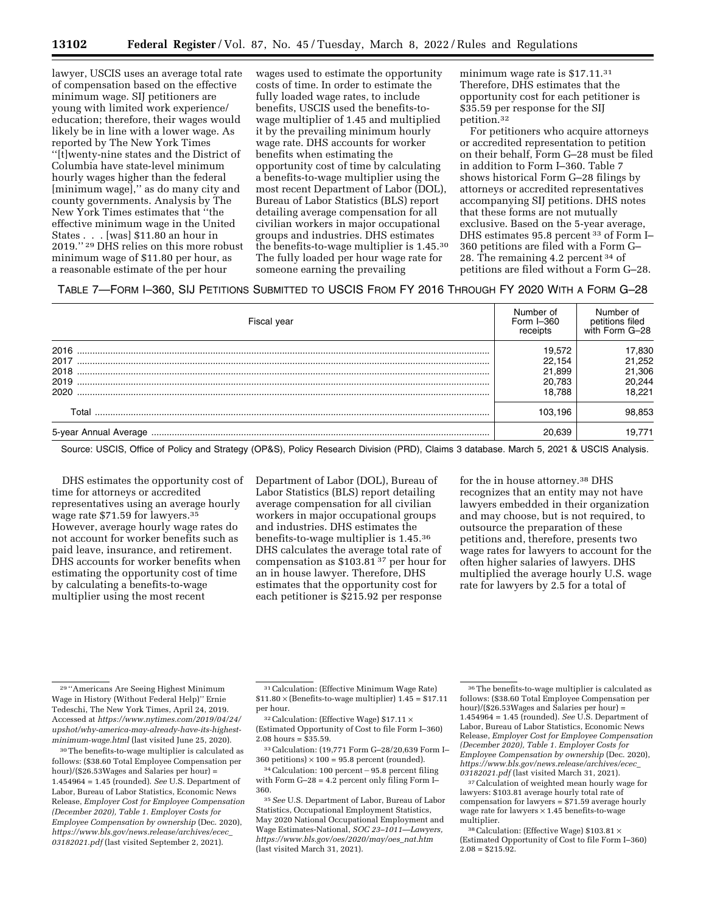lawyer, USCIS uses an average total rate of compensation based on the effective minimum wage. SIJ petitioners are young with limited work experience/ education; therefore, their wages would likely be in line with a lower wage. As reported by The New York Times ''[t]wenty-nine states and the District of Columbia have state-level minimum hourly wages higher than the federal [minimum wage],'' as do many city and county governments. Analysis by The New York Times estimates that ''the effective minimum wage in the United States . . . [was] \$11.80 an hour in 2019.'' 29 DHS relies on this more robust minimum wage of \$11.80 per hour, as a reasonable estimate of the per hour

wages used to estimate the opportunity costs of time. In order to estimate the fully loaded wage rates, to include benefits, USCIS used the benefits-towage multiplier of 1.45 and multiplied it by the prevailing minimum hourly wage rate. DHS accounts for worker benefits when estimating the opportunity cost of time by calculating a benefits-to-wage multiplier using the most recent Department of Labor (DOL), Bureau of Labor Statistics (BLS) report detailing average compensation for all civilian workers in major occupational groups and industries. DHS estimates the benefits-to-wage multiplier is 1.45.30 The fully loaded per hour wage rate for someone earning the prevailing

minimum wage rate is \$17.11.<sup>31</sup> Therefore, DHS estimates that the opportunity cost for each petitioner is \$35.59 per response for the SIJ petition.32

For petitioners who acquire attorneys or accredited representation to petition on their behalf, Form G–28 must be filed in addition to Form I–360. Table 7 shows historical Form G–28 filings by attorneys or accredited representatives accompanying SIJ petitions. DHS notes that these forms are not mutually exclusive. Based on the 5-year average, DHS estimates 95.8 percent 33 of Form I– 360 petitions are filed with a Form G– 28. The remaining 4.2 percent 34 of petitions are filed without a Form G–28.

# TABLE 7—FORM I–360, SIJ PETITIONS SUBMITTED TO USCIS FROM FY 2016 THROUGH FY 2020 WITH A FORM G–28

| Fiscal year           | Number of<br>Form I-360<br>receipts | Number of<br>petitions filed<br>with Form G-28 |
|-----------------------|-------------------------------------|------------------------------------------------|
| 2016                  | 19.572                              | 17,830                                         |
| 2017<br>2018          | 22.154<br>21.899                    | 21.252<br>21,306                               |
| 2019<br>2020          | 20.783<br>18.788                    | 20,244<br>18.221                               |
| Total                 | 103.196                             | 98.853                                         |
| 5-year Annual Average | 20.639                              | 19.771                                         |

Source: USCIS, Office of Policy and Strategy (OP&S), Policy Research Division (PRD), Claims 3 database. March 5, 2021 & USCIS Analysis.

DHS estimates the opportunity cost of time for attorneys or accredited representatives using an average hourly wage rate \$71.59 for lawyers.35 However, average hourly wage rates do not account for worker benefits such as paid leave, insurance, and retirement. DHS accounts for worker benefits when estimating the opportunity cost of time by calculating a benefits-to-wage multiplier using the most recent

Department of Labor (DOL), Bureau of Labor Statistics (BLS) report detailing average compensation for all civilian workers in major occupational groups and industries. DHS estimates the benefits-to-wage multiplier is 1.45.36 DHS calculates the average total rate of compensation as \$103.81 37 per hour for an in house lawyer. Therefore, DHS estimates that the opportunity cost for each petitioner is \$215.92 per response

for the in house attorney.38 DHS recognizes that an entity may not have lawyers embedded in their organization and may choose, but is not required, to outsource the preparation of these petitions and, therefore, presents two wage rates for lawyers to account for the often higher salaries of lawyers. DHS multiplied the average hourly U.S. wage rate for lawyers by 2.5 for a total of

<sup>29</sup> ''Americans Are Seeing Highest Minimum Wage in History (Without Federal Help)'' Ernie Tedeschi, The New York Times, April 24, 2019. Accessed at *[https://www.nytimes.com/2019/04/24/](https://www.nytimes.com/2019/04/24/upshot/why-america-may-already-have-its-highest-minimum-wage.html) [upshot/why-america-may-already-have-its-highest](https://www.nytimes.com/2019/04/24/upshot/why-america-may-already-have-its-highest-minimum-wage.html)[minimum-wage.html](https://www.nytimes.com/2019/04/24/upshot/why-america-may-already-have-its-highest-minimum-wage.html)* (last visited June 25, 2020).

<sup>30</sup>The benefits-to-wage multiplier is calculated as follows: (\$38.60 Total Employee Compensation per hour)/(\$26.53Wages and Salaries per hour) = 1.454964 = 1.45 (rounded). *See* U.S. Department of Labor, Bureau of Labor Statistics, Economic News Release, *Employer Cost for Employee Compensation (December 2020), Table 1. Employer Costs for Employee Compensation by ownership* (Dec. 2020), *[https://www.bls.gov/news.release/archives/ecec](https://www.bls.gov/news.release/archives/ecec_03182021.pdf)*\_ *[03182021.pdf](https://www.bls.gov/news.release/archives/ecec_03182021.pdf)* (last visited September 2, 2021).

<sup>31</sup>Calculation: (Effective Minimum Wage Rate)  $$11.80 \times$  (Benefits-to-wage multiplier)  $1.45 = $17.11$ per hour.

 $^{32}$  Calculation: (Effective Wage)  $\$17.11 \times$ (Estimated Opportunity of Cost to file Form I–360)  $2.08$  hours = \$35.59.

<sup>33</sup>Calculation: (19,771 Form G–28/20,639 Form I– 360 petitions)  $\times$  100 = 95.8 percent (rounded).

 $34$  Calculation: 100 percent  $-95.8$  percent filing with Form  $G-28 = 4.2$  percent only filing Form  $I$ – 360.

<sup>35</sup>*See* U.S. Department of Labor, Bureau of Labor Statistics, Occupational Employment Statistics, May 2020 National Occupational Employment and Wage Estimates-National, *SOC 23–1011—Lawyers, [https://www.bls.gov/oes/2020/may/oes](https://www.bls.gov/oes/2020/may/oes_nat.htm)*\_*nat.htm*  (last visited March 31, 2021).

<sup>36</sup>The benefits-to-wage multiplier is calculated as follows: (\$38.60 Total Employee Compensation per hour)/(\$26.53Wages and Salaries per hour) = 1.454964 = 1.45 (rounded). *See* U.S. Department of Labor, Bureau of Labor Statistics, Economic News Release, *Employer Cost for Employee Compensation (December 2020), Table 1. Employer Costs for Employee Compensation by ownership* (Dec. 2020), *[https://www.bls.gov/news.release/archives/ecec](https://www.bls.gov/news.release/archives/ecec_03182021.pdf)*\_ *[03182021.pdf](https://www.bls.gov/news.release/archives/ecec_03182021.pdf)* (last visited March 31, 2021).

<sup>37</sup>Calculation of weighted mean hourly wage for lawyers: \$103.81 average hourly total rate of compensation for lawyers = \$71.59 average hourly wage rate for lawyers  $\times$  1.45 benefits-to-wage multiplier.

<sup>38</sup>Calculation: (Effective Wage) \$103.81 × (Estimated Opportunity of Cost to file Form I–360)  $2.08 = $215.92$ .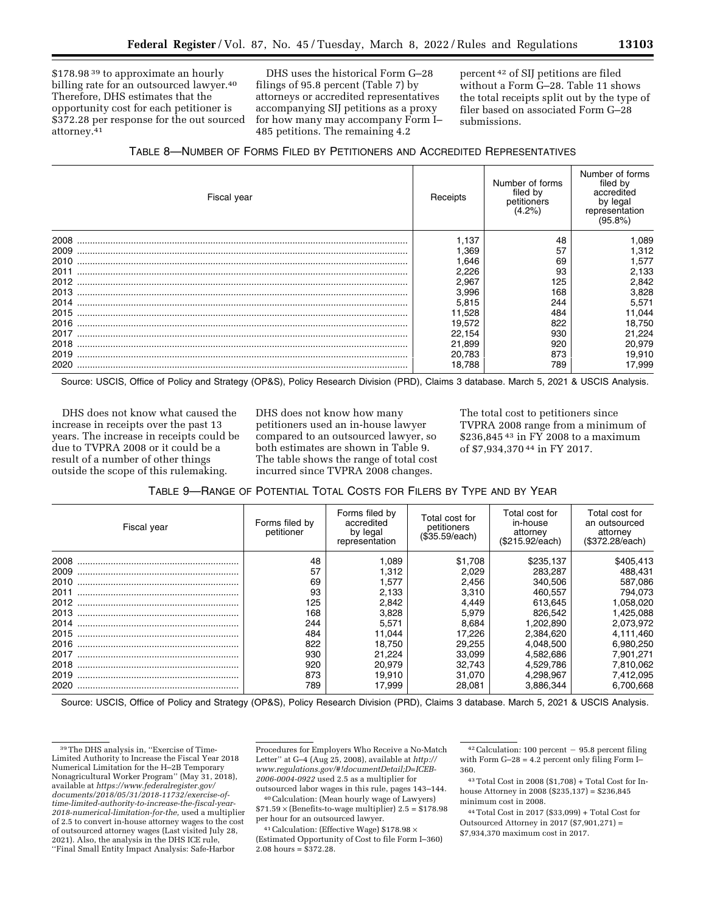\$178.98<sup>39</sup> to approximate an hourly billing rate for an outsourced lawyer.<sup>40</sup> Therefore, DHS estimates that the opportunity cost for each petitioner is \$372.28 per response for the out sourced attorney.41

DHS uses the historical Form G–28 filings of 95.8 percent (Table 7) by attorneys or accredited representatives accompanying SIJ petitions as a proxy for how many may accompany Form I– 485 petitions. The remaining 4.2

percent 42 of SIJ petitions are filed without a Form G–28. Table 11 shows the total receipts split out by the type of filer based on associated Form G–28 submissions.

| TABLE 8-NUMBER OF FORMS FILED BY PETITIONERS AND ACCREDITED REPRESENTATIVES |  |
|-----------------------------------------------------------------------------|--|
|-----------------------------------------------------------------------------|--|

| Fiscal year | Receipts | Number of forms<br>filed by<br>petitioners<br>(4.2%) | Number of forms<br>filed by<br>accredited<br>by legal<br>representation<br>(95.8%) |
|-------------|----------|------------------------------------------------------|------------------------------------------------------------------------------------|
| 2008        | 1.137    | 48                                                   | ,089                                                                               |
| 2009        | .369     | 57                                                   | 1,312                                                                              |
| 2010        | .646     | 69                                                   | 1.577                                                                              |
| 2011        | 2,226    | 93                                                   | 2,133                                                                              |
| 2012        | 2,967    | 125                                                  | 2,842                                                                              |
| 2013        | 3,996    | 168                                                  | 3,828                                                                              |
| 2014        | 5,815    | 244                                                  | 5,571                                                                              |
| 2015        | 11,528   | 484                                                  | 11,044                                                                             |
| 2016        | 19,572   | 822                                                  | 18,750                                                                             |
| 2017        | 22,154   | 930                                                  | 21,224                                                                             |
| 2018        | 21,899   | 920                                                  | 20,979                                                                             |
| 2019        | 20,783   | 873                                                  | 19,910                                                                             |
| 2020        | 18.788   | 789                                                  | 17,999                                                                             |

Source: USCIS, Office of Policy and Strategy (OP&S), Policy Research Division (PRD), Claims 3 database. March 5, 2021 & USCIS Analysis.

DHS does not know what caused the increase in receipts over the past 13 years. The increase in receipts could be due to TVPRA 2008 or it could be a result of a number of other things outside the scope of this rulemaking.

DHS does not know how many petitioners used an in-house lawyer compared to an outsourced lawyer, so both estimates are shown in Table 9. The table shows the range of total cost incurred since TVPRA 2008 changes.

The total cost to petitioners since TVPRA 2008 range from a minimum of \$236,845 43 in FY 2008 to a maximum of \$7,934,370 44 in FY 2017.

| Fiscal year | Forms filed by<br>petitioner | Forms filed by<br>accredited<br>by legal<br>representation | Total cost for<br>petitioners<br>(\$35.59/each) | Total cost for<br>in-house<br>attorney<br>(\$215.92/each) | Total cost for<br>an outsourced<br>attorney<br>(\$372.28/each) |
|-------------|------------------------------|------------------------------------------------------------|-------------------------------------------------|-----------------------------------------------------------|----------------------------------------------------------------|
| 2008        | 48                           | 1,089                                                      | \$1.708                                         | \$235,137                                                 | \$405,413                                                      |
| 2009        | 57                           | 1.312                                                      | 2.029                                           | 283,287                                                   | 488.431                                                        |
| 2010        | 69                           | 1.577                                                      | 2.456                                           | 340.506                                                   | 587,086                                                        |
| 2011        | 93                           | 2,133                                                      | 3.310                                           | 460.557                                                   | 794.073                                                        |
| 2012        | 125                          | 2.842                                                      | 4.449                                           | 613.645                                                   | .058,020                                                       |
| 2013        | 168                          | 3,828                                                      | 5,979                                           | 826.542                                                   | 1,425,088                                                      |
| 2014        | 244                          | 5,571                                                      | 8.684                                           | 1.202.890                                                 | 2,073,972                                                      |
| 2015        | 484                          | 11.044                                                     | 17.226                                          | 2.384.620                                                 | 4,111,460                                                      |
| 2016        | 822                          | 18.750                                                     | 29.255                                          | 4.048.500                                                 | 6,980,250                                                      |
| 2017        | 930                          | 21.224                                                     | 33.099                                          | 4.582.686                                                 | 7.901.271                                                      |
| 2018        | 920                          | 20.979                                                     | 32.743                                          | 4.529.786                                                 | 7.810.062                                                      |
| 2019        | 873                          | 19.910                                                     | 31.070                                          | 4,298,967                                                 | 7,412,095                                                      |
| 2020        | 789                          | 17.999                                                     | 28.081                                          | 3.886.344                                                 | 6.700.668                                                      |

Source: USCIS, Office of Policy and Strategy (OP&S), Policy Research Division (PRD), Claims 3 database. March 5, 2021 & USCIS Analysis.

Procedures for Employers Who Receive a No-Match Letter'' at G–4 (Aug 25, 2008), available at *[http://](http://www.regulations.gov/#!documentDetail;D=ICEB-2006-0004-0922)  [www.regulations.gov/#!documentDetail;D=ICEB-](http://www.regulations.gov/#!documentDetail;D=ICEB-2006-0004-0922)[2006-0004-0922](http://www.regulations.gov/#!documentDetail;D=ICEB-2006-0004-0922)* used 2.5 as a multiplier for outsourced labor wages in this rule, pages 143–144.

40Calculation: (Mean hourly wage of Lawyers)  $$71.59 \times (Benefits-to-wage multiplier) 2.5 = $178.98$ per hour for an outsourced lawyer.

 $^{41}$  Calculation: (Effective Wage)  $\$178.98 \times$ (Estimated Opportunity of Cost to file Form I–360) 2.08 hours = \$372.28.

 $42$  Calculation: 100 percent  $-95.8$  percent filing with Form G–28 = 4.2 percent only filing Form I– 360.

43Total Cost in 2008 (\$1,708) + Total Cost for Inhouse Attorney in 2008 (\$235,137) = \$236,845 minimum cost in 2008.

44Total Cost in 2017 (\$33,099) + Total Cost for Outsourced Attorney in 2017 (\$7,901,271) = \$7,934,370 maximum cost in 2017.

<sup>39</sup>The DHS analysis in, ''Exercise of Time-Limited Authority to Increase the Fiscal Year 2018 Numerical Limitation for the H–2B Temporary Nonagricultural Worker Program'' (May 31, 2018), available at *[https://www.federalregister.gov/](https://www.federalregister.gov/documents/2018/05/31/2018-11732/exercise-of-time-limited-authority-to-increase-the-fiscal-year-2018-numerical-limitation-for-the)  [documents/2018/05/31/2018-11732/exercise-of](https://www.federalregister.gov/documents/2018/05/31/2018-11732/exercise-of-time-limited-authority-to-increase-the-fiscal-year-2018-numerical-limitation-for-the)[time-limited-authority-to-increase-the-fiscal-year-](https://www.federalregister.gov/documents/2018/05/31/2018-11732/exercise-of-time-limited-authority-to-increase-the-fiscal-year-2018-numerical-limitation-for-the)[2018-numerical-limitation-for-the,](https://www.federalregister.gov/documents/2018/05/31/2018-11732/exercise-of-time-limited-authority-to-increase-the-fiscal-year-2018-numerical-limitation-for-the)* used a multiplier of 2.5 to convert in-house attorney wages to the cost of outsourced attorney wages (Last visited July 28, 2021). Also, the analysis in the DHS ICE rule, ''Final Small Entity Impact Analysis: Safe-Harbor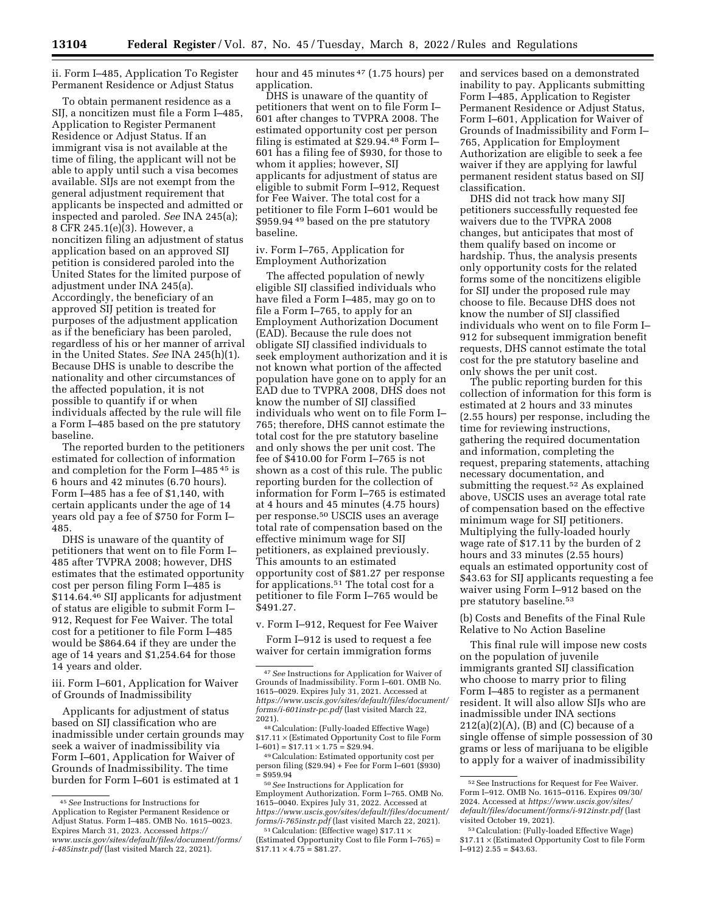ii. Form I–485, Application To Register Permanent Residence or Adjust Status

To obtain permanent residence as a SIJ, a noncitizen must file a Form I–485, Application to Register Permanent Residence or Adjust Status. If an immigrant visa is not available at the time of filing, the applicant will not be able to apply until such a visa becomes available. SIJs are not exempt from the general adjustment requirement that applicants be inspected and admitted or inspected and paroled. *See* INA 245(a); 8 CFR 245.1(e)(3). However, a noncitizen filing an adjustment of status application based on an approved SIJ petition is considered paroled into the United States for the limited purpose of adjustment under INA 245(a). Accordingly, the beneficiary of an approved SIJ petition is treated for purposes of the adjustment application as if the beneficiary has been paroled, regardless of his or her manner of arrival in the United States. *See* INA 245(h)(1). Because DHS is unable to describe the nationality and other circumstances of the affected population, it is not possible to quantify if or when individuals affected by the rule will file a Form I–485 based on the pre statutory baseline.

The reported burden to the petitioners estimated for collection of information and completion for the Form I–485 45 is 6 hours and 42 minutes (6.70 hours). Form I–485 has a fee of \$1,140, with certain applicants under the age of 14 years old pay a fee of \$750 for Form I– 485.

DHS is unaware of the quantity of petitioners that went on to file Form I– 485 after TVPRA 2008; however, DHS estimates that the estimated opportunity cost per person filing Form I–485 is \$114.64.46 SIJ applicants for adjustment of status are eligible to submit Form I– 912, Request for Fee Waiver. The total cost for a petitioner to file Form I–485 would be \$864.64 if they are under the age of 14 years and \$1,254.64 for those 14 years and older.

iii. Form I–601, Application for Waiver of Grounds of Inadmissibility

Applicants for adjustment of status based on SIJ classification who are inadmissible under certain grounds may seek a waiver of inadmissibility via Form I–601, Application for Waiver of Grounds of Inadmissibility. The time burden for Form I–601 is estimated at 1

hour and 45 minutes <sup>47</sup> (1.75 hours) per application.

DHS is unaware of the quantity of petitioners that went on to file Form I– 601 after changes to TVPRA 2008. The estimated opportunity cost per person filing is estimated at \$29.94.48 Form I– 601 has a filing fee of \$930, for those to whom it applies; however, SIJ applicants for adjustment of status are eligible to submit Form I–912, Request for Fee Waiver. The total cost for a petitioner to file Form I–601 would be \$959.94<sup>49</sup> based on the pre statutory baseline.

# iv. Form I–765, Application for Employment Authorization

The affected population of newly eligible SIJ classified individuals who have filed a Form I–485, may go on to file a Form I–765, to apply for an Employment Authorization Document (EAD). Because the rule does not obligate SIJ classified individuals to seek employment authorization and it is not known what portion of the affected population have gone on to apply for an EAD due to TVPRA 2008, DHS does not know the number of SIJ classified individuals who went on to file Form I– 765; therefore, DHS cannot estimate the total cost for the pre statutory baseline and only shows the per unit cost. The fee of \$410.00 for Form I–765 is not shown as a cost of this rule. The public reporting burden for the collection of information for Form I–765 is estimated at 4 hours and 45 minutes (4.75 hours) per response.50 USCIS uses an average total rate of compensation based on the effective minimum wage for SIJ petitioners, as explained previously. This amounts to an estimated opportunity cost of \$81.27 per response for applications.51 The total cost for a petitioner to file Form I–765 would be \$491.27.

v. Form I–912, Request for Fee Waiver

Form I–912 is used to request a fee waiver for certain immigration forms

<sup>48</sup> Calculation: (Fully-loaded Effective Wage)  $$17.11 \times$  (Estimated Opportunity Cost to file Form I–601) =  $$17.11 \times 1.75 = $29.94$ .

<sup>49</sup> Calculation: Estimated opportunity cost per person filing (\$29.94) + Fee for Form I–601 (\$930)<br>= \$959.94 and services based on a demonstrated inability to pay. Applicants submitting Form I–485, Application to Register Permanent Residence or Adjust Status, Form I–601, Application for Waiver of Grounds of Inadmissibility and Form I– 765, Application for Employment Authorization are eligible to seek a fee waiver if they are applying for lawful permanent resident status based on SIJ classification.

DHS did not track how many SIJ petitioners successfully requested fee waivers due to the TVPRA 2008 changes, but anticipates that most of them qualify based on income or hardship. Thus, the analysis presents only opportunity costs for the related forms some of the noncitizens eligible for SIJ under the proposed rule may choose to file. Because DHS does not know the number of SIJ classified individuals who went on to file Form I– 912 for subsequent immigration benefit requests, DHS cannot estimate the total cost for the pre statutory baseline and only shows the per unit cost.

The public reporting burden for this collection of information for this form is estimated at 2 hours and 33 minutes (2.55 hours) per response, including the time for reviewing instructions, gathering the required documentation and information, completing the request, preparing statements, attaching necessary documentation, and submitting the request.<sup>52</sup> As explained above, USCIS uses an average total rate of compensation based on the effective minimum wage for SIJ petitioners. Multiplying the fully-loaded hourly wage rate of \$17.11 by the burden of 2 hours and 33 minutes (2.55 hours) equals an estimated opportunity cost of \$43.63 for SIJ applicants requesting a fee waiver using Form I–912 based on the pre statutory baseline.53

(b) Costs and Benefits of the Final Rule Relative to No Action Baseline

This final rule will impose new costs on the population of juvenile immigrants granted SIJ classification who choose to marry prior to filing Form I–485 to register as a permanent resident. It will also allow SIJs who are inadmissible under INA sections  $212(a)(2)(A)$ , (B) and (C) because of a single offense of simple possession of 30 grams or less of marijuana to be eligible to apply for a waiver of inadmissibility

<sup>45</sup>*See* Instructions for Instructions for Application to Register Permanent Residence or Adjust Status. Form I–485. OMB No. 1615–0023. Expires March 31, 2023. Accessed *[https://](https://www.uscis.gov/sites/default/files/document/forms/i-485instr.pdf) [www.uscis.gov/sites/default/files/document/forms/](https://www.uscis.gov/sites/default/files/document/forms/i-485instr.pdf) [i-485instr.pdf](https://www.uscis.gov/sites/default/files/document/forms/i-485instr.pdf)* (last visited March 22, 2021).

<sup>47</sup>*See* Instructions for Application for Waiver of Grounds of Inadmissibility. Form I–601. OMB No. 1615–0029. Expires July 31, 2021. Accessed at *[https://www.uscis.gov/sites/default/files/document/](https://www.uscis.gov/sites/default/files/document/forms/i-601instr-pc.pdf) [forms/i-601instr-pc.pdf](https://www.uscis.gov/sites/default/files/document/forms/i-601instr-pc.pdf)* (last visited March 22,

<sup>= \$959.94 50</sup>*See* Instructions for Application for Employment Authorization. Form I–765. OMB No. 1615–0040. Expires July 31, 2022. Accessed at *[https://www.uscis.gov/sites/default/files/document/](https://www.uscis.gov/sites/default/files/document/forms/i-765instr.pdf) forms/i-765instr.pdf* (last visited March 22, 2021).<br><sup>51</sup>Calculation: (Effective wage) \$17.11 ×

<sup>(</sup>Estimated Opportunity Cost to file Form I–765) =  $$17.11 \times 4.75 = $81.27.$ 

<sup>52</sup>See Instructions for Request for Fee Waiver. Form I–912. OMB No. 1615–0116. Expires 09/30/ 2024. Accessed at *[https://www.uscis.gov/sites/](https://www.uscis.gov/sites/default/files/document/forms/i-912instr.pdf)  [default/files/document/forms/i-912instr.pdf](https://www.uscis.gov/sites/default/files/document/forms/i-912instr.pdf)* (last visited October 19, 2021).

<sup>53</sup>Calculation: (Fully-loaded Effective Wage) \$17.11 × (Estimated Opportunity Cost to file Form  $I-912$ )  $2.55 = $43.63$ .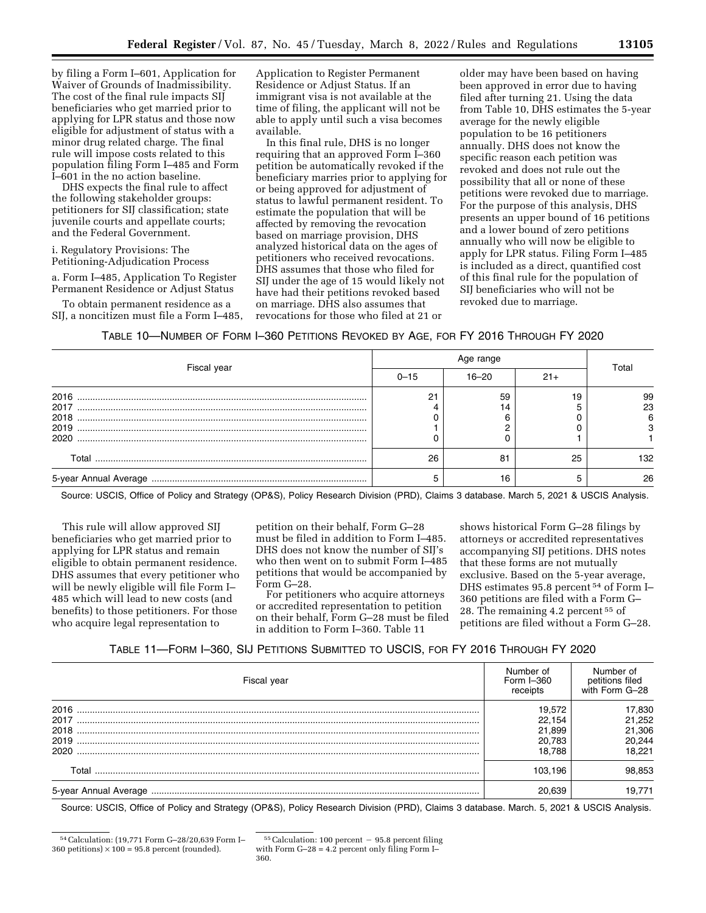by filing a Form I–601, Application for Waiver of Grounds of Inadmissibility. The cost of the final rule impacts SIJ beneficiaries who get married prior to applying for LPR status and those now eligible for adjustment of status with a minor drug related charge. The final rule will impose costs related to this population filing Form I–485 and Form I–601 in the no action baseline.

DHS expects the final rule to affect the following stakeholder groups: petitioners for SIJ classification; state juvenile courts and appellate courts; and the Federal Government.

i. Regulatory Provisions: The Petitioning-Adjudication Process

a. Form I–485, Application To Register Permanent Residence or Adjust Status

To obtain permanent residence as a SIJ, a noncitizen must file a Form I–485, Application to Register Permanent Residence or Adjust Status. If an immigrant visa is not available at the time of filing, the applicant will not be able to apply until such a visa becomes available.

In this final rule, DHS is no longer requiring that an approved Form I–360 petition be automatically revoked if the beneficiary marries prior to applying for or being approved for adjustment of status to lawful permanent resident. To estimate the population that will be affected by removing the revocation based on marriage provision, DHS analyzed historical data on the ages of petitioners who received revocations. DHS assumes that those who filed for SIJ under the age of 15 would likely not have had their petitions revoked based on marriage. DHS also assumes that revocations for those who filed at 21 or

older may have been based on having been approved in error due to having filed after turning 21. Using the data from Table 10, DHS estimates the 5-year average for the newly eligible population to be 16 petitioners annually. DHS does not know the specific reason each petition was revoked and does not rule out the possibility that all or none of these petitions were revoked due to marriage. For the purpose of this analysis, DHS presents an upper bound of 16 petitions and a lower bound of zero petitions annually who will now be eligible to apply for LPR status. Filing Form I–485 is included as a direct, quantified cost of this final rule for the population of SIJ beneficiaries who will not be revoked due to marriage.

# TABLE 10—NUMBER OF FORM I–360 PETITIONS REVOKED BY AGE, FOR FY 2016 THROUGH FY 2020

| Fiscal year           | $0 - 15$ | 16–20 | $21+$ | Total   |
|-----------------------|----------|-------|-------|---------|
| 2016<br>2017          |          | 59    |       | 99      |
|                       |          | 14    |       | 23<br>6 |
| 2019<br>2020          |          |       |       |         |
| Total                 | 26       | 81    | 25    | 132     |
| 5-year Annual Average |          | 16    |       | 26      |

Source: USCIS, Office of Policy and Strategy (OP&S), Policy Research Division (PRD), Claims 3 database. March 5, 2021 & USCIS Analysis.

This rule will allow approved SIJ beneficiaries who get married prior to applying for LPR status and remain eligible to obtain permanent residence. DHS assumes that every petitioner who will be newly eligible will file Form I– 485 which will lead to new costs (and benefits) to those petitioners. For those who acquire legal representation to

petition on their behalf, Form G–28 must be filed in addition to Form I–485. DHS does not know the number of SIJ's who then went on to submit Form I–485 petitions that would be accompanied by Form G–28.

For petitioners who acquire attorneys or accredited representation to petition on their behalf, Form G–28 must be filed in addition to Form I–360. Table 11

shows historical Form G–28 filings by attorneys or accredited representatives accompanying SIJ petitions. DHS notes that these forms are not mutually exclusive. Based on the 5-year average, DHS estimates 95.8 percent 54 of Form I– 360 petitions are filed with a Form G– 28. The remaining 4.2 percent 55 of petitions are filed without a Form G–28.

## TABLE 11—FORM I–360, SIJ PETITIONS SUBMITTED TO USCIS, FOR FY 2016 THROUGH FY 2020

| Fiscal year                          | Number of<br>Form I-360<br>receipts            | Number of<br>petitions filed<br>with Form G-28 |
|--------------------------------------|------------------------------------------------|------------------------------------------------|
| 2016<br>2017<br>2018<br>2019<br>2020 | 19.572<br>22.154<br>21.899<br>20,783<br>18.788 | 17,830<br>21,252<br>21,306<br>20,244<br>18.221 |
| Total                                | 103.196                                        | 98.853                                         |
| 5-year Annual Average                | 20.639                                         | 19.771                                         |

Source: USCIS, Office of Policy and Strategy (OP&S), Policy Research Division (PRD), Claims 3 database. March. 5, 2021 & USCIS Analysis.

<sup>54</sup>Calculation: (19,771 Form G–28/20,639 Form I– 360 petitions)  $\times$  100 = 95.8 percent (rounded).

 $55$  Calculation: 100 percent  $-95.8$  percent filing with Form  $G-28 = 4.2$  percent only filing Form I-360.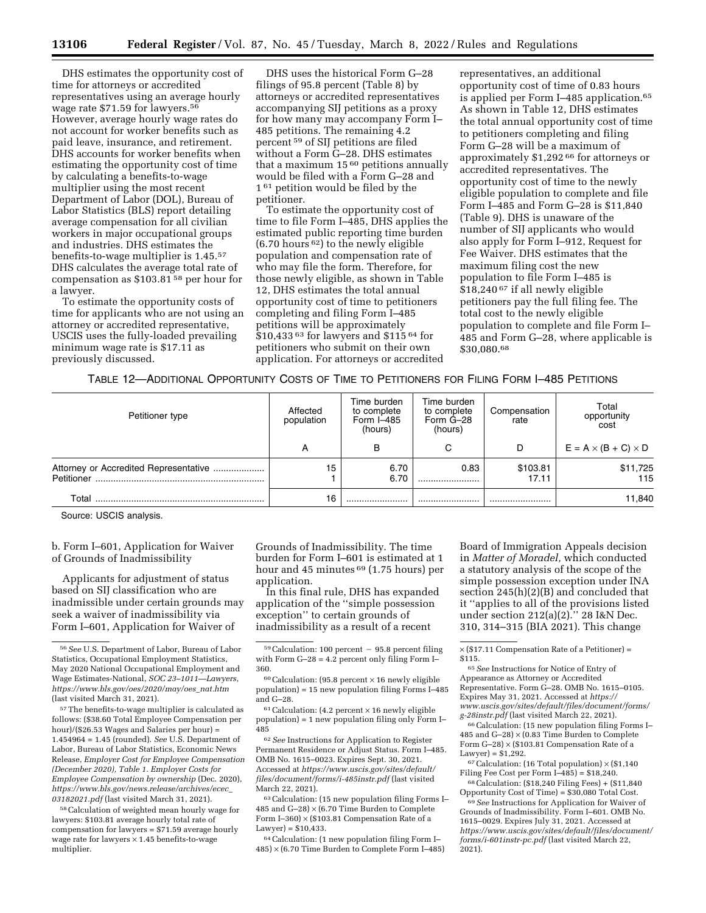DHS estimates the opportunity cost of time for attorneys or accredited representatives using an average hourly wage rate \$71.59 for lawyers.56 However, average hourly wage rates do not account for worker benefits such as paid leave, insurance, and retirement. DHS accounts for worker benefits when estimating the opportunity cost of time by calculating a benefits-to-wage multiplier using the most recent Department of Labor (DOL), Bureau of Labor Statistics (BLS) report detailing average compensation for all civilian workers in major occupational groups and industries. DHS estimates the benefits-to-wage multiplier is 1.45.57 DHS calculates the average total rate of compensation as \$103.81 58 per hour for a lawyer.

To estimate the opportunity costs of time for applicants who are not using an attorney or accredited representative, USCIS uses the fully-loaded prevailing minimum wage rate is \$17.11 as previously discussed.

DHS uses the historical Form G–28 filings of 95.8 percent (Table 8) by attorneys or accredited representatives accompanying SIJ petitions as a proxy for how many may accompany Form I– 485 petitions. The remaining 4.2 percent 59 of SIJ petitions are filed without a Form G–28. DHS estimates that a maximum 15 60 petitions annually would be filed with a Form G–28 and 1<sup>61</sup> petition would be filed by the petitioner.

To estimate the opportunity cost of time to file Form I–485, DHS applies the estimated public reporting time burden  $(6.70$  hours <sup>62</sup>) to the newly eligible population and compensation rate of who may file the form. Therefore, for those newly eligible, as shown in Table 12, DHS estimates the total annual opportunity cost of time to petitioners completing and filing Form I–485 petitions will be approximately \$10,433 63 for lawyers and \$115 64 for petitioners who submit on their own application. For attorneys or accredited

representatives, an additional opportunity cost of time of 0.83 hours is applied per Form I–485 application.65 As shown in Table 12, DHS estimates the total annual opportunity cost of time to petitioners completing and filing Form G–28 will be a maximum of approximately \$1,292 66 for attorneys or accredited representatives. The opportunity cost of time to the newly eligible population to complete and file Form I–485 and Form G–28 is \$11,840 (Table 9). DHS is unaware of the number of SIJ applicants who would also apply for Form I–912, Request for Fee Waiver. DHS estimates that the maximum filing cost the new population to file Form I–485 is \$18,240 67 if all newly eligible petitioners pay the full filing fee. The total cost to the newly eligible population to complete and file Form I– 485 and Form G–28, where applicable is \$30,080.68

TABLE 12—ADDITIONAL OPPORTUNITY COSTS OF TIME TO PETITIONERS FOR FILING FORM I–485 PETITIONS

| Petitioner type                                     | Affected<br>population | Time burden<br>to complete<br>Form $I=485$<br>(hours) | Time burden<br>to complete<br>Form G-28<br>(hours) | Compensation<br>rate | Total<br>opportunity<br>cost    |
|-----------------------------------------------------|------------------------|-------------------------------------------------------|----------------------------------------------------|----------------------|---------------------------------|
|                                                     | $\mathsf{A}$           | в                                                     | ⌒                                                  | D                    | $E = A \times (B + C) \times D$ |
| Attorney or Accredited Representative<br>Petitioner | 15                     | 6.70<br>6.70                                          | 0.83<br>                                           | \$103.81<br>17.11    | \$11,725<br>115                 |
| Total                                               | 16                     |                                                       |                                                    |                      | 11,840                          |

Source: USCIS analysis.

b. Form I–601, Application for Waiver of Grounds of Inadmissibility

Applicants for adjustment of status based on SIJ classification who are inadmissible under certain grounds may seek a waiver of inadmissibility via Form I–601, Application for Waiver of

57The benefits-to-wage multiplier is calculated as follows: (\$38.60 Total Employee Compensation per hour)/(\$26.53 Wages and Salaries per hour) = 1.454964 = 1.45 (rounded). *See* U.S. Department of Labor, Bureau of Labor Statistics, Economic News Release, *Employer Cost for Employee Compensation (December 2020), Table 1. Employer Costs for Employee Compensation by ownership* (Dec. 2020), *[https://www.bls.gov/news.release/archives/ecec](https://www.bls.gov/news.release/archives/ecec_03182021.pdf)*\_ *[03182021.pdf](https://www.bls.gov/news.release/archives/ecec_03182021.pdf)* (last visited March 31, 2021).

<sup>58</sup> Calculation of weighted mean hourly wage for lawyers: \$103.81 average hourly total rate of compensation for lawyers = \$71.59 average hourly wage rate for lawyers  $\times$  1.45 benefits-to-wage multiplier.

Grounds of Inadmissibility. The time burden for Form I–601 is estimated at 1 hour and 45 minutes 69 (1.75 hours) per application.

In this final rule, DHS has expanded application of the ''simple possession exception'' to certain grounds of inadmissibility as a result of a recent

 $61$ Calculation: (4.2 percent  $\times$  16 newly eligible population) = 1 new population filing only Form I– 485

62*See* Instructions for Application to Register Permanent Residence or Adjust Status. Form I–485. OMB No. 1615–0023. Expires Sept. 30, 2021. Accessed at *[https://www.uscis.gov/sites/default/](https://www.uscis.gov/sites/default/files/document/forms/i-485instr.pdf)  [files/document/forms/i-485instr.pdf](https://www.uscis.gov/sites/default/files/document/forms/i-485instr.pdf)* (last visited March 22, 2021).

63Calculation: (15 new population filing Forms I– 485 and  $G-28$ )  $\times$  (6.70 Time Burden to Complete Form I-360)  $\times$  (\$103.81 Compensation Rate of a  $Lawver$ ) = \$10.433.

64Calculation: (1 new population filing Form I–  $485 \times (6.70$  Time Burden to Complete Form I-485)

Board of Immigration Appeals decision in *Matter of Moradel,* which conducted a statutory analysis of the scope of the simple possession exception under INA section 245(h)(2)(B) and concluded that it ''applies to all of the provisions listed under section 212(a)(2).'' 28 I&N Dec. 310, 314–315 (BIA 2021). This change

65*See* Instructions for Notice of Entry of Appearance as Attorney or Accredited Representative. Form G–28. OMB No. 1615–0105. Expires May 31, 2021. Accessed at *[https://](https://www.uscis.gov/sites/default/files/document/forms/g-28instr.pdf) [www.uscis.gov/sites/default/files/document/forms/](https://www.uscis.gov/sites/default/files/document/forms/g-28instr.pdf) [g-28instr.pdf](https://www.uscis.gov/sites/default/files/document/forms/g-28instr.pdf)* (last visited March 22, 2021).

66Calculation: (15 new population filing Forms I– 485 and  $G-28$ )  $\times$  (0.83 Time Burden to Complete Form  $G-28$ )  $\times$  (\$103.81 Compensation Rate of a Lawyer) = \$1,292.

 $67$  Calculation: (16 Total population)  $\times$  (\$1,140 Filing Fee Cost per Form I–485) = \$18,240.

68Calculation: (\$18,240 Filing Fees) + (\$11,840 Opportunity Cost of Time) = \$30,080 Total Cost.

69*See* Instructions for Application for Waiver of Grounds of Inadmissibility. Form I–601. OMB No. 1615–0029. Expires July 31, 2021. Accessed at *[https://www.uscis.gov/sites/default/files/document/](https://www.uscis.gov/sites/default/files/document/forms/i-601instr-pc.pdf) [forms/i-601instr-pc.pdf](https://www.uscis.gov/sites/default/files/document/forms/i-601instr-pc.pdf)* (last visited March 22, 2021).

<sup>56</sup>*See* U.S. Department of Labor, Bureau of Labor Statistics, Occupational Employment Statistics, May 2020 National Occupational Employment and Wage Estimates-National, *SOC 23–1011—Lawyers, [https://www.bls.gov/oes/2020/may/oes](https://www.bls.gov/oes/2020/may/oes_nat.htm)*\_*nat.htm*  (last visited March 31, 2021).

 $59$ Calculation: 100 percent  $-95.8$  percent filing with Form G–28 = 4.2 percent only filing Form I– 360.

 $60$  Calculation: (95.8 percent  $\times$  16 newly eligible population) = 15 new population filing Forms I–485 and G–28.

 $\times$  (\$17.11 Compensation Rate of a Petitioner) = \$115.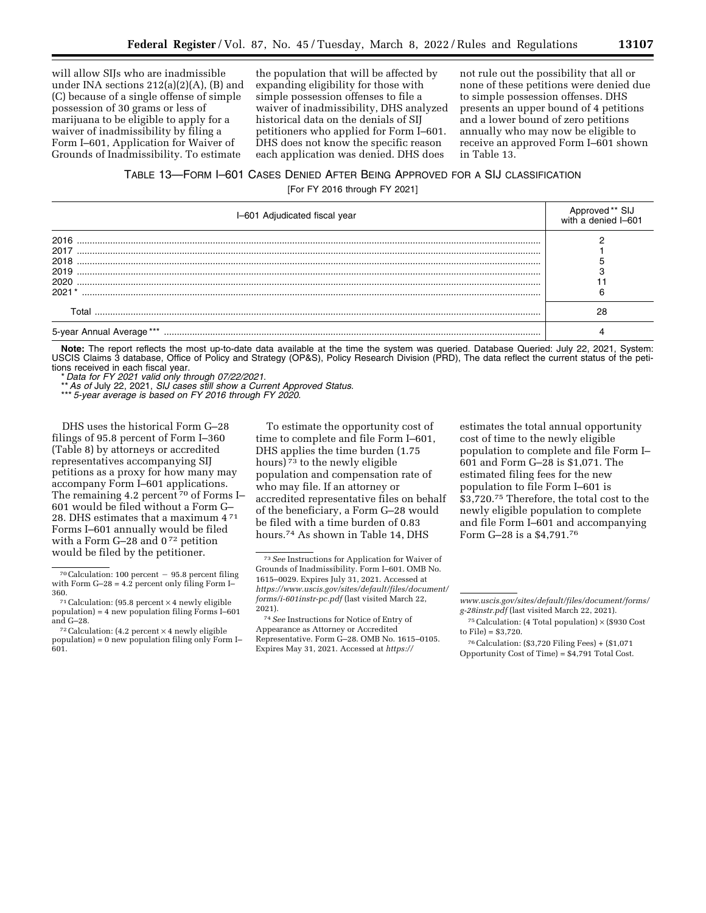will allow SIJs who are inadmissible under INA sections 212(a)(2)(A), (B) and (C) because of a single offense of simple possession of 30 grams or less of marijuana to be eligible to apply for a waiver of inadmissibility by filing a Form I–601, Application for Waiver of Grounds of Inadmissibility. To estimate

the population that will be affected by expanding eligibility for those with simple possession offenses to file a waiver of inadmissibility, DHS analyzed historical data on the denials of SIJ petitioners who applied for Form I–601. DHS does not know the specific reason each application was denied. DHS does

not rule out the possibility that all or none of these petitions were denied due to simple possession offenses. DHS presents an upper bound of 4 petitions and a lower bound of zero petitions annually who may now be eligible to receive an approved Form I–601 shown in Table 13.

# TABLE 13—FORM I–601 CASES DENIED AFTER BEING APPROVED FOR A SIJ CLASSIFICATION [For FY 2016 through FY 2021]

| I-601 Adjudicated fiscal year                | Approved ** SIJ<br>with a denied I–601 |
|----------------------------------------------|----------------------------------------|
| 2016<br>2017<br>2018<br>2019<br>2020<br>2021 |                                        |
| Total                                        | 28                                     |
| 5-year Annual Average ***                    |                                        |

**Note:** The report reflects the most up-to-date data available at the time the system was queried. Database Queried: July 22, 2021, System: USCIS Claims 3 database, Office of Policy and Strategy (OP&S), Policy Research Division (PRD), The data reflect the current status of the petitions received in each fiscal year.

\* *Data for FY 2021 valid only through 07/22/2021.* 

\*\**As of* July 22, 2021, *SIJ cases still show a Current Approved Status.* 

\*\*\* *5-year average is based on FY 2016 through FY 2020.* 

DHS uses the historical Form G–28 filings of 95.8 percent of Form I–360 (Table 8) by attorneys or accredited representatives accompanying SIJ petitions as a proxy for how many may accompany Form I–601 applications. The remaining 4.2 percent <sup>70</sup> of Forms I-601 would be filed without a Form G– 28. DHS estimates that a maximum 4 71 Forms I–601 annually would be filed with a Form G-28 and 0<sup>72</sup> petition would be filed by the petitioner.

To estimate the opportunity cost of time to complete and file Form I–601, DHS applies the time burden (1.75 hours) 73 to the newly eligible population and compensation rate of who may file. If an attorney or accredited representative files on behalf of the beneficiary, a Form G–28 would be filed with a time burden of 0.83 hours.74 As shown in Table 14, DHS

estimates the total annual opportunity cost of time to the newly eligible population to complete and file Form I– 601 and Form G–28 is \$1,071. The estimated filing fees for the new population to file Form I–601 is \$3,720.75 Therefore, the total cost to the newly eligible population to complete and file Form I–601 and accompanying Form G–28 is a \$4,791.76

 $70$  Calculation: 100 percent  $-95.8$  percent filing with Form  $G-28 = 4.2$  percent only filing Form I-

<sup>360.&</sup>lt;br><sup>71</sup> Calculation: (95.8 percent  $\times$  4 newly eligible population) = 4 new population filing Forms I–601

 $^{72}$  Calculation: (4.2 percent  $\times$  4 newly eligible population) = 0 new population filing only Form I– 601.

<sup>73</sup>*See* Instructions for Application for Waiver of Grounds of Inadmissibility. Form I–601. OMB No. 1615–0029. Expires July 31, 2021. Accessed at *[https://www.uscis.gov/sites/default/files/document/](https://www.uscis.gov/sites/default/files/document/forms/i-601instr-pc.pdf) [forms/i-601instr-pc.pdf](https://www.uscis.gov/sites/default/files/document/forms/i-601instr-pc.pdf)* (last visited March 22, 2021).

<sup>74</sup>*See* Instructions for Notice of Entry of Appearance as Attorney or Accredited Representative. Form G–28. OMB No. 1615–0105. Expires May 31, 2021. Accessed at *[https://](https://www.uscis.gov/sites/default/files/document/forms/g-28instr.pdf)*

*[www.uscis.gov/sites/default/files/document/forms/](https://www.uscis.gov/sites/default/files/document/forms/g-28instr.pdf) [g-28instr.pdf](https://www.uscis.gov/sites/default/files/document/forms/g-28instr.pdf)* (last visited March 22, 2021).

 $^{75}$  Calculation: (4 Total population)  $\times$  (\$930 Cost to File) = \$3,720.

<sup>76</sup>Calculation: (\$3,720 Filing Fees) + (\$1,071 Opportunity Cost of Time) = \$4,791 Total Cost.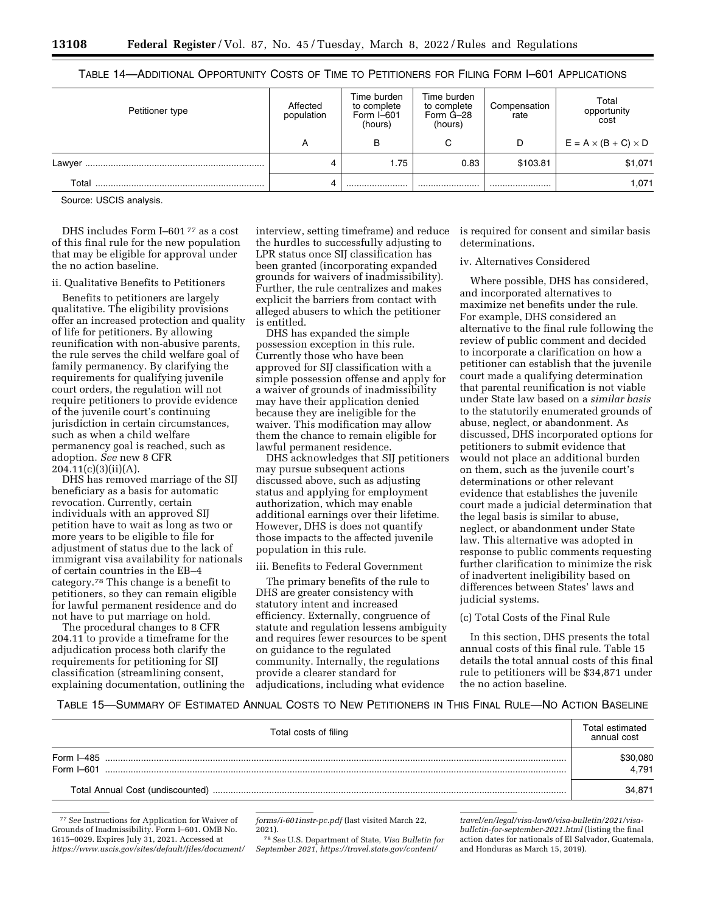# TABLE 14—ADDITIONAL OPPORTUNITY COSTS OF TIME TO PETITIONERS FOR FILING FORM I–601 APPLICATIONS

| Petitioner type | Affected<br>population | Time burden<br>to complete<br>Form $I$ –601<br>(hours) | Time burden<br>to complete<br>Form G-28<br>(hours) | Compensation<br>rate | Total<br>opportunity<br>cost    |
|-----------------|------------------------|--------------------------------------------------------|----------------------------------------------------|----------------------|---------------------------------|
|                 | А                      | в                                                      | С                                                  | D                    | $E = A \times (B + C) \times D$ |
| Lawver          |                        | 1.75                                                   | 0.83                                               | \$103.81             | \$1,071                         |
| Total           |                        |                                                        |                                                    |                      | 1,071                           |

Source: USCIS analysis.

DHS includes Form I–601 77 as a cost of this final rule for the new population that may be eligible for approval under the no action baseline.

## ii. Qualitative Benefits to Petitioners

Benefits to petitioners are largely qualitative. The eligibility provisions offer an increased protection and quality of life for petitioners. By allowing reunification with non-abusive parents, the rule serves the child welfare goal of family permanency. By clarifying the requirements for qualifying juvenile court orders, the regulation will not require petitioners to provide evidence of the juvenile court's continuing jurisdiction in certain circumstances, such as when a child welfare permanency goal is reached, such as adoption. *See* new 8 CFR 204.11(c)(3)(ii)(A).

DHS has removed marriage of the SIJ beneficiary as a basis for automatic revocation. Currently, certain individuals with an approved SIJ petition have to wait as long as two or more years to be eligible to file for adjustment of status due to the lack of immigrant visa availability for nationals of certain countries in the EB–4 category.78 This change is a benefit to petitioners, so they can remain eligible for lawful permanent residence and do not have to put marriage on hold.

The procedural changes to 8 CFR 204.11 to provide a timeframe for the adjudication process both clarify the requirements for petitioning for SIJ classification (streamlining consent, explaining documentation, outlining the

interview, setting timeframe) and reduce the hurdles to successfully adjusting to LPR status once SIJ classification has been granted (incorporating expanded grounds for waivers of inadmissibility). Further, the rule centralizes and makes explicit the barriers from contact with alleged abusers to which the petitioner is entitled.

DHS has expanded the simple possession exception in this rule. Currently those who have been approved for SIJ classification with a simple possession offense and apply for a waiver of grounds of inadmissibility may have their application denied because they are ineligible for the waiver. This modification may allow them the chance to remain eligible for lawful permanent residence.

DHS acknowledges that SIJ petitioners may pursue subsequent actions discussed above, such as adjusting status and applying for employment authorization, which may enable additional earnings over their lifetime. However, DHS is does not quantify those impacts to the affected juvenile population in this rule.

#### iii. Benefits to Federal Government

The primary benefits of the rule to DHS are greater consistency with statutory intent and increased efficiency. Externally, congruence of statute and regulation lessens ambiguity and requires fewer resources to be spent on guidance to the regulated community. Internally, the regulations provide a clearer standard for adjudications, including what evidence

is required for consent and similar basis determinations.

#### iv. Alternatives Considered

Where possible, DHS has considered, and incorporated alternatives to maximize net benefits under the rule. For example, DHS considered an alternative to the final rule following the review of public comment and decided to incorporate a clarification on how a petitioner can establish that the juvenile court made a qualifying determination that parental reunification is not viable under State law based on a *similar basis*  to the statutorily enumerated grounds of abuse, neglect, or abandonment. As discussed, DHS incorporated options for petitioners to submit evidence that would not place an additional burden on them, such as the juvenile court's determinations or other relevant evidence that establishes the juvenile court made a judicial determination that the legal basis is similar to abuse, neglect, or abandonment under State law. This alternative was adopted in response to public comments requesting further clarification to minimize the risk of inadvertent ineligibility based on differences between States' laws and judicial systems.

# (c) Total Costs of the Final Rule

In this section, DHS presents the total annual costs of this final rule. Table 15 details the total annual costs of this final rule to petitioners will be \$34,871 under the no action baseline.

# TABLE 15—SUMMARY OF ESTIMATED ANNUAL COSTS TO NEW PETITIONERS IN THIS FINAL RULE—NO ACTION BASELINE

| Total costs of filing       | Total estimated<br>annual cost |
|-----------------------------|--------------------------------|
| Form I-485<br>Form $I$ -601 | \$30,080<br>4.791              |
|                             | 34.871                         |

<sup>77</sup>*See* Instructions for Application for Waiver of Grounds of Inadmissibility. Form I–601. OMB No. 1615–0029. Expires July 31, 2021. Accessed at *[https://www.uscis.gov/sites/default/files/document/](https://www.uscis.gov/sites/default/files/document/forms/i-601instr-pc.pdf)* 

*[forms/i-601instr-pc.pdf](https://www.uscis.gov/sites/default/files/document/forms/i-601instr-pc.pdf)* (last visited March 22, 2021).

78*See* U.S. Department of State, *Visa Bulletin for September 2021, [https://travel.state.gov/content/](https://travel.state.gov/content/travel/en/legal/visa-law0/visa-bulletin/2021/visa-bulletin-for-september-2021.html)* 

*[travel/en/legal/visa-law0/visa-bulletin/2021/visa](https://travel.state.gov/content/travel/en/legal/visa-law0/visa-bulletin/2021/visa-bulletin-for-september-2021.html)[bulletin-for-september-2021.html](https://travel.state.gov/content/travel/en/legal/visa-law0/visa-bulletin/2021/visa-bulletin-for-september-2021.html)* (listing the final action dates for nationals of El Salvador, Guatemala, and Honduras as March 15, 2019).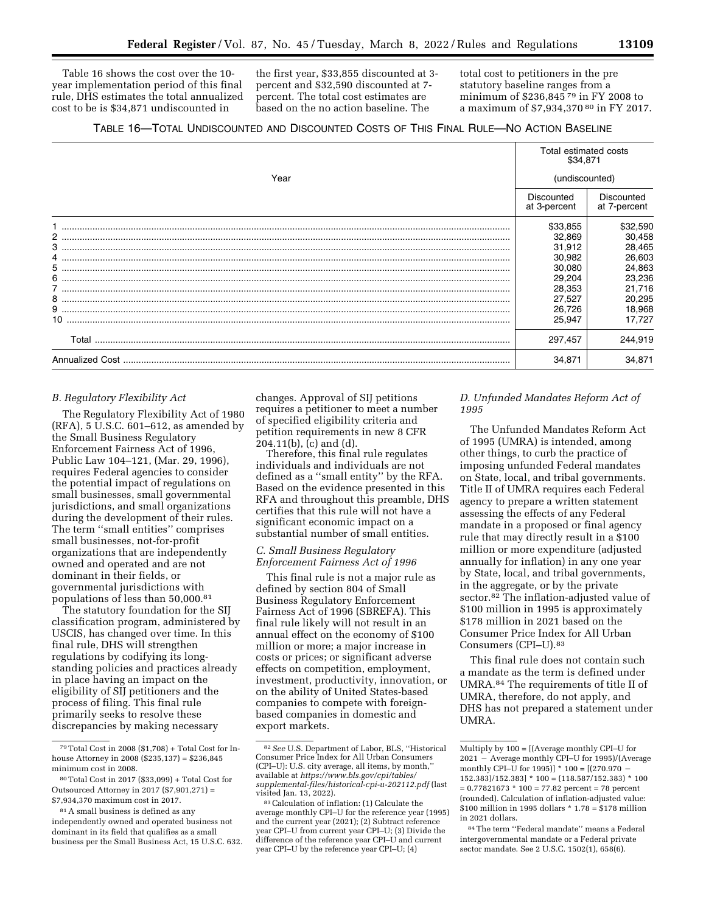Table 16 shows the cost over the 10 year implementation period of this final rule, DHS estimates the total annualized cost to be is \$34,871 undiscounted in

the first year, \$33,855 discounted at 3 percent and \$32,590 discounted at 7 percent. The total cost estimates are based on the no action baseline. The

total cost to petitioners in the pre statutory baseline ranges from a minimum of \$236,845 79 in FY 2008 to a maximum of \$7,934,370 80 in FY 2017.

|       |                            | Total estimated costs<br>\$34,871 |  |  |
|-------|----------------------------|-----------------------------------|--|--|
| Year  | (undiscounted)             |                                   |  |  |
|       | Discounted<br>at 3-percent | Discounted<br>at 7-percent        |  |  |
|       | \$33,855                   | \$32,590                          |  |  |
|       | 32,869                     | 30,458                            |  |  |
|       | 31,912                     | 28,465                            |  |  |
|       | 30,982                     | 26,603                            |  |  |
|       | 30,080                     | 24,863                            |  |  |
|       | 29,204                     | 23,236                            |  |  |
|       | 28,353                     | 21,716                            |  |  |
|       | 27,527                     | 20,295                            |  |  |
|       | 26,726                     | 18,968                            |  |  |
|       | 25.947                     | 17.727                            |  |  |
| Total | 297,457                    | 244,919                           |  |  |
|       | 34,871                     | 34,871                            |  |  |

# *B. Regulatory Flexibility Act*

The Regulatory Flexibility Act of 1980 (RFA), 5 U.S.C. 601–612, as amended by the Small Business Regulatory Enforcement Fairness Act of 1996, Public Law 104–121, (Mar. 29, 1996), requires Federal agencies to consider the potential impact of regulations on small businesses, small governmental jurisdictions, and small organizations during the development of their rules. The term ''small entities'' comprises small businesses, not-for-profit organizations that are independently owned and operated and are not dominant in their fields, or governmental jurisdictions with populations of less than 50,000.81

The statutory foundation for the SIJ classification program, administered by USCIS, has changed over time. In this final rule, DHS will strengthen regulations by codifying its longstanding policies and practices already in place having an impact on the eligibility of SIJ petitioners and the process of filing. This final rule primarily seeks to resolve these discrepancies by making necessary

changes. Approval of SIJ petitions requires a petitioner to meet a number of specified eligibility criteria and petition requirements in new 8 CFR 204.11(b), (c) and (d).

Therefore, this final rule regulates individuals and individuals are not defined as a ''small entity'' by the RFA. Based on the evidence presented in this RFA and throughout this preamble, DHS certifies that this rule will not have a significant economic impact on a substantial number of small entities.

# *C. Small Business Regulatory Enforcement Fairness Act of 1996*

This final rule is not a major rule as defined by section 804 of Small Business Regulatory Enforcement Fairness Act of 1996 (SBREFA). This final rule likely will not result in an annual effect on the economy of \$100 million or more; a major increase in costs or prices; or significant adverse effects on competition, employment, investment, productivity, innovation, or on the ability of United States-based companies to compete with foreignbased companies in domestic and export markets.

# *D. Unfunded Mandates Reform Act of 1995*

The Unfunded Mandates Reform Act of 1995 (UMRA) is intended, among other things, to curb the practice of imposing unfunded Federal mandates on State, local, and tribal governments. Title II of UMRA requires each Federal agency to prepare a written statement assessing the effects of any Federal mandate in a proposed or final agency rule that may directly result in a \$100 million or more expenditure (adjusted annually for inflation) in any one year by State, local, and tribal governments, in the aggregate, or by the private sector.82 The inflation-adjusted value of \$100 million in 1995 is approximately \$178 million in 2021 based on the Consumer Price Index for All Urban Consumers (CPI–U).83

This final rule does not contain such a mandate as the term is defined under UMRA.84 The requirements of title II of UMRA, therefore, do not apply, and DHS has not prepared a statement under UMRA.

<sup>79</sup>Total Cost in 2008 (\$1,708) + Total Cost for Inhouse Attorney in 2008 (\$235,137) = \$236,845 minimum cost in 2008.

<sup>80</sup>Total Cost in 2017 (\$33,099) + Total Cost for Outsourced Attorney in 2017 (\$7,901,271) = \$7,934,370 maximum cost in 2017.

<sup>81</sup>A small business is defined as any independently owned and operated business not dominant in its field that qualifies as a small business per the Small Business Act, 15 U.S.C. 632.

<sup>82</sup>*See* U.S. Department of Labor, BLS, ''Historical Consumer Price Index for All Urban Consumers (CPI–U): U.S. city average, all items, by month,'' available at *[https://www.bls.gov/cpi/tables/](https://www.bls.gov/cpi/tables/supplemental-files/historical-cpi-u-202112.pdf) [supplemental-files/historical-cpi-u-202112.pdf](https://www.bls.gov/cpi/tables/supplemental-files/historical-cpi-u-202112.pdf)* (last

<sup>&</sup>lt;sup>83</sup> Calculation of inflation: (1) Calculate the average monthly CPI–U for the reference year (1995) and the current year (2021); (2) Subtract reference year CPI–U from current year CPI–U; (3) Divide the difference of the reference year CPI–U and current year CPI–U by the reference year CPI–U; (4)

Multiply by 100 = [(Average monthly CPI–U for  $2021 -$  Average monthly CPI–U for 1995)/(Average monthly CPI–U for 1995)]  $*$  100 = [(270.970 - $152.383)/152.383]$  \*  $100 = (118.587/152.383)$  \*  $100$  $= 0.77821673 * 100 = 77.82$  percent = 78 percent (rounded). Calculation of inflation-adjusted value: \$100 million in 1995 dollars \* 1.78 = \$178 million in 2021 dollars.

<sup>84</sup>The term ''Federal mandate'' means a Federal intergovernmental mandate or a Federal private sector mandate. See 2 U.S.C. 1502(1), 658(6).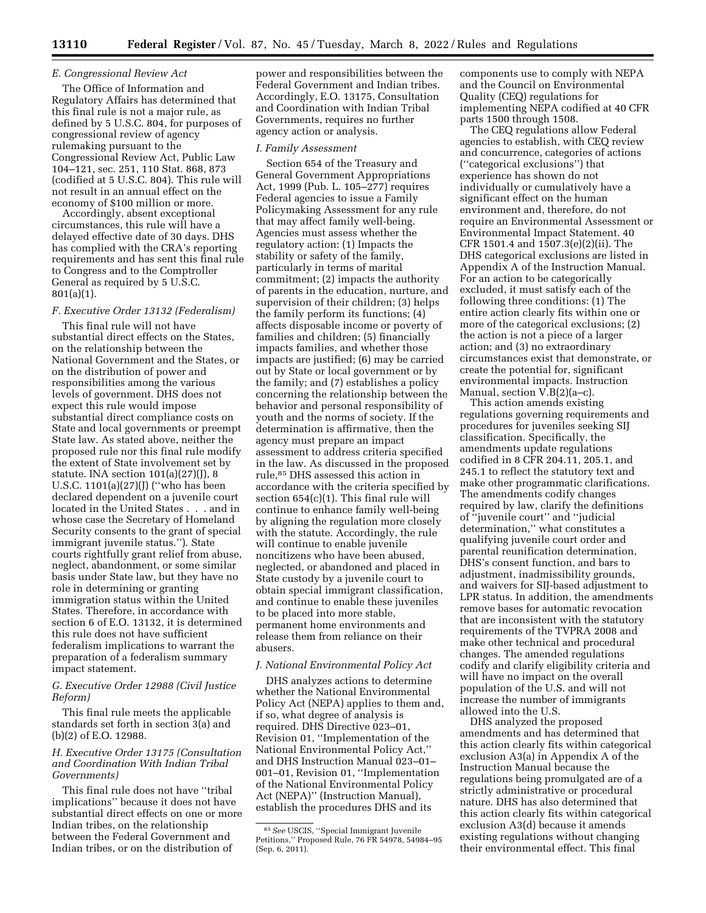# *E. Congressional Review Act*

The Office of Information and Regulatory Affairs has determined that this final rule is not a major rule, as defined by 5 U.S.C. 804, for purposes of congressional review of agency rulemaking pursuant to the Congressional Review Act, Public Law 104–121, sec. 251, 110 Stat. 868, 873 (codified at 5 U.S.C. 804). This rule will not result in an annual effect on the economy of \$100 million or more.

Accordingly, absent exceptional circumstances, this rule will have a delayed effective date of 30 days. DHS has complied with the CRA's reporting requirements and has sent this final rule to Congress and to the Comptroller General as required by 5 U.S.C. 801(a)(1).

# *F. Executive Order 13132 (Federalism)*

This final rule will not have substantial direct effects on the States, on the relationship between the National Government and the States, or on the distribution of power and responsibilities among the various levels of government. DHS does not expect this rule would impose substantial direct compliance costs on State and local governments or preempt State law. As stated above, neither the proposed rule nor this final rule modify the extent of State involvement set by statute. INA section  $101(a)(27)(J)$ , 8 U.S.C. 1101(a)(27)(J) (''who has been declared dependent on a juvenile court located in the United States . . . and in whose case the Secretary of Homeland Security consents to the grant of special immigrant juvenile status.''). State courts rightfully grant relief from abuse, neglect, abandonment, or some similar basis under State law, but they have no role in determining or granting immigration status within the United States. Therefore, in accordance with section 6 of E.O. 13132, it is determined this rule does not have sufficient federalism implications to warrant the preparation of a federalism summary impact statement.

# *G. Executive Order 12988 (Civil Justice Reform)*

This final rule meets the applicable standards set forth in section 3(a) and (b)(2) of E.O. 12988.

# *H. Executive Order 13175 (Consultation and Coordination With Indian Tribal Governments)*

This final rule does not have ''tribal implications'' because it does not have substantial direct effects on one or more Indian tribes, on the relationship between the Federal Government and Indian tribes, or on the distribution of

power and responsibilities between the Federal Government and Indian tribes. Accordingly, E.O. 13175, Consultation and Coordination with Indian Tribal Governments, requires no further agency action or analysis.

### *I. Family Assessment*

Section 654 of the Treasury and General Government Appropriations Act, 1999 (Pub. L. 105–277) requires Federal agencies to issue a Family Policymaking Assessment for any rule that may affect family well-being. Agencies must assess whether the regulatory action: (1) Impacts the stability or safety of the family, particularly in terms of marital commitment; (2) impacts the authority of parents in the education, nurture, and supervision of their children; (3) helps the family perform its functions; (4) affects disposable income or poverty of families and children; (5) financially impacts families, and whether those impacts are justified; (6) may be carried out by State or local government or by the family; and (7) establishes a policy concerning the relationship between the behavior and personal responsibility of youth and the norms of society. If the determination is affirmative, then the agency must prepare an impact assessment to address criteria specified in the law. As discussed in the proposed rule,85 DHS assessed this action in accordance with the criteria specified by section 654(c)(1). This final rule will continue to enhance family well-being by aligning the regulation more closely with the statute. Accordingly, the rule will continue to enable juvenile noncitizens who have been abused, neglected, or abandoned and placed in State custody by a juvenile court to obtain special immigrant classification, and continue to enable these juveniles to be placed into more stable, permanent home environments and release them from reliance on their abusers.

#### *J. National Environmental Policy Act*

DHS analyzes actions to determine whether the National Environmental Policy Act (NEPA) applies to them and, if so, what degree of analysis is required. DHS Directive 023–01, Revision 01, ''Implementation of the National Environmental Policy Act,'' and DHS Instruction Manual 023–01– 001–01, Revision 01, ''Implementation of the National Environmental Policy Act (NEPA)'' (Instruction Manual), establish the procedures DHS and its

components use to comply with NEPA and the Council on Environmental Quality (CEQ) regulations for implementing NEPA codified at 40 CFR parts 1500 through 1508.

The CEQ regulations allow Federal agencies to establish, with CEQ review and concurrence, categories of actions (''categorical exclusions'') that experience has shown do not individually or cumulatively have a significant effect on the human environment and, therefore, do not require an Environmental Assessment or Environmental Impact Statement. 40 CFR 1501.4 and 1507.3(e)(2)(ii). The DHS categorical exclusions are listed in Appendix A of the Instruction Manual. For an action to be categorically excluded, it must satisfy each of the following three conditions: (1) The entire action clearly fits within one or more of the categorical exclusions; (2) the action is not a piece of a larger action; and (3) no extraordinary circumstances exist that demonstrate, or create the potential for, significant environmental impacts. Instruction Manual, section  $V.B(2)(a-c)$ .

This action amends existing regulations governing requirements and procedures for juveniles seeking SIJ classification. Specifically, the amendments update regulations codified in 8 CFR 204.11, 205.1, and 245.1 to reflect the statutory text and make other programmatic clarifications. The amendments codify changes required by law, clarify the definitions of ''juvenile court'' and ''judicial determination,'' what constitutes a qualifying juvenile court order and parental reunification determination, DHS's consent function, and bars to adjustment, inadmissibility grounds, and waivers for SIJ-based adjustment to LPR status. In addition, the amendments remove bases for automatic revocation that are inconsistent with the statutory requirements of the TVPRA 2008 and make other technical and procedural changes. The amended regulations codify and clarify eligibility criteria and will have no impact on the overall population of the U.S. and will not increase the number of immigrants allowed into the U.S.

DHS analyzed the proposed amendments and has determined that this action clearly fits within categorical exclusion A3(a) in Appendix A of the Instruction Manual because the regulations being promulgated are of a strictly administrative or procedural nature. DHS has also determined that this action clearly fits within categorical exclusion A3(d) because it amends existing regulations without changing their environmental effect. This final

<sup>85</sup>*See* USCIS, ''Special Immigrant Juvenile Petitions,'' Proposed Rule, 76 FR 54978, 54984–95 (Sep. 6, 2011).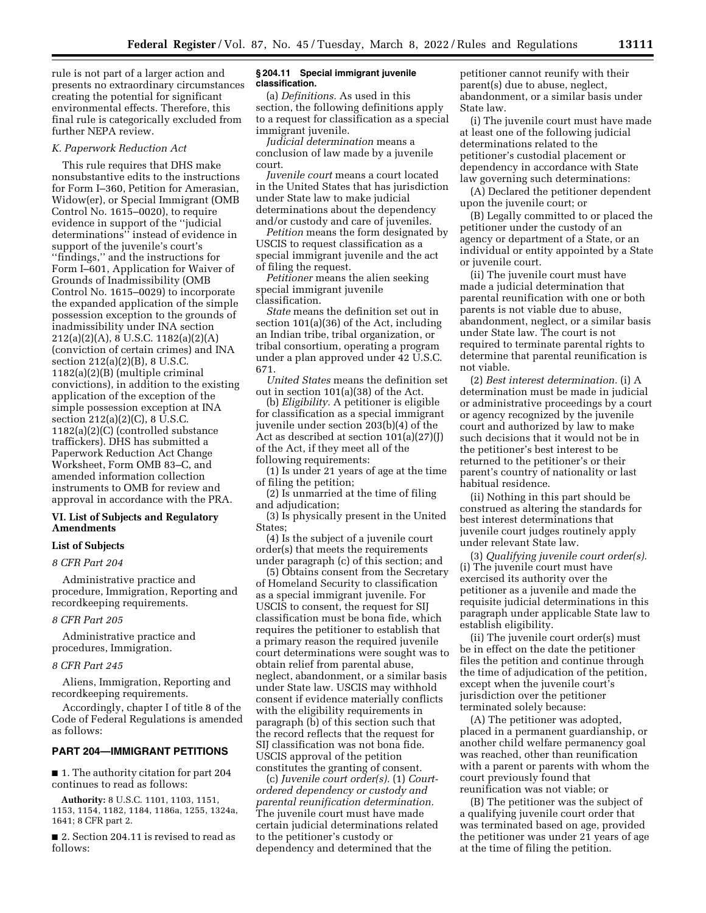rule is not part of a larger action and presents no extraordinary circumstances creating the potential for significant environmental effects. Therefore, this final rule is categorically excluded from further NEPA review.

#### *K. Paperwork Reduction Act*

This rule requires that DHS make nonsubstantive edits to the instructions for Form I–360, Petition for Amerasian, Widow(er), or Special Immigrant (OMB Control No. 1615–0020), to require evidence in support of the ''judicial determinations'' instead of evidence in support of the juvenile's court's ''findings,'' and the instructions for Form I–601, Application for Waiver of Grounds of Inadmissibility (OMB Control No. 1615–0029) to incorporate the expanded application of the simple possession exception to the grounds of inadmissibility under INA section 212(a)(2)(A), 8 U.S.C. 1182(a)(2)(A) (conviction of certain crimes) and INA section 212(a)(2)(B), 8 U.S.C. 1182(a)(2)(B) (multiple criminal convictions), in addition to the existing application of the exception of the simple possession exception at INA section 212(a)(2)(C), 8 U.S.C. 1182(a)(2)(C) (controlled substance traffickers). DHS has submitted a Paperwork Reduction Act Change Worksheet, Form OMB 83–C, and amended information collection instruments to OMB for review and approval in accordance with the PRA.

## **VI. List of Subjects and Regulatory Amendments**

## **List of Subjects**

# *8 CFR Part 204*

Administrative practice and procedure, Immigration, Reporting and recordkeeping requirements.

#### *8 CFR Part 205*

Administrative practice and procedures, Immigration.

#### *8 CFR Part 245*

Aliens, Immigration, Reporting and recordkeeping requirements.

Accordingly, chapter I of title 8 of the Code of Federal Regulations is amended as follows:

## **PART 204—IMMIGRANT PETITIONS**

■ 1. The authority citation for part 204 continues to read as follows:

**Authority:** 8 U.S.C. 1101, 1103, 1151, 1153, 1154, 1182, 1184, 1186a, 1255, 1324a, 1641; 8 CFR part 2.

■ 2. Section 204.11 is revised to read as follows:

### **§ 204.11 Special immigrant juvenile classification.**

(a) *Definitions.* As used in this section, the following definitions apply to a request for classification as a special immigrant juvenile.

*Judicial determination* means a conclusion of law made by a juvenile court.

*Juvenile court* means a court located in the United States that has jurisdiction under State law to make judicial determinations about the dependency and/or custody and care of juveniles.

*Petition* means the form designated by USCIS to request classification as a special immigrant juvenile and the act of filing the request.

*Petitioner* means the alien seeking special immigrant juvenile classification.

*State* means the definition set out in section 101(a)(36) of the Act, including an Indian tribe, tribal organization, or tribal consortium, operating a program under a plan approved under 42 U.S.C. 671.

*United States* means the definition set out in section 101(a)(38) of the Act.

(b) *Eligibility.* A petitioner is eligible for classification as a special immigrant juvenile under section 203(b)(4) of the Act as described at section 101(a)(27)(J) of the Act, if they meet all of the following requirements:

(1) Is under 21 years of age at the time of filing the petition;

(2) Is unmarried at the time of filing and adjudication;

(3) Is physically present in the United States;

(4) Is the subject of a juvenile court order(s) that meets the requirements under paragraph (c) of this section; and

(5) Obtains consent from the Secretary of Homeland Security to classification as a special immigrant juvenile. For USCIS to consent, the request for SIJ classification must be bona fide, which requires the petitioner to establish that a primary reason the required juvenile court determinations were sought was to obtain relief from parental abuse, neglect, abandonment, or a similar basis under State law. USCIS may withhold consent if evidence materially conflicts with the eligibility requirements in paragraph (b) of this section such that the record reflects that the request for SIJ classification was not bona fide. USCIS approval of the petition constitutes the granting of consent.

(c) *Juvenile court order(s).* (1) *Courtordered dependency or custody and parental reunification determination.*  The juvenile court must have made certain judicial determinations related to the petitioner's custody or dependency and determined that the

petitioner cannot reunify with their parent(s) due to abuse, neglect, abandonment, or a similar basis under State law.

(i) The juvenile court must have made at least one of the following judicial determinations related to the petitioner's custodial placement or dependency in accordance with State law governing such determinations:

(A) Declared the petitioner dependent upon the juvenile court; or

(B) Legally committed to or placed the petitioner under the custody of an agency or department of a State, or an individual or entity appointed by a State or juvenile court.

(ii) The juvenile court must have made a judicial determination that parental reunification with one or both parents is not viable due to abuse, abandonment, neglect, or a similar basis under State law. The court is not required to terminate parental rights to determine that parental reunification is not viable.

(2) *Best interest determination.* (i) A determination must be made in judicial or administrative proceedings by a court or agency recognized by the juvenile court and authorized by law to make such decisions that it would not be in the petitioner's best interest to be returned to the petitioner's or their parent's country of nationality or last habitual residence.

(ii) Nothing in this part should be construed as altering the standards for best interest determinations that juvenile court judges routinely apply under relevant State law.

(3) *Qualifying juvenile court order(s).*  (i) The juvenile court must have exercised its authority over the petitioner as a juvenile and made the requisite judicial determinations in this paragraph under applicable State law to establish eligibility.

(ii) The juvenile court order(s) must be in effect on the date the petitioner files the petition and continue through the time of adjudication of the petition, except when the juvenile court's jurisdiction over the petitioner terminated solely because:

(A) The petitioner was adopted, placed in a permanent guardianship, or another child welfare permanency goal was reached, other than reunification with a parent or parents with whom the court previously found that reunification was not viable; or

(B) The petitioner was the subject of a qualifying juvenile court order that was terminated based on age, provided the petitioner was under 21 years of age at the time of filing the petition.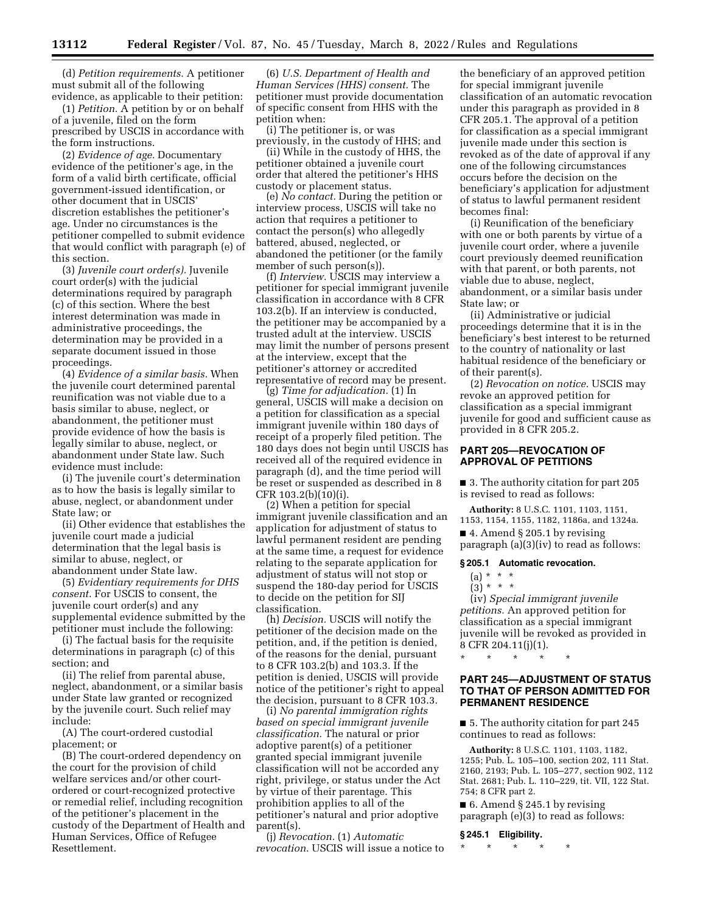(d) *Petition requirements.* A petitioner must submit all of the following evidence, as applicable to their petition:

(1) *Petition.* A petition by or on behalf of a juvenile, filed on the form prescribed by USCIS in accordance with the form instructions.

(2) *Evidence of age.* Documentary evidence of the petitioner's age, in the form of a valid birth certificate, official government-issued identification, or other document that in USCIS' discretion establishes the petitioner's age. Under no circumstances is the petitioner compelled to submit evidence that would conflict with paragraph (e) of this section.

(3) *Juvenile court order(s).* Juvenile court order(s) with the judicial determinations required by paragraph (c) of this section. Where the best interest determination was made in administrative proceedings, the determination may be provided in a separate document issued in those proceedings.

(4) *Evidence of a similar basis.* When the juvenile court determined parental reunification was not viable due to a basis similar to abuse, neglect, or abandonment, the petitioner must provide evidence of how the basis is legally similar to abuse, neglect, or abandonment under State law. Such evidence must include:

(i) The juvenile court's determination as to how the basis is legally similar to abuse, neglect, or abandonment under State law; or

(ii) Other evidence that establishes the juvenile court made a judicial determination that the legal basis is similar to abuse, neglect, or abandonment under State law.

(5) *Evidentiary requirements for DHS consent.* For USCIS to consent, the juvenile court order(s) and any supplemental evidence submitted by the petitioner must include the following:

(i) The factual basis for the requisite determinations in paragraph (c) of this section; and

(ii) The relief from parental abuse, neglect, abandonment, or a similar basis under State law granted or recognized by the juvenile court. Such relief may include:

(A) The court-ordered custodial placement; or

(B) The court-ordered dependency on the court for the provision of child welfare services and/or other courtordered or court-recognized protective or remedial relief, including recognition of the petitioner's placement in the custody of the Department of Health and Human Services, Office of Refugee Resettlement.

(6) *U.S. Department of Health and Human Services (HHS) consent.* The petitioner must provide documentation of specific consent from HHS with the petition when:

(i) The petitioner is, or was previously, in the custody of HHS; and

(ii) While in the custody of HHS, the petitioner obtained a juvenile court order that altered the petitioner's HHS custody or placement status.

(e) *No contact.* During the petition or interview process, USCIS will take no action that requires a petitioner to contact the person(s) who allegedly battered, abused, neglected, or abandoned the petitioner (or the family member of such person(s)).

(f) *Interview.* USCIS may interview a petitioner for special immigrant juvenile classification in accordance with 8 CFR 103.2(b). If an interview is conducted, the petitioner may be accompanied by a trusted adult at the interview. USCIS may limit the number of persons present at the interview, except that the petitioner's attorney or accredited representative of record may be present.

(g) *Time for adjudication.* (1) In general, USCIS will make a decision on a petition for classification as a special immigrant juvenile within 180 days of receipt of a properly filed petition. The 180 days does not begin until USCIS has received all of the required evidence in paragraph (d), and the time period will be reset or suspended as described in 8 CFR 103.2(b)(10)(i).

(2) When a petition for special immigrant juvenile classification and an application for adjustment of status to lawful permanent resident are pending at the same time, a request for evidence relating to the separate application for adjustment of status will not stop or suspend the 180-day period for USCIS to decide on the petition for SIJ classification.

(h) *Decision.* USCIS will notify the petitioner of the decision made on the petition, and, if the petition is denied, of the reasons for the denial, pursuant to 8 CFR 103.2(b) and 103.3. If the petition is denied, USCIS will provide notice of the petitioner's right to appeal the decision, pursuant to 8 CFR 103.3.

(i) *No parental immigration rights based on special immigrant juvenile classification.* The natural or prior adoptive parent(s) of a petitioner granted special immigrant juvenile classification will not be accorded any right, privilege, or status under the Act by virtue of their parentage. This prohibition applies to all of the petitioner's natural and prior adoptive parent(s).

(j) *Revocation.* (1) *Automatic revocation.* USCIS will issue a notice to

the beneficiary of an approved petition for special immigrant juvenile classification of an automatic revocation under this paragraph as provided in 8 CFR 205.1. The approval of a petition for classification as a special immigrant juvenile made under this section is revoked as of the date of approval if any one of the following circumstances occurs before the decision on the beneficiary's application for adjustment of status to lawful permanent resident becomes final:

(i) Reunification of the beneficiary with one or both parents by virtue of a juvenile court order, where a juvenile court previously deemed reunification with that parent, or both parents, not viable due to abuse, neglect, abandonment, or a similar basis under State law; or

(ii) Administrative or judicial proceedings determine that it is in the beneficiary's best interest to be returned to the country of nationality or last habitual residence of the beneficiary or of their parent(s).

(2) *Revocation on notice.* USCIS may revoke an approved petition for classification as a special immigrant juvenile for good and sufficient cause as provided in 8 CFR 205.2.

# **PART 205—REVOCATION OF APPROVAL OF PETITIONS**

■ 3. The authority citation for part 205 is revised to read as follows:

**Authority:** 8 U.S.C. 1101, 1103, 1151, 1153, 1154, 1155, 1182, 1186a, and 1324a.

■ 4. Amend § 205.1 by revising paragraph (a)(3)(iv) to read as follows:

## **§ 205.1 Automatic revocation.**

\* \* \* \* \*

- $(a) * * * *$
- $(3) * * * *$

(iv) *Special immigrant juvenile petitions.* An approved petition for classification as a special immigrant juvenile will be revoked as provided in 8 CFR 204.11(j)(1).

# **PART 245—ADJUSTMENT OF STATUS TO THAT OF PERSON ADMITTED FOR PERMANENT RESIDENCE**

■ 5. The authority citation for part 245 continues to read as follows:

**Authority:** 8 U.S.C. 1101, 1103, 1182, 1255; Pub. L. 105–100, section 202, 111 Stat. 2160, 2193; Pub. L. 105–277, section 902, 112 Stat. 2681; Pub. L. 110–229, tit. VII, 122 Stat. 754; 8 CFR part 2.

■ 6. Amend § 245.1 by revising paragraph (e)(3) to read as follows:

#### **§ 245.1 Eligibility.**

\* \* \* \* \*